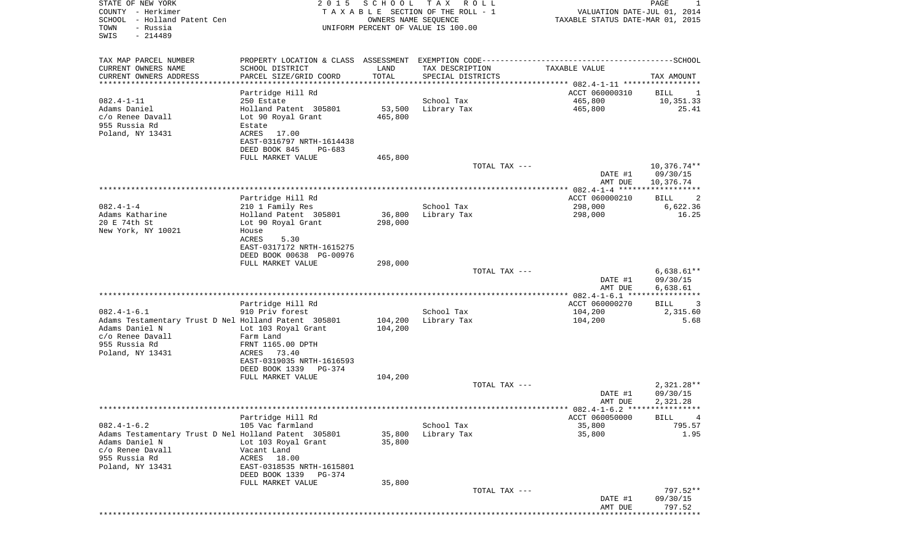| COUNTY - Herkimer<br>SCHOOL - Holland Patent Cen<br>- Russia<br>TOWN<br>SWIS<br>$-214489$                                       |                                                                                                                                           | OWNERS NAME SEQUENCE | T A X A B L E SECTION OF THE ROLL - 1<br>UNIFORM PERCENT OF VALUE IS 100.00 | VALUATION DATE-JUL 01, 2014<br>TAXABLE STATUS DATE-MAR 01, 2015 |                                        |
|---------------------------------------------------------------------------------------------------------------------------------|-------------------------------------------------------------------------------------------------------------------------------------------|----------------------|-----------------------------------------------------------------------------|-----------------------------------------------------------------|----------------------------------------|
| TAX MAP PARCEL NUMBER<br>CURRENT OWNERS NAME<br>CURRENT OWNERS ADDRESS<br>**********************                                | PROPERTY LOCATION & CLASS ASSESSMENT EXEMPTION CODE-----------------------------------SCHOOL<br>SCHOOL DISTRICT<br>PARCEL SIZE/GRID COORD | LAND<br>TOTAL        | TAX DESCRIPTION<br>SPECIAL DISTRICTS                                        | TAXABLE VALUE                                                   | TAX AMOUNT                             |
|                                                                                                                                 | Partridge Hill Rd                                                                                                                         |                      |                                                                             | ACCT 060000310                                                  | BILL<br>$\perp$                        |
| $082.4 - 1 - 11$                                                                                                                | 250 Estate                                                                                                                                |                      | School Tax                                                                  | 465,800                                                         | 10,351.33                              |
| Adams Daniel<br>c/o Renee Davall<br>955 Russia Rd<br>Poland, NY 13431                                                           | Holland Patent 305801<br>Lot 90 Royal Grant<br>Estate<br>17.00<br>ACRES<br>EAST-0316797 NRTH-1614438                                      | 53,500<br>465,800    | Library Tax                                                                 | 465,800                                                         | 25.41                                  |
|                                                                                                                                 | DEED BOOK 845<br>PG-683<br>FULL MARKET VALUE                                                                                              | 465,800              |                                                                             |                                                                 |                                        |
|                                                                                                                                 |                                                                                                                                           |                      | TOTAL TAX ---                                                               | DATE #1<br>AMT DUE                                              | $10,376.74**$<br>09/30/15<br>10,376.74 |
|                                                                                                                                 |                                                                                                                                           |                      |                                                                             |                                                                 |                                        |
|                                                                                                                                 | Partridge Hill Rd                                                                                                                         |                      |                                                                             | ACCT 060000210                                                  | BILL<br>2                              |
| $082.4 - 1 - 4$<br>Adams Katharine                                                                                              | 210 1 Family Res<br>Holland Patent 305801                                                                                                 | 36,800               | School Tax                                                                  | 298,000<br>298,000                                              | 6,622.36<br>16.25                      |
| 20 E 74th St<br>New York, NY 10021                                                                                              | Lot 90 Royal Grant<br>House<br>ACRES<br>5.30<br>EAST-0317172 NRTH-1615275                                                                 | 298,000              | Library Tax                                                                 |                                                                 |                                        |
|                                                                                                                                 | DEED BOOK 00638 PG-00976                                                                                                                  |                      |                                                                             |                                                                 |                                        |
|                                                                                                                                 | FULL MARKET VALUE                                                                                                                         | 298,000              | TOTAL TAX ---                                                               | DATE #1<br>AMT DUE                                              | $6,638.61**$<br>09/30/15<br>6,638.61   |
|                                                                                                                                 |                                                                                                                                           |                      |                                                                             | *************** 082.4-1-6.1 *****************                   |                                        |
|                                                                                                                                 | Partridge Hill Rd                                                                                                                         |                      |                                                                             | ACCT 060000270                                                  | 3<br>BILL                              |
| $082.4 - 1 - 6.1$                                                                                                               | 910 Priv forest                                                                                                                           |                      | School Tax                                                                  | 104,200                                                         | 2,315.60<br>5.68                       |
| Adams Testamentary Trust D Nel Holland Patent 305801<br>Adams Daniel N<br>c/o Renee Davall<br>955 Russia Rd<br>Poland, NY 13431 | Lot 103 Royal Grant<br>Farm Land<br>FRNT 1165.00 DPTH<br>ACRES<br>73.40<br>EAST-0319035 NRTH-1616593                                      | 104,200<br>104,200   | Library Tax                                                                 | 104,200                                                         |                                        |
|                                                                                                                                 | DEED BOOK 1339<br>PG-374                                                                                                                  |                      |                                                                             |                                                                 |                                        |
|                                                                                                                                 | FULL MARKET VALUE                                                                                                                         | 104,200              | TOTAL TAX ---                                                               |                                                                 |                                        |
|                                                                                                                                 |                                                                                                                                           |                      |                                                                             | DATE #1<br>AMT DUE                                              | $2,321.28**$<br>09/30/15<br>2,321.28   |
|                                                                                                                                 | Partridge Hill Rd                                                                                                                         |                      |                                                                             | ACCT 060050000                                                  | BILL                                   |
| $082.4 - 1 - 6.2$                                                                                                               | 105 Vac farmland                                                                                                                          |                      | School Tax                                                                  | 35,800                                                          | 795.57                                 |
| Adams Testamentary Trust D Nel Holland Patent 305801<br>Adams Daniel N<br>c/o Renee Davall<br>955 Russia Rd<br>Poland, NY 13431 | Lot 103 Royal Grant<br>Vacant Land<br>ACRES<br>18.00<br>EAST-0318535 NRTH-1615801<br>DEED BOOK 1339<br>PG-374                             | 35,800<br>35,800     | Library Tax                                                                 | 35,800                                                          | 1.95                                   |
|                                                                                                                                 | FULL MARKET VALUE                                                                                                                         | 35,800               | TOTAL TAX ---                                                               |                                                                 | 797.52**                               |
|                                                                                                                                 |                                                                                                                                           |                      |                                                                             | DATE #1<br>AMT DUE                                              | 09/30/15<br>797.52                     |

PAGE 1

STATE OF NEW YORK 2 0 1 5 S C H O O L T A X R O L L PAGE 1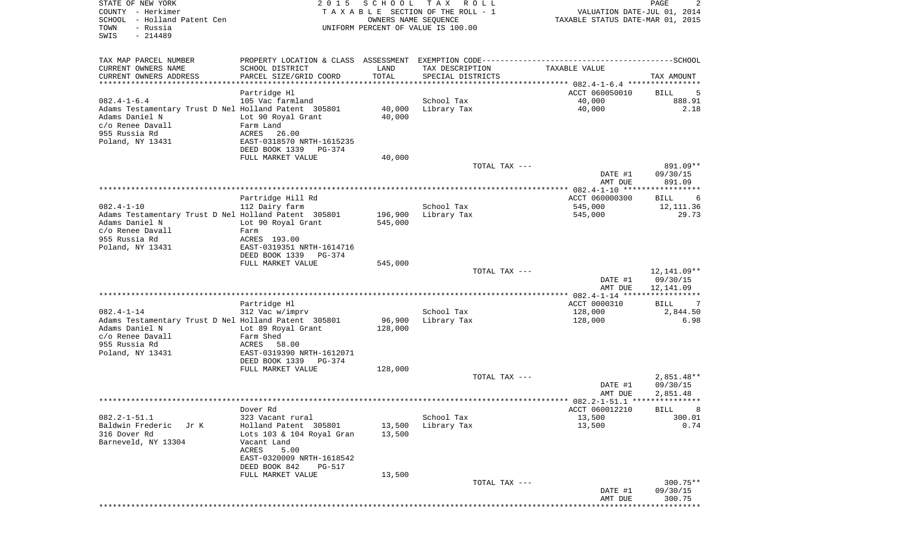| STATE OF NEW YORK<br>COUNTY - Herkimer<br>- Holland Patent Cen<br>SCHOOL<br>- Russia<br>TOWN<br>SWIS<br>$-214489$ | 2 0 1 5                                       | SCHOOL<br>OWNERS NAME SEQUENCE | T A X<br>R O L L<br>TAXABLE SECTION OF THE ROLL - 1<br>UNIFORM PERCENT OF VALUE IS 100.00 | VALUATION DATE-JUL 01, 2014<br>TAXABLE STATUS DATE-MAR 01, 2015 | PAGE<br>2                   |
|-------------------------------------------------------------------------------------------------------------------|-----------------------------------------------|--------------------------------|-------------------------------------------------------------------------------------------|-----------------------------------------------------------------|-----------------------------|
| TAX MAP PARCEL NUMBER                                                                                             |                                               |                                |                                                                                           |                                                                 |                             |
| CURRENT OWNERS NAME                                                                                               | SCHOOL DISTRICT                               | LAND                           | TAX DESCRIPTION                                                                           | TAXABLE VALUE                                                   |                             |
| CURRENT OWNERS ADDRESS<br>************************                                                                | PARCEL SIZE/GRID COORD                        | TOTAL                          | SPECIAL DISTRICTS                                                                         |                                                                 | TAX AMOUNT                  |
|                                                                                                                   | Partridge Hl                                  |                                |                                                                                           | ACCT 060050010                                                  | BILL<br>5                   |
| $082.4 - 1 - 6.4$                                                                                                 | 105 Vac farmland                              |                                | School Tax                                                                                | 40,000                                                          | 888.91                      |
| Adams Testamentary Trust D Nel Holland Patent 305801                                                              |                                               | 40,000                         | Library Tax                                                                               | 40,000                                                          | 2.18                        |
| Adams Daniel N<br>c/o Renee Davall                                                                                | Lot 90 Royal Grant<br>Farm Land               | 40,000                         |                                                                                           |                                                                 |                             |
| 955 Russia Rd                                                                                                     | ACRES<br>26.00                                |                                |                                                                                           |                                                                 |                             |
| Poland, NY 13431                                                                                                  | EAST-0318570 NRTH-1615235                     |                                |                                                                                           |                                                                 |                             |
|                                                                                                                   | DEED BOOK 1339<br>PG-374<br>FULL MARKET VALUE | 40,000                         |                                                                                           |                                                                 |                             |
|                                                                                                                   |                                               |                                | TOTAL TAX ---                                                                             |                                                                 | 891.09**                    |
|                                                                                                                   |                                               |                                |                                                                                           | DATE #1                                                         | 09/30/15                    |
|                                                                                                                   |                                               |                                |                                                                                           | AMT DUE                                                         | 891.09                      |
|                                                                                                                   | Partridge Hill Rd                             |                                |                                                                                           | ACCT 060000300                                                  | BILL<br>6                   |
| $082.4 - 1 - 10$                                                                                                  | 112 Dairy farm                                |                                | School Tax                                                                                | 545,000                                                         | 12,111.36                   |
| Adams Testamentary Trust D Nel Holland Patent 305801                                                              |                                               | 196,900                        | Library Tax                                                                               | 545,000                                                         | 29.73                       |
| Adams Daniel N<br>c/o Renee Davall                                                                                | Lot 90 Royal Grant<br>Farm                    | 545,000                        |                                                                                           |                                                                 |                             |
| 955 Russia Rd                                                                                                     | ACRES 193.00                                  |                                |                                                                                           |                                                                 |                             |
| Poland, NY 13431                                                                                                  | EAST-0319351 NRTH-1614716                     |                                |                                                                                           |                                                                 |                             |
|                                                                                                                   | DEED BOOK 1339<br>PG-374                      |                                |                                                                                           |                                                                 |                             |
|                                                                                                                   | FULL MARKET VALUE                             | 545,000                        | TOTAL TAX ---                                                                             |                                                                 | 12,141.09**                 |
|                                                                                                                   |                                               |                                |                                                                                           | DATE #1                                                         | 09/30/15                    |
|                                                                                                                   |                                               |                                |                                                                                           | AMT DUE                                                         | 12,141.09                   |
|                                                                                                                   | Partridge Hl                                  |                                |                                                                                           | ACCT 0000310                                                    | BILL<br>-7                  |
| $082.4 - 1 - 14$                                                                                                  | 312 Vac w/imprv                               |                                | School Tax                                                                                | 128,000                                                         | 2,844.50                    |
| Adams Testamentary Trust D Nel Holland Patent 305801                                                              |                                               | 96,900                         | Library Tax                                                                               | 128,000                                                         | 6.98                        |
| Adams Daniel N<br>c/o Renee Davall                                                                                | Lot 89 Royal Grant<br>Farm Shed               | 128,000                        |                                                                                           |                                                                 |                             |
| 955 Russia Rd                                                                                                     | ACRES<br>58.00                                |                                |                                                                                           |                                                                 |                             |
| Poland, NY 13431                                                                                                  | EAST-0319390 NRTH-1612071                     |                                |                                                                                           |                                                                 |                             |
|                                                                                                                   | DEED BOOK 1339<br>PG-374                      |                                |                                                                                           |                                                                 |                             |
|                                                                                                                   | FULL MARKET VALUE                             | 128,000                        | TOTAL TAX ---                                                                             |                                                                 | $2,851.48**$                |
|                                                                                                                   |                                               |                                |                                                                                           | DATE #1                                                         | 09/30/15                    |
|                                                                                                                   |                                               |                                |                                                                                           | AMT DUE                                                         | 2,851.48                    |
|                                                                                                                   | Dover Rd                                      |                                |                                                                                           | ACCT 060012210                                                  | <b>BILL</b>                 |
| $082.2 - 1 - 51.1$                                                                                                | 323 Vacant rural                              |                                | School Tax                                                                                | 13,500                                                          | 300.01                      |
| Baldwin Frederic<br>Jr K                                                                                          | Holland Patent 305801                         | 13,500                         | Library Tax                                                                               | 13,500                                                          | 0.74                        |
| 316 Dover Rd<br>Barneveld, NY 13304                                                                               | Lots 103 & 104 Royal Gran<br>Vacant Land      | 13,500                         |                                                                                           |                                                                 |                             |
|                                                                                                                   | ACRES<br>5.00                                 |                                |                                                                                           |                                                                 |                             |
|                                                                                                                   | EAST-0320009 NRTH-1618542                     |                                |                                                                                           |                                                                 |                             |
|                                                                                                                   | DEED BOOK 842<br>PG-517                       |                                |                                                                                           |                                                                 |                             |
|                                                                                                                   | FULL MARKET VALUE                             | 13,500                         | TOTAL TAX ---                                                                             |                                                                 | $300.75**$                  |
|                                                                                                                   |                                               |                                |                                                                                           | DATE #1                                                         | 09/30/15                    |
|                                                                                                                   |                                               |                                |                                                                                           | AMT DUE                                                         | 300.75<br>* * * * * * * * * |
|                                                                                                                   |                                               |                                |                                                                                           |                                                                 |                             |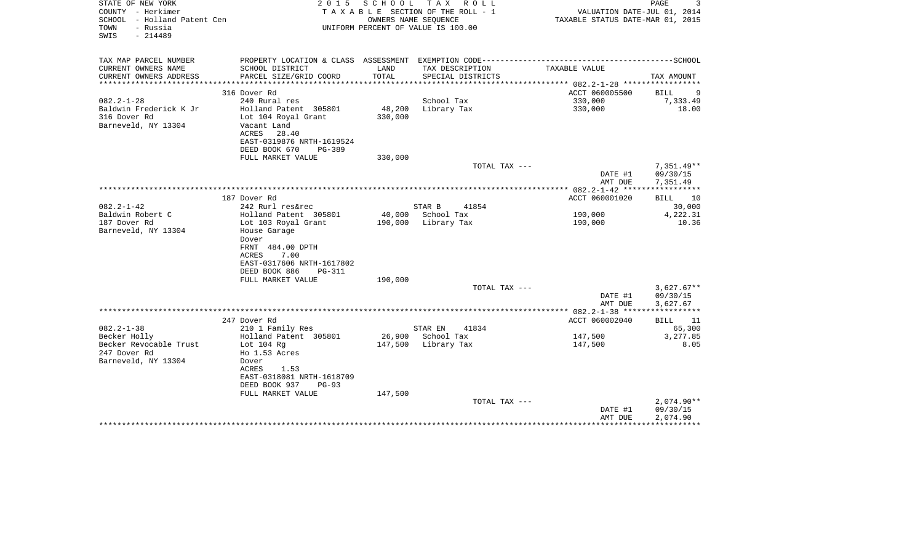| SCHOOL - Holland Patent Cen<br>TOWN<br>- Russia<br>SWIS<br>$-214489$ |                                                                                   |                                     | TAXABLE SECTION OF THE ROLL - 1<br>OWNERS NAME SEQUENCE<br>UNIFORM PERCENT OF VALUE IS 100.00 | TAXABLE STATUS DATE-MAR 01, 2015                   | VALUATION DATE-JUL 01, 2014       |
|----------------------------------------------------------------------|-----------------------------------------------------------------------------------|-------------------------------------|-----------------------------------------------------------------------------------------------|----------------------------------------------------|-----------------------------------|
| TAX MAP PARCEL NUMBER<br>CURRENT OWNERS NAME                         | SCHOOL DISTRICT                                                                   | LAND                                | TAX DESCRIPTION                                                                               | TAXABLE VALUE                                      |                                   |
| CURRENT OWNERS ADDRESS                                               | PARCEL SIZE/GRID COORD                                                            | TOTAL                               | SPECIAL DISTRICTS                                                                             |                                                    | TAX AMOUNT                        |
|                                                                      |                                                                                   | * * * * * * * * * * * * * * * * * * |                                                                                               | ********************* 082.2-1-28 ***************** |                                   |
|                                                                      | 316 Dover Rd                                                                      |                                     |                                                                                               | ACCT 060005500                                     | <b>BILL</b><br>9                  |
| $082.2 - 1 - 28$                                                     | 240 Rural res                                                                     |                                     | School Tax                                                                                    | 330,000                                            | 7,333.49                          |
| Baldwin Frederick K Jr<br>316 Dover Rd<br>Barneveld, NY 13304        | Holland Patent 305801<br>Lot 104 Royal Grant<br>Vacant Land<br>ACRES<br>28.40     | 48,200<br>330,000                   | Library Tax                                                                                   | 330,000                                            | 18.00                             |
|                                                                      | EAST-0319876 NRTH-1619524<br>DEED BOOK 670<br>PG-389                              |                                     |                                                                                               |                                                    |                                   |
|                                                                      | FULL MARKET VALUE                                                                 | 330,000                             |                                                                                               |                                                    |                                   |
|                                                                      |                                                                                   |                                     | TOTAL TAX ---                                                                                 | DATE #1                                            | $7,351.49**$<br>09/30/15          |
|                                                                      |                                                                                   |                                     |                                                                                               | AMT DUE<br>*********** 082.2-1-42 *****            | 7,351.49<br>* * * * * * * * * * * |
|                                                                      | 187 Dover Rd                                                                      |                                     |                                                                                               | ACCT 060001020                                     | BILL<br>10                        |
| $082.2 - 1 - 42$                                                     | 242 Rurl res&rec                                                                  |                                     | STAR B<br>41854                                                                               |                                                    | 30,000                            |
| Baldwin Robert C                                                     | Holland Patent 305801                                                             |                                     | 40,000 School Tax                                                                             | 190,000                                            | 4,222.31                          |
| 187 Dover Rd<br>Barneveld, NY 13304                                  | Lot 103 Royal Grant<br>House Garage<br>Dover<br>FRNT 484.00 DPTH<br>7.00<br>ACRES | 190,000                             | Library Tax                                                                                   | 190,000                                            | 10.36                             |
|                                                                      | EAST-0317606 NRTH-1617802                                                         |                                     |                                                                                               |                                                    |                                   |
|                                                                      | DEED BOOK 886<br><b>PG-311</b><br>FULL MARKET VALUE                               | 190,000                             |                                                                                               |                                                    |                                   |
|                                                                      |                                                                                   |                                     | TOTAL TAX ---                                                                                 |                                                    | $3,627.67**$                      |
|                                                                      |                                                                                   |                                     |                                                                                               | DATE #1<br>AMT DUE                                 | 09/30/15<br>3,627.67              |
|                                                                      |                                                                                   |                                     |                                                                                               |                                                    |                                   |
|                                                                      | 247 Dover Rd                                                                      |                                     |                                                                                               | ACCT 060002040                                     | BILL<br>- 11                      |
| $082.2 - 1 - 38$<br>Becker Holly                                     | 210 1 Family Res<br>Holland Patent 305801                                         | 26,900                              | STAR EN<br>41834<br>School Tax                                                                | 147,500                                            | 65,300<br>3,277.85                |
| Becker Revocable Trust                                               | Lot $104$ Rg                                                                      | 147,500                             | Library Tax                                                                                   | 147,500                                            | 8.05                              |
| 247 Dover Rd                                                         | Ho 1.53 Acres                                                                     |                                     |                                                                                               |                                                    |                                   |
| Barneveld, NY 13304                                                  | Dover<br>ACRES<br>1.53                                                            |                                     |                                                                                               |                                                    |                                   |
|                                                                      | EAST-0318081 NRTH-1618709<br>DEED BOOK 937<br>$PG-93$<br>FULL MARKET VALUE        | 147,500                             |                                                                                               |                                                    |                                   |
|                                                                      |                                                                                   |                                     | TOTAL TAX ---                                                                                 |                                                    | $2,074.90**$                      |
|                                                                      |                                                                                   |                                     |                                                                                               | DATE #1<br>AMT DUE                                 | 09/30/15<br>2,074.90              |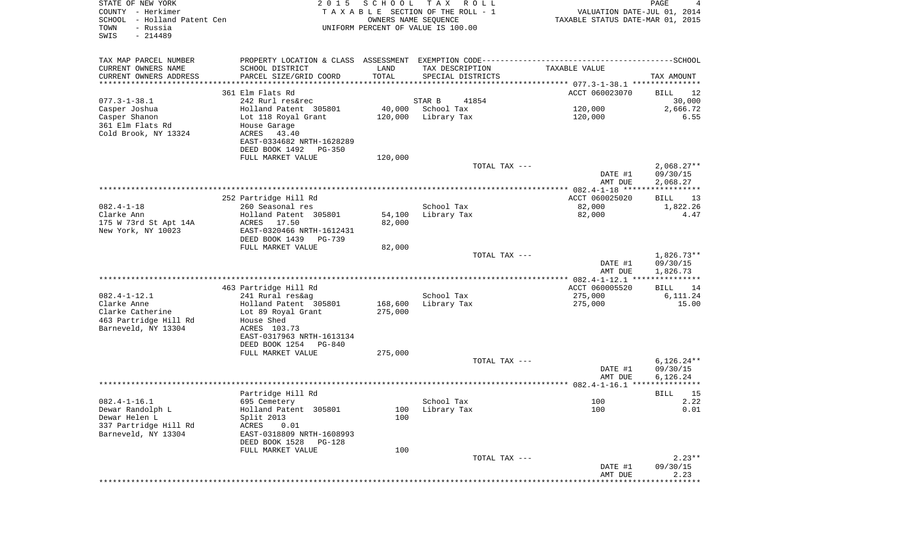| TAX MAP PARCEL NUMBER<br>CURRENT OWNERS NAME<br>SCHOOL DISTRICT<br>LAND<br>TAX DESCRIPTION<br>TAXABLE VALUE<br>TOTAL<br>CURRENT OWNERS ADDRESS<br>PARCEL SIZE/GRID COORD<br>SPECIAL DISTRICTS<br>TAX AMOUNT<br>**********************<br>361 Elm Flats Rd<br>ACCT 060023070<br>BILL<br>12<br>$077.3 - 1 - 38.1$<br>242 Rurl res&rec<br>41854<br>30,000<br>STAR B<br>Casper Joshua<br>Holland Patent 305801<br>40,000<br>School Tax<br>120,000<br>2,666.72<br>Casper Shanon<br>Lot 118 Royal Grant<br>120,000<br>Library Tax<br>120,000<br>6.55<br>361 Elm Flats Rd<br>House Garage<br>Cold Brook, NY 13324<br>43.40<br>ACRES<br>EAST-0334682 NRTH-1628289<br>DEED BOOK 1492<br>PG-350<br>FULL MARKET VALUE<br>120,000<br>TOTAL TAX ---<br>$2,068.27**$<br>09/30/15<br>DATE #1<br>AMT DUE<br>2,068.27<br>252 Partridge Hill Rd<br>ACCT 060025020<br>BILL<br>13<br>$082.4 - 1 - 18$<br>260 Seasonal res<br>School Tax<br>82,000<br>1,822.26<br>Clarke Ann<br>Holland Patent 305801<br>54,100<br>Library Tax<br>82,000<br>4.47<br>82,000<br>175 W 73rd St Apt 14A<br>ACRES 17.50<br>New York, NY 10023<br>EAST-0320466 NRTH-1612431<br>DEED BOOK 1439<br>PG-739<br>FULL MARKET VALUE<br>82,000<br>TOTAL TAX ---<br>$1,826.73**$<br>09/30/15<br>DATE #1<br>1,826.73<br>AMT DUE<br>ACCT 060005520<br>463 Partridge Hill Rd<br>BILL<br>14<br>$082.4 - 1 - 12.1$<br>School Tax<br>241 Rural res&ag<br>275,000<br>6,111.24<br>Clarke Anne<br>Holland Patent 305801<br>168,600<br>Library Tax<br>275,000<br>15.00<br>Clarke Catherine<br>Lot 89 Royal Grant<br>275,000<br>463 Partridge Hill Rd<br>House Shed<br>Barneveld, NY 13304<br>ACRES 103.73<br>EAST-0317963 NRTH-1613134<br>DEED BOOK 1254<br>PG-840<br>FULL MARKET VALUE<br>275,000<br>$6,126.24**$<br>TOTAL TAX ---<br>09/30/15<br>DATE #1<br>AMT DUE<br>6,126.24<br>Partridge Hill Rd<br>BILL<br>15<br>$082.4 - 1 - 16.1$<br>2.22<br>School Tax<br>100<br>695 Cemetery<br>Holland Patent 305801<br>100<br>0.01<br>Dewar Randolph L<br>100 Library Tax<br>Dewar Helen L<br>Split 2013<br>100<br>337 Partridge Hill Rd<br>ACRES<br>0.01<br>Barneveld, NY 13304<br>EAST-0318809 NRTH-1608993<br>DEED BOOK 1528<br>PG-128<br>FULL MARKET VALUE<br>100<br>$2.23**$<br>TOTAL TAX ---<br>DATE #1<br>09/30/15<br>AMT DUE<br>2.23<br>***************<br>******* | STATE OF NEW YORK<br>COUNTY - Herkimer<br>SCHOOL - Holland Patent Cen<br>- Russia<br>TOWN<br>SWIS<br>$-214489$ | 2 0 1 5 | SCHOOL<br>OWNERS NAME SEQUENCE | T A X<br>R O L L<br>TAXABLE SECTION OF THE ROLL - 1<br>UNIFORM PERCENT OF VALUE IS 100.00 | VALUATION DATE-JUL 01, 2014<br>TAXABLE STATUS DATE-MAR 01, 2015 | PAGE<br>4 |
|-----------------------------------------------------------------------------------------------------------------------------------------------------------------------------------------------------------------------------------------------------------------------------------------------------------------------------------------------------------------------------------------------------------------------------------------------------------------------------------------------------------------------------------------------------------------------------------------------------------------------------------------------------------------------------------------------------------------------------------------------------------------------------------------------------------------------------------------------------------------------------------------------------------------------------------------------------------------------------------------------------------------------------------------------------------------------------------------------------------------------------------------------------------------------------------------------------------------------------------------------------------------------------------------------------------------------------------------------------------------------------------------------------------------------------------------------------------------------------------------------------------------------------------------------------------------------------------------------------------------------------------------------------------------------------------------------------------------------------------------------------------------------------------------------------------------------------------------------------------------------------------------------------------------------------------------------------------------------------------------------------------------------------------------------------------------------------------------------------------------------------------------------------------------------------------------------------------------------------------------------------------------------------------------------------------|----------------------------------------------------------------------------------------------------------------|---------|--------------------------------|-------------------------------------------------------------------------------------------|-----------------------------------------------------------------|-----------|
|                                                                                                                                                                                                                                                                                                                                                                                                                                                                                                                                                                                                                                                                                                                                                                                                                                                                                                                                                                                                                                                                                                                                                                                                                                                                                                                                                                                                                                                                                                                                                                                                                                                                                                                                                                                                                                                                                                                                                                                                                                                                                                                                                                                                                                                                                                           |                                                                                                                |         |                                |                                                                                           |                                                                 |           |
|                                                                                                                                                                                                                                                                                                                                                                                                                                                                                                                                                                                                                                                                                                                                                                                                                                                                                                                                                                                                                                                                                                                                                                                                                                                                                                                                                                                                                                                                                                                                                                                                                                                                                                                                                                                                                                                                                                                                                                                                                                                                                                                                                                                                                                                                                                           |                                                                                                                |         |                                |                                                                                           |                                                                 |           |
|                                                                                                                                                                                                                                                                                                                                                                                                                                                                                                                                                                                                                                                                                                                                                                                                                                                                                                                                                                                                                                                                                                                                                                                                                                                                                                                                                                                                                                                                                                                                                                                                                                                                                                                                                                                                                                                                                                                                                                                                                                                                                                                                                                                                                                                                                                           |                                                                                                                |         |                                |                                                                                           |                                                                 |           |
|                                                                                                                                                                                                                                                                                                                                                                                                                                                                                                                                                                                                                                                                                                                                                                                                                                                                                                                                                                                                                                                                                                                                                                                                                                                                                                                                                                                                                                                                                                                                                                                                                                                                                                                                                                                                                                                                                                                                                                                                                                                                                                                                                                                                                                                                                                           |                                                                                                                |         |                                |                                                                                           |                                                                 |           |
|                                                                                                                                                                                                                                                                                                                                                                                                                                                                                                                                                                                                                                                                                                                                                                                                                                                                                                                                                                                                                                                                                                                                                                                                                                                                                                                                                                                                                                                                                                                                                                                                                                                                                                                                                                                                                                                                                                                                                                                                                                                                                                                                                                                                                                                                                                           |                                                                                                                |         |                                |                                                                                           |                                                                 |           |
|                                                                                                                                                                                                                                                                                                                                                                                                                                                                                                                                                                                                                                                                                                                                                                                                                                                                                                                                                                                                                                                                                                                                                                                                                                                                                                                                                                                                                                                                                                                                                                                                                                                                                                                                                                                                                                                                                                                                                                                                                                                                                                                                                                                                                                                                                                           |                                                                                                                |         |                                |                                                                                           |                                                                 |           |
|                                                                                                                                                                                                                                                                                                                                                                                                                                                                                                                                                                                                                                                                                                                                                                                                                                                                                                                                                                                                                                                                                                                                                                                                                                                                                                                                                                                                                                                                                                                                                                                                                                                                                                                                                                                                                                                                                                                                                                                                                                                                                                                                                                                                                                                                                                           |                                                                                                                |         |                                |                                                                                           |                                                                 |           |
|                                                                                                                                                                                                                                                                                                                                                                                                                                                                                                                                                                                                                                                                                                                                                                                                                                                                                                                                                                                                                                                                                                                                                                                                                                                                                                                                                                                                                                                                                                                                                                                                                                                                                                                                                                                                                                                                                                                                                                                                                                                                                                                                                                                                                                                                                                           |                                                                                                                |         |                                |                                                                                           |                                                                 |           |
|                                                                                                                                                                                                                                                                                                                                                                                                                                                                                                                                                                                                                                                                                                                                                                                                                                                                                                                                                                                                                                                                                                                                                                                                                                                                                                                                                                                                                                                                                                                                                                                                                                                                                                                                                                                                                                                                                                                                                                                                                                                                                                                                                                                                                                                                                                           |                                                                                                                |         |                                |                                                                                           |                                                                 |           |
|                                                                                                                                                                                                                                                                                                                                                                                                                                                                                                                                                                                                                                                                                                                                                                                                                                                                                                                                                                                                                                                                                                                                                                                                                                                                                                                                                                                                                                                                                                                                                                                                                                                                                                                                                                                                                                                                                                                                                                                                                                                                                                                                                                                                                                                                                                           |                                                                                                                |         |                                |                                                                                           |                                                                 |           |
|                                                                                                                                                                                                                                                                                                                                                                                                                                                                                                                                                                                                                                                                                                                                                                                                                                                                                                                                                                                                                                                                                                                                                                                                                                                                                                                                                                                                                                                                                                                                                                                                                                                                                                                                                                                                                                                                                                                                                                                                                                                                                                                                                                                                                                                                                                           |                                                                                                                |         |                                |                                                                                           |                                                                 |           |
|                                                                                                                                                                                                                                                                                                                                                                                                                                                                                                                                                                                                                                                                                                                                                                                                                                                                                                                                                                                                                                                                                                                                                                                                                                                                                                                                                                                                                                                                                                                                                                                                                                                                                                                                                                                                                                                                                                                                                                                                                                                                                                                                                                                                                                                                                                           |                                                                                                                |         |                                |                                                                                           |                                                                 |           |
|                                                                                                                                                                                                                                                                                                                                                                                                                                                                                                                                                                                                                                                                                                                                                                                                                                                                                                                                                                                                                                                                                                                                                                                                                                                                                                                                                                                                                                                                                                                                                                                                                                                                                                                                                                                                                                                                                                                                                                                                                                                                                                                                                                                                                                                                                                           |                                                                                                                |         |                                |                                                                                           |                                                                 |           |
|                                                                                                                                                                                                                                                                                                                                                                                                                                                                                                                                                                                                                                                                                                                                                                                                                                                                                                                                                                                                                                                                                                                                                                                                                                                                                                                                                                                                                                                                                                                                                                                                                                                                                                                                                                                                                                                                                                                                                                                                                                                                                                                                                                                                                                                                                                           |                                                                                                                |         |                                |                                                                                           |                                                                 |           |
|                                                                                                                                                                                                                                                                                                                                                                                                                                                                                                                                                                                                                                                                                                                                                                                                                                                                                                                                                                                                                                                                                                                                                                                                                                                                                                                                                                                                                                                                                                                                                                                                                                                                                                                                                                                                                                                                                                                                                                                                                                                                                                                                                                                                                                                                                                           |                                                                                                                |         |                                |                                                                                           |                                                                 |           |
|                                                                                                                                                                                                                                                                                                                                                                                                                                                                                                                                                                                                                                                                                                                                                                                                                                                                                                                                                                                                                                                                                                                                                                                                                                                                                                                                                                                                                                                                                                                                                                                                                                                                                                                                                                                                                                                                                                                                                                                                                                                                                                                                                                                                                                                                                                           |                                                                                                                |         |                                |                                                                                           |                                                                 |           |
|                                                                                                                                                                                                                                                                                                                                                                                                                                                                                                                                                                                                                                                                                                                                                                                                                                                                                                                                                                                                                                                                                                                                                                                                                                                                                                                                                                                                                                                                                                                                                                                                                                                                                                                                                                                                                                                                                                                                                                                                                                                                                                                                                                                                                                                                                                           |                                                                                                                |         |                                |                                                                                           |                                                                 |           |
|                                                                                                                                                                                                                                                                                                                                                                                                                                                                                                                                                                                                                                                                                                                                                                                                                                                                                                                                                                                                                                                                                                                                                                                                                                                                                                                                                                                                                                                                                                                                                                                                                                                                                                                                                                                                                                                                                                                                                                                                                                                                                                                                                                                                                                                                                                           |                                                                                                                |         |                                |                                                                                           |                                                                 |           |
|                                                                                                                                                                                                                                                                                                                                                                                                                                                                                                                                                                                                                                                                                                                                                                                                                                                                                                                                                                                                                                                                                                                                                                                                                                                                                                                                                                                                                                                                                                                                                                                                                                                                                                                                                                                                                                                                                                                                                                                                                                                                                                                                                                                                                                                                                                           |                                                                                                                |         |                                |                                                                                           |                                                                 |           |
|                                                                                                                                                                                                                                                                                                                                                                                                                                                                                                                                                                                                                                                                                                                                                                                                                                                                                                                                                                                                                                                                                                                                                                                                                                                                                                                                                                                                                                                                                                                                                                                                                                                                                                                                                                                                                                                                                                                                                                                                                                                                                                                                                                                                                                                                                                           |                                                                                                                |         |                                |                                                                                           |                                                                 |           |
|                                                                                                                                                                                                                                                                                                                                                                                                                                                                                                                                                                                                                                                                                                                                                                                                                                                                                                                                                                                                                                                                                                                                                                                                                                                                                                                                                                                                                                                                                                                                                                                                                                                                                                                                                                                                                                                                                                                                                                                                                                                                                                                                                                                                                                                                                                           |                                                                                                                |         |                                |                                                                                           |                                                                 |           |
|                                                                                                                                                                                                                                                                                                                                                                                                                                                                                                                                                                                                                                                                                                                                                                                                                                                                                                                                                                                                                                                                                                                                                                                                                                                                                                                                                                                                                                                                                                                                                                                                                                                                                                                                                                                                                                                                                                                                                                                                                                                                                                                                                                                                                                                                                                           |                                                                                                                |         |                                |                                                                                           |                                                                 |           |
|                                                                                                                                                                                                                                                                                                                                                                                                                                                                                                                                                                                                                                                                                                                                                                                                                                                                                                                                                                                                                                                                                                                                                                                                                                                                                                                                                                                                                                                                                                                                                                                                                                                                                                                                                                                                                                                                                                                                                                                                                                                                                                                                                                                                                                                                                                           |                                                                                                                |         |                                |                                                                                           |                                                                 |           |
|                                                                                                                                                                                                                                                                                                                                                                                                                                                                                                                                                                                                                                                                                                                                                                                                                                                                                                                                                                                                                                                                                                                                                                                                                                                                                                                                                                                                                                                                                                                                                                                                                                                                                                                                                                                                                                                                                                                                                                                                                                                                                                                                                                                                                                                                                                           |                                                                                                                |         |                                |                                                                                           |                                                                 |           |
|                                                                                                                                                                                                                                                                                                                                                                                                                                                                                                                                                                                                                                                                                                                                                                                                                                                                                                                                                                                                                                                                                                                                                                                                                                                                                                                                                                                                                                                                                                                                                                                                                                                                                                                                                                                                                                                                                                                                                                                                                                                                                                                                                                                                                                                                                                           |                                                                                                                |         |                                |                                                                                           |                                                                 |           |
|                                                                                                                                                                                                                                                                                                                                                                                                                                                                                                                                                                                                                                                                                                                                                                                                                                                                                                                                                                                                                                                                                                                                                                                                                                                                                                                                                                                                                                                                                                                                                                                                                                                                                                                                                                                                                                                                                                                                                                                                                                                                                                                                                                                                                                                                                                           |                                                                                                                |         |                                |                                                                                           |                                                                 |           |
|                                                                                                                                                                                                                                                                                                                                                                                                                                                                                                                                                                                                                                                                                                                                                                                                                                                                                                                                                                                                                                                                                                                                                                                                                                                                                                                                                                                                                                                                                                                                                                                                                                                                                                                                                                                                                                                                                                                                                                                                                                                                                                                                                                                                                                                                                                           |                                                                                                                |         |                                |                                                                                           |                                                                 |           |
|                                                                                                                                                                                                                                                                                                                                                                                                                                                                                                                                                                                                                                                                                                                                                                                                                                                                                                                                                                                                                                                                                                                                                                                                                                                                                                                                                                                                                                                                                                                                                                                                                                                                                                                                                                                                                                                                                                                                                                                                                                                                                                                                                                                                                                                                                                           |                                                                                                                |         |                                |                                                                                           |                                                                 |           |
|                                                                                                                                                                                                                                                                                                                                                                                                                                                                                                                                                                                                                                                                                                                                                                                                                                                                                                                                                                                                                                                                                                                                                                                                                                                                                                                                                                                                                                                                                                                                                                                                                                                                                                                                                                                                                                                                                                                                                                                                                                                                                                                                                                                                                                                                                                           |                                                                                                                |         |                                |                                                                                           |                                                                 |           |
|                                                                                                                                                                                                                                                                                                                                                                                                                                                                                                                                                                                                                                                                                                                                                                                                                                                                                                                                                                                                                                                                                                                                                                                                                                                                                                                                                                                                                                                                                                                                                                                                                                                                                                                                                                                                                                                                                                                                                                                                                                                                                                                                                                                                                                                                                                           |                                                                                                                |         |                                |                                                                                           |                                                                 |           |
|                                                                                                                                                                                                                                                                                                                                                                                                                                                                                                                                                                                                                                                                                                                                                                                                                                                                                                                                                                                                                                                                                                                                                                                                                                                                                                                                                                                                                                                                                                                                                                                                                                                                                                                                                                                                                                                                                                                                                                                                                                                                                                                                                                                                                                                                                                           |                                                                                                                |         |                                |                                                                                           |                                                                 |           |
|                                                                                                                                                                                                                                                                                                                                                                                                                                                                                                                                                                                                                                                                                                                                                                                                                                                                                                                                                                                                                                                                                                                                                                                                                                                                                                                                                                                                                                                                                                                                                                                                                                                                                                                                                                                                                                                                                                                                                                                                                                                                                                                                                                                                                                                                                                           |                                                                                                                |         |                                |                                                                                           |                                                                 |           |
|                                                                                                                                                                                                                                                                                                                                                                                                                                                                                                                                                                                                                                                                                                                                                                                                                                                                                                                                                                                                                                                                                                                                                                                                                                                                                                                                                                                                                                                                                                                                                                                                                                                                                                                                                                                                                                                                                                                                                                                                                                                                                                                                                                                                                                                                                                           |                                                                                                                |         |                                |                                                                                           |                                                                 |           |
|                                                                                                                                                                                                                                                                                                                                                                                                                                                                                                                                                                                                                                                                                                                                                                                                                                                                                                                                                                                                                                                                                                                                                                                                                                                                                                                                                                                                                                                                                                                                                                                                                                                                                                                                                                                                                                                                                                                                                                                                                                                                                                                                                                                                                                                                                                           |                                                                                                                |         |                                |                                                                                           |                                                                 |           |
|                                                                                                                                                                                                                                                                                                                                                                                                                                                                                                                                                                                                                                                                                                                                                                                                                                                                                                                                                                                                                                                                                                                                                                                                                                                                                                                                                                                                                                                                                                                                                                                                                                                                                                                                                                                                                                                                                                                                                                                                                                                                                                                                                                                                                                                                                                           |                                                                                                                |         |                                |                                                                                           |                                                                 |           |
|                                                                                                                                                                                                                                                                                                                                                                                                                                                                                                                                                                                                                                                                                                                                                                                                                                                                                                                                                                                                                                                                                                                                                                                                                                                                                                                                                                                                                                                                                                                                                                                                                                                                                                                                                                                                                                                                                                                                                                                                                                                                                                                                                                                                                                                                                                           |                                                                                                                |         |                                |                                                                                           |                                                                 |           |
|                                                                                                                                                                                                                                                                                                                                                                                                                                                                                                                                                                                                                                                                                                                                                                                                                                                                                                                                                                                                                                                                                                                                                                                                                                                                                                                                                                                                                                                                                                                                                                                                                                                                                                                                                                                                                                                                                                                                                                                                                                                                                                                                                                                                                                                                                                           |                                                                                                                |         |                                |                                                                                           |                                                                 |           |
|                                                                                                                                                                                                                                                                                                                                                                                                                                                                                                                                                                                                                                                                                                                                                                                                                                                                                                                                                                                                                                                                                                                                                                                                                                                                                                                                                                                                                                                                                                                                                                                                                                                                                                                                                                                                                                                                                                                                                                                                                                                                                                                                                                                                                                                                                                           |                                                                                                                |         |                                |                                                                                           |                                                                 |           |
|                                                                                                                                                                                                                                                                                                                                                                                                                                                                                                                                                                                                                                                                                                                                                                                                                                                                                                                                                                                                                                                                                                                                                                                                                                                                                                                                                                                                                                                                                                                                                                                                                                                                                                                                                                                                                                                                                                                                                                                                                                                                                                                                                                                                                                                                                                           |                                                                                                                |         |                                |                                                                                           |                                                                 |           |
|                                                                                                                                                                                                                                                                                                                                                                                                                                                                                                                                                                                                                                                                                                                                                                                                                                                                                                                                                                                                                                                                                                                                                                                                                                                                                                                                                                                                                                                                                                                                                                                                                                                                                                                                                                                                                                                                                                                                                                                                                                                                                                                                                                                                                                                                                                           |                                                                                                                |         |                                |                                                                                           |                                                                 |           |
|                                                                                                                                                                                                                                                                                                                                                                                                                                                                                                                                                                                                                                                                                                                                                                                                                                                                                                                                                                                                                                                                                                                                                                                                                                                                                                                                                                                                                                                                                                                                                                                                                                                                                                                                                                                                                                                                                                                                                                                                                                                                                                                                                                                                                                                                                                           |                                                                                                                |         |                                |                                                                                           |                                                                 |           |
|                                                                                                                                                                                                                                                                                                                                                                                                                                                                                                                                                                                                                                                                                                                                                                                                                                                                                                                                                                                                                                                                                                                                                                                                                                                                                                                                                                                                                                                                                                                                                                                                                                                                                                                                                                                                                                                                                                                                                                                                                                                                                                                                                                                                                                                                                                           |                                                                                                                |         |                                |                                                                                           |                                                                 |           |
|                                                                                                                                                                                                                                                                                                                                                                                                                                                                                                                                                                                                                                                                                                                                                                                                                                                                                                                                                                                                                                                                                                                                                                                                                                                                                                                                                                                                                                                                                                                                                                                                                                                                                                                                                                                                                                                                                                                                                                                                                                                                                                                                                                                                                                                                                                           |                                                                                                                |         |                                |                                                                                           |                                                                 |           |
|                                                                                                                                                                                                                                                                                                                                                                                                                                                                                                                                                                                                                                                                                                                                                                                                                                                                                                                                                                                                                                                                                                                                                                                                                                                                                                                                                                                                                                                                                                                                                                                                                                                                                                                                                                                                                                                                                                                                                                                                                                                                                                                                                                                                                                                                                                           |                                                                                                                |         |                                |                                                                                           |                                                                 |           |
|                                                                                                                                                                                                                                                                                                                                                                                                                                                                                                                                                                                                                                                                                                                                                                                                                                                                                                                                                                                                                                                                                                                                                                                                                                                                                                                                                                                                                                                                                                                                                                                                                                                                                                                                                                                                                                                                                                                                                                                                                                                                                                                                                                                                                                                                                                           |                                                                                                                |         |                                |                                                                                           |                                                                 |           |
|                                                                                                                                                                                                                                                                                                                                                                                                                                                                                                                                                                                                                                                                                                                                                                                                                                                                                                                                                                                                                                                                                                                                                                                                                                                                                                                                                                                                                                                                                                                                                                                                                                                                                                                                                                                                                                                                                                                                                                                                                                                                                                                                                                                                                                                                                                           |                                                                                                                |         |                                |                                                                                           |                                                                 |           |
|                                                                                                                                                                                                                                                                                                                                                                                                                                                                                                                                                                                                                                                                                                                                                                                                                                                                                                                                                                                                                                                                                                                                                                                                                                                                                                                                                                                                                                                                                                                                                                                                                                                                                                                                                                                                                                                                                                                                                                                                                                                                                                                                                                                                                                                                                                           |                                                                                                                |         |                                |                                                                                           |                                                                 |           |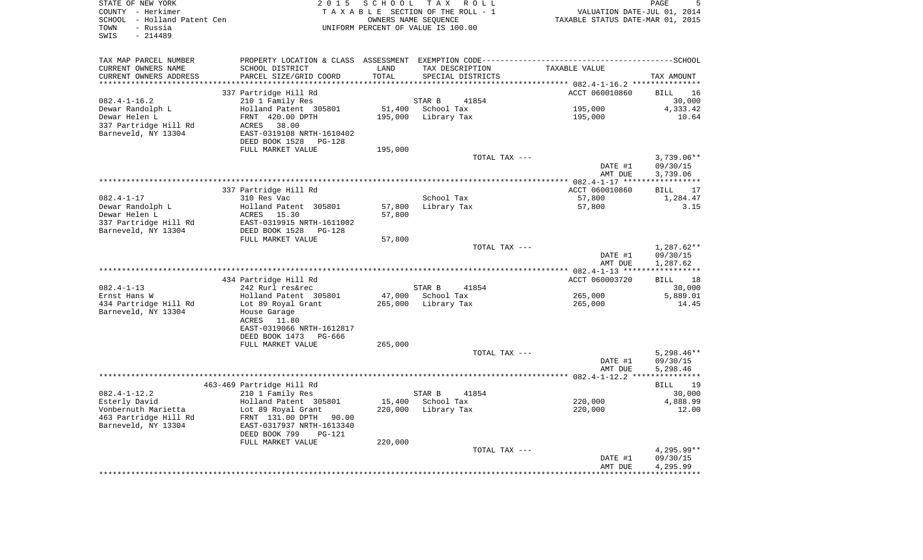COUNTY - Herkimer **TA X A B L E** SECTION OF THE ROLL - 1 VALUATION DATE-JUL 01, 2014 SCHOOL - Holland Patent Cen Taxable Taxable States AME SEQUENCE TAXABLE STATUS DATE-MAR 01, 2015 TOWN - Russia UNIFORM PERCENT OF VALUE IS 100.00SWIS - 214489

STATE OF NEW YORK 2 0 1 5 S C H O O L T A X R O L L PAGE 5

TAX MAP PARCEL NUMBER PROPERTY LOCATION & CLASS ASSESSMENT EXEMPTION CODE------------------------------------------SCHOOL

 $5^{\circ}$ 

| CURRENT OWNERS NAME    | SCHOOL DISTRICT                 | LAND       | TAX DESCRIPTION   | TAXABLE VALUE                     |                   |
|------------------------|---------------------------------|------------|-------------------|-----------------------------------|-------------------|
| CURRENT OWNERS ADDRESS | PARCEL SIZE/GRID COORD          | TOTAL      | SPECIAL DISTRICTS |                                   | TAX AMOUNT        |
| ******************     |                                 | ********** |                   | ************ 082.4-1-16.2 ******* |                   |
|                        | 337 Partridge Hill Rd           |            |                   | ACCT 060010860                    | 16<br>BILL        |
| $082.4 - 1 - 16.2$     | 210 1 Family Res                |            | STAR B<br>41854   |                                   | 30,000            |
| Dewar Randolph L       | Holland Patent 305801           | 51,400     | School Tax        | 195,000                           | 4,333.42          |
| Dewar Helen L          | FRNT 420.00 DPTH                | 195,000    | Library Tax       | 195,000                           | 10.64             |
| 337 Partridge Hill Rd  | 38.00<br>ACRES                  |            |                   |                                   |                   |
| Barneveld, NY 13304    | EAST-0319108 NRTH-1610402       |            |                   |                                   |                   |
|                        | DEED BOOK 1528<br><b>PG-128</b> |            |                   |                                   |                   |
|                        | FULL MARKET VALUE               | 195,000    |                   |                                   |                   |
|                        |                                 |            | TOTAL TAX ---     |                                   | $3,739.06**$      |
|                        |                                 |            |                   | DATE #1                           | 09/30/15          |
|                        |                                 |            |                   | AMT DUE                           | 3,739.06          |
|                        |                                 |            |                   |                                   |                   |
|                        | 337 Partridge Hill Rd           |            |                   | ACCT 060010860                    | <b>BILL</b><br>17 |
| $082.4 - 1 - 17$       | 310 Res Vac                     |            | School Tax        | 57,800                            | 1,284.47          |
| Dewar Randolph L       | Holland Patent 305801           | 57,800     | Library Tax       | 57,800                            | 3.15              |
| Dewar Helen L          | ACRES<br>15.30                  | 57,800     |                   |                                   |                   |
| 337 Partridge Hill Rd  | EAST-0319915 NRTH-1611002       |            |                   |                                   |                   |
| Barneveld, NY 13304    | DEED BOOK 1528<br>$PG-128$      |            |                   |                                   |                   |
|                        | FULL MARKET VALUE               | 57,800     |                   |                                   |                   |
|                        |                                 |            | TOTAL TAX ---     |                                   | $1,287.62**$      |
|                        |                                 |            |                   | DATE #1                           | 09/30/15          |
|                        |                                 |            |                   | AMT DUE                           | 1,287.62          |
|                        |                                 |            |                   |                                   |                   |
|                        | 434 Partridge Hill Rd           |            |                   | ACCT 060003720                    | 18<br><b>BILL</b> |
| $082.4 - 1 - 13$       | 242 Rurl res&rec                |            | 41854<br>STAR B   |                                   | 30,000            |
| Ernst Hans W           | Holland Patent 305801           | 47,000     | School Tax        | 265,000                           | 5,889.01          |
| 434 Partridge Hill Rd  | Lot 89 Royal Grant              | 265,000    | Library Tax       | 265,000                           | 14.45             |
| Barneveld, NY 13304    | House Garage                    |            |                   |                                   |                   |
|                        | 11.80<br>ACRES                  |            |                   |                                   |                   |
|                        | EAST-0319066 NRTH-1612817       |            |                   |                                   |                   |
|                        | DEED BOOK 1473<br>PG-666        |            |                   |                                   |                   |
|                        | FULL MARKET VALUE               | 265,000    |                   |                                   |                   |
|                        |                                 |            | TOTAL TAX ---     |                                   | $5,298.46**$      |
|                        |                                 |            |                   | DATE #1                           | 09/30/15          |
|                        |                                 |            |                   | AMT DUE                           | 5,298.46          |
|                        |                                 |            |                   |                                   |                   |
|                        | 463-469 Partridge Hill Rd       |            |                   |                                   | <b>BILL</b><br>19 |
| $082.4 - 1 - 12.2$     | 210 1 Family Res                |            | STAR B<br>41854   |                                   | 30,000            |
| Esterly David          | Holland Patent 305801           | 15,400     | School Tax        | 220,000                           | 4,888.99          |
| Vonbernuth Marietta    | Lot 89 Royal Grant              | 220,000    | Library Tax       | 220,000                           | 12.00             |
| 463 Partridge Hill Rd  | FRNT 131.00 DPTH<br>90.00       |            |                   |                                   |                   |
| Barneveld, NY 13304    | EAST-0317937 NRTH-1613340       |            |                   |                                   |                   |
|                        | DEED BOOK 799<br>$PG-121$       |            |                   |                                   |                   |
|                        | FULL MARKET VALUE               | 220,000    |                   |                                   |                   |
|                        |                                 |            | TOTAL TAX ---     |                                   | $4.295.99**$      |
|                        |                                 |            |                   | DATE #1                           | 09/30/15          |
|                        |                                 |            |                   | AMT DUE                           | 4,295.99          |
|                        |                                 |            |                   |                                   |                   |
|                        |                                 |            |                   |                                   |                   |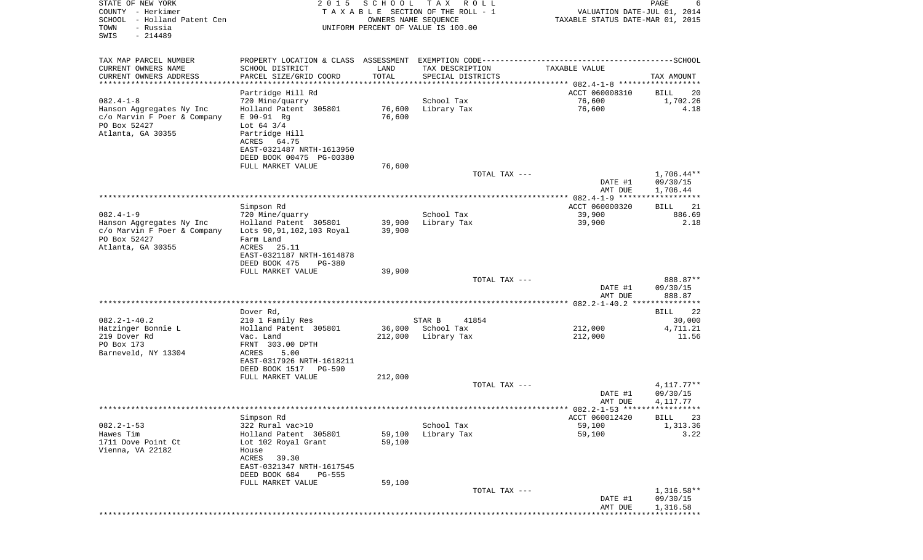| STATE OF NEW YORK<br>COUNTY - Herkimer<br>SCHOOL - Holland Patent Cen<br>- Russia<br>TOWN<br>$-214489$<br>SWIS  | 2 0 1 5                                                                                                                                                                    | SCHOOL                     | T A X<br>R O L L<br>TAXABLE SECTION OF THE ROLL - 1<br>OWNERS NAME SEQUENCE<br>UNIFORM PERCENT OF VALUE IS 100.00 | VALUATION DATE-JUL 01, 2014<br>TAXABLE STATUS DATE-MAR 01, 2015 | PAGE<br>6                            |
|-----------------------------------------------------------------------------------------------------------------|----------------------------------------------------------------------------------------------------------------------------------------------------------------------------|----------------------------|-------------------------------------------------------------------------------------------------------------------|-----------------------------------------------------------------|--------------------------------------|
| TAX MAP PARCEL NUMBER                                                                                           |                                                                                                                                                                            |                            | PROPERTY LOCATION & CLASS ASSESSMENT EXEMPTION CODE-----------------------------------SCHOOL                      |                                                                 |                                      |
| CURRENT OWNERS NAME<br>CURRENT OWNERS ADDRESS                                                                   | SCHOOL DISTRICT<br>PARCEL SIZE/GRID COORD                                                                                                                                  | LAND<br>TOTAL              | TAX DESCRIPTION<br>SPECIAL DISTRICTS                                                                              | TAXABLE VALUE                                                   | TAX AMOUNT                           |
| *********************                                                                                           |                                                                                                                                                                            | ***************            |                                                                                                                   |                                                                 |                                      |
|                                                                                                                 | Partridge Hill Rd                                                                                                                                                          |                            |                                                                                                                   | ACCT 060008310                                                  | BILL<br>20                           |
| $082.4 - 1 - 8$<br>Hanson Aggregates Ny Inc<br>c/o Marvin F Poer & Company<br>PO Box 52427<br>Atlanta, GA 30355 | 720 Mine/quarry<br>Holland Patent 305801<br>$E$ 90-91 Rg<br>Lot $64 \frac{3}{4}$<br>Partridge Hill<br>ACRES 64.75<br>EAST-0321487 NRTH-1613950<br>DEED BOOK 00475 PG-00380 | 76,600<br>76,600           | School Tax<br>Library Tax                                                                                         | 76,600<br>76,600                                                | 1,702.26<br>4.18                     |
|                                                                                                                 | FULL MARKET VALUE                                                                                                                                                          | 76,600                     |                                                                                                                   |                                                                 |                                      |
|                                                                                                                 |                                                                                                                                                                            |                            | TOTAL TAX ---                                                                                                     | DATE #1<br>AMT DUE                                              | $1,706.44**$<br>09/30/15<br>1,706.44 |
|                                                                                                                 |                                                                                                                                                                            |                            |                                                                                                                   |                                                                 | ************                         |
| $082.4 - 1 - 9$                                                                                                 | Simpson Rd<br>720 Mine/quarry                                                                                                                                              |                            | School Tax                                                                                                        | ACCT 060000320<br>39,900                                        | 21<br>BILL<br>886.69                 |
| Hanson Aggregates Ny Inc<br>c/o Marvin F Poer & Company<br>PO Box 52427<br>Atlanta, GA 30355                    | Holland Patent 305801<br>Lots 90, 91, 102, 103 Royal<br>Farm Land<br>ACRES 25.11<br>EAST-0321187 NRTH-1614878                                                              | 39,900<br>39,900           | Library Tax                                                                                                       | 39,900                                                          | 2.18                                 |
|                                                                                                                 | DEED BOOK 475<br><b>PG-380</b><br>FULL MARKET VALUE                                                                                                                        | 39,900                     |                                                                                                                   |                                                                 |                                      |
|                                                                                                                 |                                                                                                                                                                            |                            | TOTAL TAX ---                                                                                                     | DATE #1<br>AMT DUE                                              | 888.87**<br>09/30/15<br>888.87       |
|                                                                                                                 |                                                                                                                                                                            |                            |                                                                                                                   |                                                                 |                                      |
| $082.2 - 1 - 40.2$                                                                                              | Dover Rd,<br>210 1 Family Res                                                                                                                                              |                            | STAR B<br>41854                                                                                                   |                                                                 | 22<br>BILL<br>30,000                 |
| Hatzinger Bonnie L                                                                                              | Holland Patent 305801                                                                                                                                                      | 36,000                     | School Tax                                                                                                        | 212,000                                                         | 4,711.21                             |
| 219 Dover Rd<br>PO Box 173<br>Barneveld, NY 13304                                                               | Vac. Land<br>FRNT 303.00 DPTH<br>ACRES<br>5.00<br>EAST-0317926 NRTH-1618211<br>DEED BOOK 1517<br><b>PG-590</b>                                                             | 212,000                    | Library Tax                                                                                                       | 212,000                                                         | 11.56                                |
|                                                                                                                 | FULL MARKET VALUE                                                                                                                                                          | 212,000                    | TOTAL TAX ---                                                                                                     |                                                                 | $4.117.77**$                         |
|                                                                                                                 |                                                                                                                                                                            |                            |                                                                                                                   | DATE #1<br>AMT DUE                                              | 09/30/15<br>4,117.77                 |
|                                                                                                                 |                                                                                                                                                                            |                            |                                                                                                                   | ********* 082.2-1-53 ******************                         |                                      |
| $082.2 - 1 - 53$                                                                                                | Simpson Rd<br>322 Rural vac>10                                                                                                                                             |                            | School Tax                                                                                                        | ACCT 060012420<br>59,100                                        | <b>BILL</b><br>23<br>1,313.36        |
| Hawes Tim<br>1711 Dove Point Ct<br>Vienna, VA 22182                                                             | Holland Patent 305801<br>Lot 102 Royal Grant<br>House<br>ACRES<br>39.30<br>EAST-0321347 NRTH-1617545<br>DEED BOOK 684<br>PG-555<br>FULL MARKET VALUE                       | 59,100<br>59,100<br>59,100 | Library Tax                                                                                                       | 59,100                                                          | 3.22                                 |
|                                                                                                                 |                                                                                                                                                                            |                            | TOTAL TAX ---                                                                                                     |                                                                 | $1,316.58**$                         |
|                                                                                                                 |                                                                                                                                                                            |                            |                                                                                                                   | DATE #1<br>AMT DUE                                              | 09/30/15<br>1,316.58                 |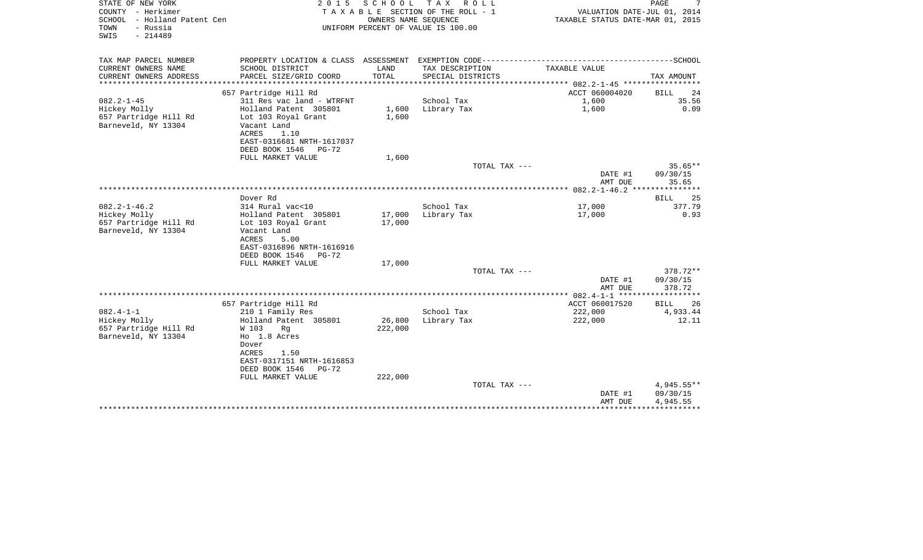| STATE OF NEW YORK<br>COUNTY - Herkimer<br>SCHOOL - Holland Patent Cen<br>- Russia<br>TOWN<br>$-214489$<br>SWIS | 2 0 1 5                                              | SCHOOL<br>OWNERS NAME SEOUENCE | T A X<br>R O L L<br>T A X A B L E SECTION OF THE ROLL - 1<br>UNIFORM PERCENT OF VALUE IS 100.00 | VALUATION DATE-JUL 01, 2014<br>TAXABLE STATUS DATE-MAR 01, 2015 | 7<br>PAGE             |
|----------------------------------------------------------------------------------------------------------------|------------------------------------------------------|--------------------------------|-------------------------------------------------------------------------------------------------|-----------------------------------------------------------------|-----------------------|
| TAX MAP PARCEL NUMBER                                                                                          |                                                      |                                |                                                                                                 |                                                                 |                       |
| CURRENT OWNERS NAME<br>CURRENT OWNERS ADDRESS<br>*********************                                         | SCHOOL DISTRICT<br>PARCEL SIZE/GRID COORD            | LAND<br>TOTAL                  | TAX DESCRIPTION<br>SPECIAL DISTRICTS                                                            | TAXABLE VALUE                                                   | TAX AMOUNT            |
|                                                                                                                | 657 Partridge Hill Rd                                |                                |                                                                                                 | ACCT 060004020                                                  | <b>BILL</b><br>24     |
| $082.2 - 1 - 45$                                                                                               | 311 Res vac land - WTRFNT                            |                                | School Tax                                                                                      | 1,600                                                           | 35.56                 |
| Hickey Molly                                                                                                   | Holland Patent 305801                                | 1,600                          | Library Tax                                                                                     | 1,600                                                           | 0.09                  |
| 657 Partridge Hill Rd                                                                                          | Lot 103 Royal Grant                                  | 1,600                          |                                                                                                 |                                                                 |                       |
| Barneveld, NY 13304                                                                                            | Vacant Land                                          |                                |                                                                                                 |                                                                 |                       |
|                                                                                                                | <b>ACRES</b><br>1.10                                 |                                |                                                                                                 |                                                                 |                       |
|                                                                                                                | EAST-0316681 NRTH-1617037                            |                                |                                                                                                 |                                                                 |                       |
|                                                                                                                | DEED BOOK 1546<br>PG-72                              |                                |                                                                                                 |                                                                 |                       |
|                                                                                                                | FULL MARKET VALUE                                    | 1,600                          |                                                                                                 |                                                                 |                       |
|                                                                                                                |                                                      |                                | TOTAL TAX ---                                                                                   | DATE #1                                                         | $35.65**$<br>09/30/15 |
|                                                                                                                |                                                      |                                |                                                                                                 | AMT DUE                                                         | 35.65                 |
|                                                                                                                |                                                      |                                |                                                                                                 |                                                                 |                       |
|                                                                                                                | Dover Rd                                             |                                |                                                                                                 |                                                                 | 25<br>BILL            |
| $082.2 - 1 - 46.2$                                                                                             | 314 Rural vac<10                                     |                                | School Tax                                                                                      | 17,000                                                          | 377.79                |
| Hickey Molly                                                                                                   | Holland Patent 305801                                | 17,000                         | Library Tax                                                                                     | 17,000                                                          | 0.93                  |
| 657 Partridge Hill Rd                                                                                          | Lot 103 Royal Grant                                  | 17,000                         |                                                                                                 |                                                                 |                       |
| Barneveld, NY 13304                                                                                            | Vacant Land                                          |                                |                                                                                                 |                                                                 |                       |
|                                                                                                                | ACRES<br>5.00                                        |                                |                                                                                                 |                                                                 |                       |
|                                                                                                                | EAST-0316896 NRTH-1616916                            |                                |                                                                                                 |                                                                 |                       |
|                                                                                                                | DEED BOOK 1546<br>$PG-72$                            |                                |                                                                                                 |                                                                 |                       |
|                                                                                                                | FULL MARKET VALUE                                    | 17,000                         | TOTAL TAX ---                                                                                   |                                                                 | 378.72**              |
|                                                                                                                |                                                      |                                |                                                                                                 | DATE #1                                                         | 09/30/15              |
|                                                                                                                |                                                      |                                |                                                                                                 | AMT DUE                                                         | 378.72                |
|                                                                                                                |                                                      |                                |                                                                                                 |                                                                 |                       |
|                                                                                                                | 657 Partridge Hill Rd                                |                                |                                                                                                 | ACCT 060017520                                                  | BILL<br>26            |
| $082.4 - 1 - 1$                                                                                                | 210 1 Family Res                                     |                                | School Tax                                                                                      | 222,000                                                         | 4,933.44              |
| Hickey Molly                                                                                                   | Holland Patent 305801                                | 26,800                         | Library Tax                                                                                     | 222,000                                                         | 12.11                 |
| 657 Partridge Hill Rd                                                                                          | W 103<br>Rg                                          | 222,000                        |                                                                                                 |                                                                 |                       |
| Barneveld, NY 13304                                                                                            | Ho 1.8 Acres                                         |                                |                                                                                                 |                                                                 |                       |
|                                                                                                                | Dover                                                |                                |                                                                                                 |                                                                 |                       |
|                                                                                                                | ACRES<br>1.50                                        |                                |                                                                                                 |                                                                 |                       |
|                                                                                                                | EAST-0317151 NRTH-1616853<br>DEED BOOK 1546<br>PG-72 |                                |                                                                                                 |                                                                 |                       |
|                                                                                                                | FULL MARKET VALUE                                    | 222,000                        |                                                                                                 |                                                                 |                       |
|                                                                                                                |                                                      |                                | TOTAL TAX ---                                                                                   |                                                                 | 4,945.55**            |
|                                                                                                                |                                                      |                                |                                                                                                 | DATE #1                                                         | 09/30/15              |
|                                                                                                                |                                                      |                                |                                                                                                 | AMT DUE                                                         | 4,945.55              |
|                                                                                                                |                                                      |                                |                                                                                                 |                                                                 |                       |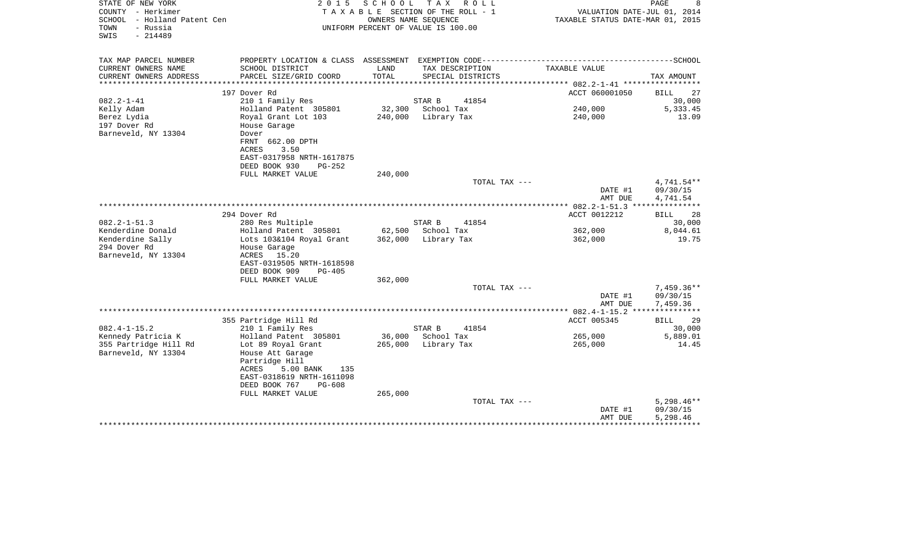| STATE OF NEW YORK<br>COUNTY - Herkimer<br>SCHOOL - Holland Patent Cen | 2 0 1 5<br>SCHOOL<br>T A X<br>R O L L<br>TAXABLE SECTION OF THE ROLL - 1<br>OWNERS NAME SEQUENCE |         |                                                     | PAGE<br>VALUATION DATE-JUL 01, 2014<br>TAXABLE STATUS DATE-MAR 01, 2015 |                                   |
|-----------------------------------------------------------------------|--------------------------------------------------------------------------------------------------|---------|-----------------------------------------------------|-------------------------------------------------------------------------|-----------------------------------|
| TOWN<br>- Russia<br>$-214489$<br>SWIS                                 |                                                                                                  |         | UNIFORM PERCENT OF VALUE IS 100.00                  |                                                                         |                                   |
| TAX MAP PARCEL NUMBER                                                 |                                                                                                  |         |                                                     |                                                                         |                                   |
| CURRENT OWNERS NAME                                                   | SCHOOL DISTRICT                                                                                  | LAND    | TAX DESCRIPTION                                     | TAXABLE VALUE                                                           |                                   |
| CURRENT OWNERS ADDRESS                                                | PARCEL SIZE/GRID COORD                                                                           | TOTAL   | SPECIAL DISTRICTS<br>****************************** | ***************** 082.2-1-41 ******************                         | TAX AMOUNT                        |
|                                                                       | 197 Dover Rd                                                                                     |         |                                                     | ACCT 060001050                                                          | BILL<br>27                        |
| $082.2 - 1 - 41$                                                      | 210 1 Family Res                                                                                 |         | 41854<br>STAR B                                     |                                                                         | 30,000                            |
| Kelly Adam                                                            | Holland Patent 305801                                                                            | 32,300  | School Tax                                          | 240,000                                                                 | 5,333.45                          |
| Berez Lydia                                                           | Royal Grant Lot 103                                                                              | 240,000 | Library Tax                                         | 240,000                                                                 | 13.09                             |
| 197 Dover Rd<br>Barneveld, NY 13304                                   | House Garage                                                                                     |         |                                                     |                                                                         |                                   |
|                                                                       | Dover<br>FRNT 662.00 DPTH                                                                        |         |                                                     |                                                                         |                                   |
|                                                                       | ACRES<br>3.50                                                                                    |         |                                                     |                                                                         |                                   |
|                                                                       | EAST-0317958 NRTH-1617875                                                                        |         |                                                     |                                                                         |                                   |
|                                                                       | DEED BOOK 930<br><b>PG-252</b>                                                                   |         |                                                     |                                                                         |                                   |
|                                                                       | FULL MARKET VALUE                                                                                | 240,000 |                                                     |                                                                         |                                   |
|                                                                       |                                                                                                  |         | TOTAL TAX ---                                       | DATE #1                                                                 | 4,741.54**<br>09/30/15            |
|                                                                       |                                                                                                  |         |                                                     | AMT DUE                                                                 | 4,741.54                          |
|                                                                       |                                                                                                  |         |                                                     | ************ 082.2-1-51.3 ***                                           | ***********                       |
|                                                                       | 294 Dover Rd                                                                                     |         |                                                     | ACCT 0012212                                                            | BILL<br>28                        |
| $082.2 - 1 - 51.3$                                                    | 280 Res Multiple                                                                                 |         | STAR B<br>41854                                     |                                                                         | 30,000                            |
| Kenderdine Donald                                                     | Holland Patent 305801                                                                            | 62,500  | School Tax                                          | 362,000                                                                 | 8,044.61                          |
| Kenderdine Sally                                                      | Lots 103&104 Royal Grant                                                                         |         | 362,000 Library Tax                                 | 362,000                                                                 | 19.75                             |
| 294 Dover Rd<br>Barneveld, NY 13304                                   | House Garage<br>ACRES<br>15.20                                                                   |         |                                                     |                                                                         |                                   |
|                                                                       | EAST-0319505 NRTH-1618598                                                                        |         |                                                     |                                                                         |                                   |
|                                                                       | DEED BOOK 909<br>PG-405                                                                          |         |                                                     |                                                                         |                                   |
|                                                                       | FULL MARKET VALUE                                                                                | 362,000 |                                                     |                                                                         |                                   |
|                                                                       |                                                                                                  |         | TOTAL TAX ---                                       |                                                                         | $7,459.36**$                      |
|                                                                       |                                                                                                  |         |                                                     | DATE #1                                                                 | 09/30/15                          |
|                                                                       |                                                                                                  |         |                                                     | AMT DUE                                                                 | 7,459.36<br>************          |
|                                                                       | 355 Partridge Hill Rd                                                                            |         |                                                     | ACCT 005345                                                             | BILL<br>29                        |
| $082.4 - 1 - 15.2$                                                    | 210 1 Family Res                                                                                 |         | STAR B<br>41854                                     |                                                                         | 30,000                            |
| Kennedy Patricia K                                                    | Holland Patent 305801                                                                            | 36,000  | School Tax                                          | 265,000                                                                 | 5,889.01                          |
| 355 Partridge Hill Rd                                                 | Lot 89 Royal Grant                                                                               | 265,000 | Library Tax                                         | 265,000                                                                 | 14.45                             |
| Barneveld, NY 13304                                                   | House Att Garage                                                                                 |         |                                                     |                                                                         |                                   |
|                                                                       | Partridge Hill<br>ACRES<br>5.00 BANK<br>135                                                      |         |                                                     |                                                                         |                                   |
|                                                                       | EAST-0318619 NRTH-1611098                                                                        |         |                                                     |                                                                         |                                   |
|                                                                       | DEED BOOK 767<br>PG-608                                                                          |         |                                                     |                                                                         |                                   |
|                                                                       | FULL MARKET VALUE                                                                                | 265,000 |                                                     |                                                                         |                                   |
|                                                                       |                                                                                                  |         | TOTAL TAX ---                                       |                                                                         | $5,298.46**$                      |
|                                                                       |                                                                                                  |         |                                                     | DATE #1                                                                 | 09/30/15                          |
|                                                                       |                                                                                                  |         |                                                     | AMT DUE<br>**************                                               | 5,298.46<br>* * * * * * * * * * * |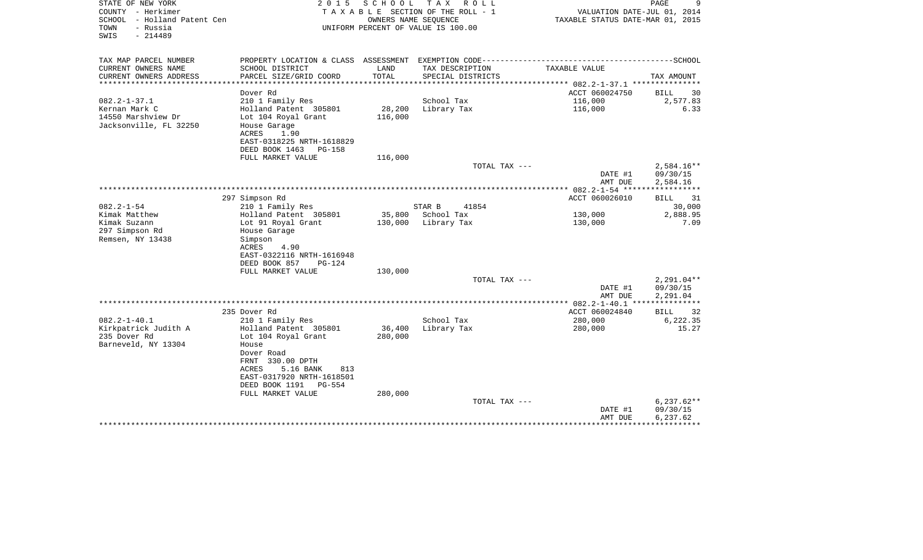| STATE OF NEW YORK<br>COUNTY - Herkimer<br>- Holland Patent Cen<br>SCHOOL<br>- Russia<br>TOWN<br>SWIS<br>$-214489$ | 2 0 1 5                                                                                                                                                                                                                  | SCHOOL                       | TAX ROLL<br>TAXABLE SECTION OF THE ROLL - 1<br>OWNERS NAME SEQUENCE<br>UNIFORM PERCENT OF VALUE IS 100.00 | VALUATION DATE-JUL 01, 2014<br>TAXABLE STATUS DATE-MAR 01, 2015 | 9<br>PAGE                               |
|-------------------------------------------------------------------------------------------------------------------|--------------------------------------------------------------------------------------------------------------------------------------------------------------------------------------------------------------------------|------------------------------|-----------------------------------------------------------------------------------------------------------|-----------------------------------------------------------------|-----------------------------------------|
| TAX MAP PARCEL NUMBER<br>CURRENT OWNERS NAME                                                                      | PROPERTY LOCATION & CLASS ASSESSMENT EXEMPTION CODE-----------------------------------SCHOOL<br>SCHOOL DISTRICT                                                                                                          | LAND                         | TAX DESCRIPTION                                                                                           | TAXABLE VALUE                                                   |                                         |
| CURRENT OWNERS ADDRESS                                                                                            | PARCEL SIZE/GRID COORD                                                                                                                                                                                                   | TOTAL                        | SPECIAL DISTRICTS                                                                                         |                                                                 | TAX AMOUNT                              |
|                                                                                                                   |                                                                                                                                                                                                                          | ****************             |                                                                                                           | ************ 082.2-1-37.1 ****************                      |                                         |
|                                                                                                                   | Dover Rd                                                                                                                                                                                                                 |                              |                                                                                                           | ACCT 060024750                                                  | 30<br>BILL                              |
| $082.2 - 1 - 37.1$<br>Kernan Mark C<br>14550 Marshview Dr<br>Jacksonville, FL 32250                               | 210 1 Family Res<br>Holland Patent 305801<br>Lot 104 Royal Grant<br>House Garage<br>ACRES<br>1.90<br>EAST-0318225 NRTH-1618829                                                                                           | 28,200<br>116,000            | School Tax<br>Library Tax                                                                                 | 116,000<br>116,000                                              | 2,577.83<br>6.33                        |
|                                                                                                                   | DEED BOOK 1463 PG-158                                                                                                                                                                                                    |                              |                                                                                                           |                                                                 |                                         |
|                                                                                                                   | FULL MARKET VALUE                                                                                                                                                                                                        | 116,000                      |                                                                                                           |                                                                 |                                         |
|                                                                                                                   |                                                                                                                                                                                                                          |                              | TOTAL TAX ---                                                                                             | DATE #1<br>AMT DUE                                              | $2,584.16**$<br>09/30/15<br>2,584.16    |
|                                                                                                                   |                                                                                                                                                                                                                          |                              |                                                                                                           |                                                                 |                                         |
| $082.2 - 1 - 54$<br>Kimak Matthew                                                                                 | 297 Simpson Rd<br>210 1 Family Res<br>Holland Patent 305801                                                                                                                                                              | 35,800                       | STAR B<br>41854<br>School Tax                                                                             | ACCT 060026010<br>130,000                                       | 31<br><b>BILL</b><br>30,000<br>2,888.95 |
| Kimak Suzann<br>297 Simpson Rd<br>Remsen, NY 13438                                                                | Lot 91 Royal Grant<br>House Garage<br>Simpson<br><b>ACRES</b><br>4.90<br>EAST-0322116 NRTH-1616948<br>DEED BOOK 857<br><b>PG-124</b><br>FULL MARKET VALUE                                                                | 130,000<br>130,000           | Library Tax                                                                                               | 130,000                                                         | 7.09                                    |
|                                                                                                                   |                                                                                                                                                                                                                          |                              | TOTAL TAX ---                                                                                             |                                                                 | $2,291.04**$                            |
|                                                                                                                   |                                                                                                                                                                                                                          |                              |                                                                                                           | DATE #1<br>AMT DUE                                              | 09/30/15<br>2,291.04                    |
|                                                                                                                   | 235 Dover Rd                                                                                                                                                                                                             |                              |                                                                                                           | *********** 082.2-1-40.1 ****************<br>ACCT 060024840     | 32<br><b>BILL</b>                       |
| $082.2 - 1 - 40.1$<br>Kirkpatrick Judith A<br>235 Dover Rd<br>Barneveld, NY 13304                                 | 210 1 Family Res<br>Holland Patent 305801<br>Lot 104 Royal Grant<br>House<br>Dover Road<br>FRNT 330.00 DPTH<br>5.16 BANK<br>ACRES<br>813<br>EAST-0317920 NRTH-1618501<br>DEED BOOK 1191<br>$PG-554$<br>FULL MARKET VALUE | 36,400<br>280,000<br>280,000 | School Tax<br>Library Tax                                                                                 | 280,000<br>280,000                                              | 6,222.35<br>15.27                       |
|                                                                                                                   |                                                                                                                                                                                                                          |                              | TOTAL TAX ---                                                                                             |                                                                 | $6,237.62**$                            |
|                                                                                                                   |                                                                                                                                                                                                                          |                              |                                                                                                           | DATE #1<br>AMT DUE<br>********************************          | 09/30/15<br>6,237.62                    |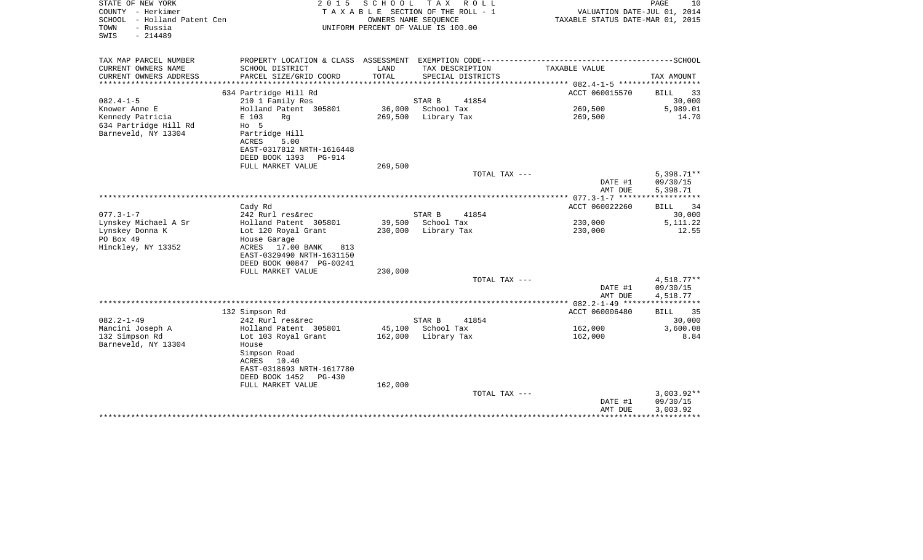| STATE OF NEW YORK<br>COUNTY - Herkimer<br>- Holland Patent Cen<br>SCHOOL<br>- Russia<br>TOWN<br>SWIS<br>$-214489$ | 2 0 1 5                                                                                                                  | SCHOOL               | T A X<br>R O L L<br>T A X A B L E SECTION OF THE ROLL - 1<br>OWNERS NAME SEQUENCE<br>UNIFORM PERCENT OF VALUE IS 100.00 | VALUATION DATE-JUL 01, 2014<br>TAXABLE STATUS DATE-MAR 01, 2015 | PAGE<br>10                           |
|-------------------------------------------------------------------------------------------------------------------|--------------------------------------------------------------------------------------------------------------------------|----------------------|-------------------------------------------------------------------------------------------------------------------------|-----------------------------------------------------------------|--------------------------------------|
| TAX MAP PARCEL NUMBER                                                                                             |                                                                                                                          |                      |                                                                                                                         |                                                                 |                                      |
| CURRENT OWNERS NAME<br>CURRENT OWNERS ADDRESS<br>*************************                                        | SCHOOL DISTRICT<br>PARCEL SIZE/GRID COORD                                                                                | LAND<br><b>TOTAL</b> | TAX DESCRIPTION<br>SPECIAL DISTRICTS                                                                                    | TAXABLE VALUE                                                   | TAX AMOUNT                           |
|                                                                                                                   | 634 Partridge Hill Rd                                                                                                    |                      |                                                                                                                         | ACCT 060015570                                                  | <b>BILL</b><br>33                    |
| $082.4 - 1 - 5$                                                                                                   | 210 1 Family Res                                                                                                         |                      | STAR B<br>41854                                                                                                         |                                                                 | 30,000                               |
| Knower Anne E                                                                                                     | Holland Patent 305801                                                                                                    | 36,000               | School Tax                                                                                                              | 269,500                                                         | 5,989.01                             |
| Kennedy Patricia<br>634 Partridge Hill Rd<br>Barneveld, NY 13304                                                  | E 103<br>Rq<br>$HO$ 5<br>Partridge Hill<br><b>ACRES</b><br>5.00<br>EAST-0317812 NRTH-1616448<br>DEED BOOK 1393<br>PG-914 | 269,500              | Library Tax                                                                                                             | 269,500                                                         | 14.70                                |
|                                                                                                                   | FULL MARKET VALUE                                                                                                        | 269,500              |                                                                                                                         |                                                                 |                                      |
|                                                                                                                   |                                                                                                                          |                      | TOTAL TAX ---                                                                                                           | DATE #1<br>AMT DUE                                              | $5,398.71**$<br>09/30/15<br>5,398.71 |
|                                                                                                                   |                                                                                                                          |                      |                                                                                                                         |                                                                 | ******                               |
|                                                                                                                   | Cady Rd                                                                                                                  |                      |                                                                                                                         | ACCT 060022260                                                  | 34<br><b>BILL</b>                    |
| $077.3 - 1 - 7$                                                                                                   | 242 Rurl res&rec                                                                                                         |                      | STAR B<br>41854                                                                                                         |                                                                 | 30,000                               |
| Lynskey Michael A Sr                                                                                              | Holland Patent 305801                                                                                                    | 39,500               | School Tax                                                                                                              | 230,000                                                         | 5, 111. 22                           |
| Lynskey Donna K<br>PO Box 49<br>Hinckley, NY 13352                                                                | Lot 120 Royal Grant<br>House Garage<br>ACRES<br>17.00 BANK<br>813                                                        | 230,000              | Library Tax                                                                                                             | 230,000                                                         | 12.55                                |
|                                                                                                                   | EAST-0329490 NRTH-1631150<br>DEED BOOK 00847 PG-00241                                                                    |                      |                                                                                                                         |                                                                 |                                      |
|                                                                                                                   | FULL MARKET VALUE                                                                                                        | 230,000              |                                                                                                                         |                                                                 |                                      |
|                                                                                                                   |                                                                                                                          |                      | TOTAL TAX ---                                                                                                           | DATE #1<br>AMT DUE                                              | 4,518.77**<br>09/30/15<br>4,518.77   |
|                                                                                                                   |                                                                                                                          |                      |                                                                                                                         |                                                                 |                                      |
|                                                                                                                   | 132 Simpson Rd                                                                                                           |                      |                                                                                                                         | ACCT 060006480                                                  | 35<br><b>BILL</b>                    |
| $082.2 - 1 - 49$                                                                                                  | 242 Rurl res&rec                                                                                                         |                      | STAR B<br>41854                                                                                                         |                                                                 | 30,000                               |
| Mancini Joseph A                                                                                                  | Holland Patent 305801                                                                                                    | 45,100               | School Tax                                                                                                              | 162,000                                                         | 3,600.08                             |
| 132 Simpson Rd<br>Barneveld, NY 13304                                                                             | Lot 103 Royal Grant<br>House<br>Simpson Road                                                                             | 162,000              | Library Tax                                                                                                             | 162,000                                                         | 8.84                                 |
|                                                                                                                   | ACRES<br>10.40<br>EAST-0318693 NRTH-1617780<br>DEED BOOK 1452<br>$PG-430$                                                |                      |                                                                                                                         |                                                                 |                                      |
|                                                                                                                   | FULL MARKET VALUE                                                                                                        | 162,000              |                                                                                                                         |                                                                 |                                      |
|                                                                                                                   |                                                                                                                          |                      | TOTAL TAX ---                                                                                                           |                                                                 | $3,003.92**$                         |
|                                                                                                                   |                                                                                                                          |                      |                                                                                                                         | DATE #1                                                         | 09/30/15                             |
|                                                                                                                   |                                                                                                                          |                      |                                                                                                                         | AMT DUE<br>********************************                     | 3,003.92                             |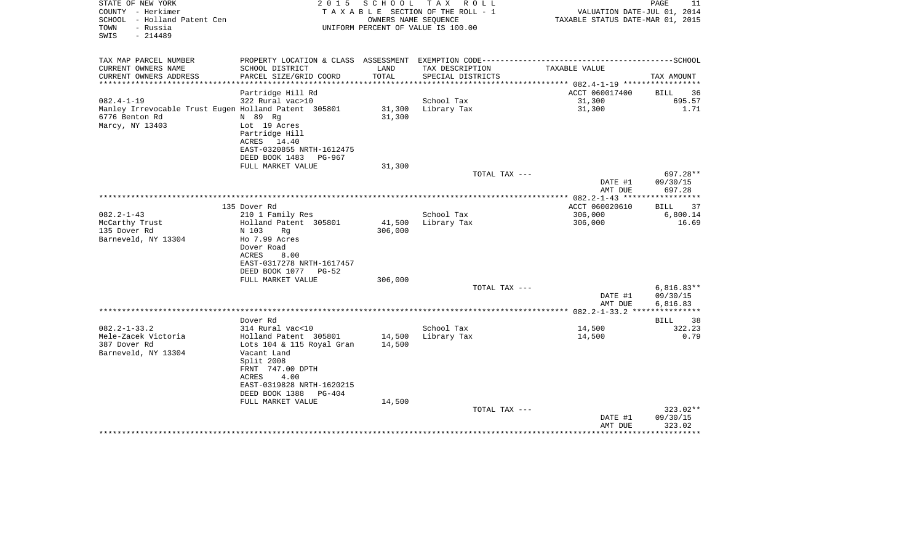| STATE OF NEW YORK<br>COUNTY - Herkimer<br>SCHOOL - Holland Patent Cen |                                          |         | 2015 SCHOOL TAX ROLL<br>TAXABLE SECTION OF THE ROLL - 1<br>OWNERS NAME SEOUENCE | VALUATION DATE-JUL 01, 2014<br>TAXABLE STATUS DATE-MAR 01, 2015 | PAGE<br>11        |
|-----------------------------------------------------------------------|------------------------------------------|---------|---------------------------------------------------------------------------------|-----------------------------------------------------------------|-------------------|
| TOWN<br>- Russia<br>$-214489$<br>SWIS                                 |                                          |         | UNIFORM PERCENT OF VALUE IS 100.00                                              |                                                                 |                   |
| TAX MAP PARCEL NUMBER                                                 |                                          |         |                                                                                 |                                                                 |                   |
| CURRENT OWNERS NAME                                                   | SCHOOL DISTRICT                          | LAND    | TAX DESCRIPTION                                                                 | TAXABLE VALUE                                                   |                   |
| CURRENT OWNERS ADDRESS                                                | PARCEL SIZE/GRID COORD                   | TOTAL   | SPECIAL DISTRICTS                                                               |                                                                 | TAX AMOUNT        |
| *************************                                             |                                          |         |                                                                                 |                                                                 |                   |
|                                                                       | Partridge Hill Rd                        |         |                                                                                 | ACCT 060017400                                                  | BILL 36           |
| $082.4 - 1 - 19$                                                      | 322 Rural vac>10                         |         | School Tax                                                                      | 31,300                                                          | 695.57            |
| Manley Irrevocable Trust Eugen Holland Patent 305801                  |                                          |         | 31,300 Library Tax                                                              | 31,300                                                          | 1.71              |
| 6776 Benton Rd                                                        | N 89 Rq                                  | 31,300  |                                                                                 |                                                                 |                   |
| Marcy, NY 13403                                                       | Lot 19 Acres                             |         |                                                                                 |                                                                 |                   |
|                                                                       | Partridge Hill                           |         |                                                                                 |                                                                 |                   |
|                                                                       | ACRES 14.40<br>EAST-0320855 NRTH-1612475 |         |                                                                                 |                                                                 |                   |
|                                                                       | DEED BOOK 1483 PG-967                    |         |                                                                                 |                                                                 |                   |
|                                                                       | FULL MARKET VALUE                        | 31,300  |                                                                                 |                                                                 |                   |
|                                                                       |                                          |         | TOTAL TAX ---                                                                   |                                                                 | 697.28**          |
|                                                                       |                                          |         |                                                                                 | DATE #1                                                         | 09/30/15          |
|                                                                       |                                          |         |                                                                                 | AMT DUE                                                         | 697.28            |
|                                                                       |                                          |         |                                                                                 |                                                                 |                   |
|                                                                       | 135 Dover Rd                             |         |                                                                                 | ACCT 060020610                                                  | 37<br><b>BILL</b> |
| $082.2 - 1 - 43$                                                      | 210 1 Family Res                         |         | School Tax                                                                      | 306,000                                                         | 6,800.14          |
| McCarthy Trust                                                        | Holland Patent 305801                    |         | 41,500 Library Tax                                                              | 306,000                                                         | 16.69             |
| 135 Dover Rd                                                          | N 103<br>Rq                              | 306,000 |                                                                                 |                                                                 |                   |
| Barneveld, NY 13304                                                   | Ho 7.99 Acres                            |         |                                                                                 |                                                                 |                   |
|                                                                       | Dover Road                               |         |                                                                                 |                                                                 |                   |
|                                                                       | ACRES<br>8.00                            |         |                                                                                 |                                                                 |                   |
|                                                                       | EAST-0317278 NRTH-1617457                |         |                                                                                 |                                                                 |                   |
|                                                                       | DEED BOOK 1077 PG-52                     |         |                                                                                 |                                                                 |                   |
|                                                                       | FULL MARKET VALUE                        | 306,000 |                                                                                 |                                                                 |                   |
|                                                                       |                                          |         | TOTAL TAX ---                                                                   |                                                                 | $6,816.83**$      |
|                                                                       |                                          |         |                                                                                 | DATE #1                                                         | 09/30/15          |
|                                                                       |                                          |         |                                                                                 | AMT DUE                                                         | 6,816.83          |
|                                                                       | Dover Rd                                 |         |                                                                                 |                                                                 |                   |
| $082.2 - 1 - 33.2$                                                    | 314 Rural vac<10                         |         | School Tax                                                                      | 14,500                                                          | BILL 38<br>322.23 |
| Mele-Zacek Victoria                                                   | Holland Patent 305801                    |         | 14,500 Library Tax                                                              | 14,500                                                          | 0.79              |
| 387 Dover Rd                                                          | Lots 104 & 115 Royal Gran                | 14,500  |                                                                                 |                                                                 |                   |
| Barneveld, NY 13304                                                   | Vacant Land                              |         |                                                                                 |                                                                 |                   |
|                                                                       | Split 2008                               |         |                                                                                 |                                                                 |                   |
|                                                                       | FRNT 747.00 DPTH                         |         |                                                                                 |                                                                 |                   |
|                                                                       | 4.00<br>ACRES                            |         |                                                                                 |                                                                 |                   |
|                                                                       | EAST-0319828 NRTH-1620215                |         |                                                                                 |                                                                 |                   |
|                                                                       | DEED BOOK 1388 PG-404                    |         |                                                                                 |                                                                 |                   |
|                                                                       | FULL MARKET VALUE                        | 14,500  |                                                                                 |                                                                 |                   |
|                                                                       |                                          |         | TOTAL TAX ---                                                                   |                                                                 | $323.02**$        |
|                                                                       |                                          |         |                                                                                 | DATE #1                                                         | 09/30/15          |
|                                                                       |                                          |         |                                                                                 | AMT DUE                                                         | 323.02            |
|                                                                       |                                          |         |                                                                                 |                                                                 | * * * * * * * * * |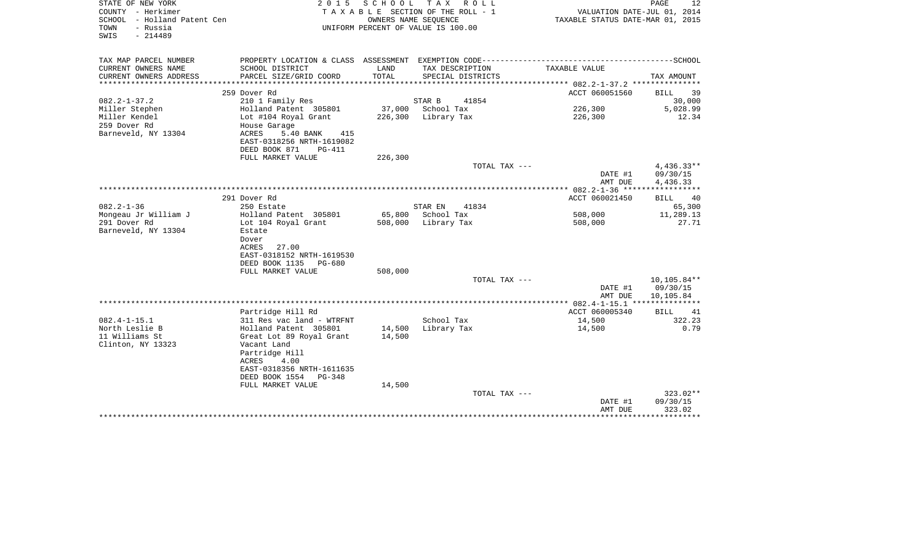| STATE OF NEW YORK<br>COUNTY - Herkimer<br>SCHOOL - Holland Patent Cen<br>- Russia<br>TOWN<br>SWIS<br>$-214489$ | 2 0 1 5                                                                  | SCHOOL  | T A X<br>R O L L<br>TAXABLE SECTION OF THE ROLL - 1<br>OWNERS NAME SEQUENCE<br>UNIFORM PERCENT OF VALUE IS 100.00 | VALUATION DATE-JUL 01, 2014<br>TAXABLE STATUS DATE-MAR 01, 2015 | PAGE<br>12                           |
|----------------------------------------------------------------------------------------------------------------|--------------------------------------------------------------------------|---------|-------------------------------------------------------------------------------------------------------------------|-----------------------------------------------------------------|--------------------------------------|
| TAX MAP PARCEL NUMBER                                                                                          |                                                                          | LAND    |                                                                                                                   | TAXABLE VALUE                                                   |                                      |
| CURRENT OWNERS NAME<br>CURRENT OWNERS ADDRESS<br>********************                                          | SCHOOL DISTRICT<br>PARCEL SIZE/GRID COORD<br>*************************** | TOTAL   | TAX DESCRIPTION<br>SPECIAL DISTRICTS                                                                              |                                                                 | TAX AMOUNT                           |
|                                                                                                                | 259 Dover Rd                                                             |         |                                                                                                                   | ACCT 060051560                                                  | <b>BILL</b><br>39                    |
| $082.2 - 1 - 37.2$                                                                                             | 210 1 Family Res                                                         |         | STAR B<br>41854                                                                                                   |                                                                 | 30,000                               |
| Miller Stephen                                                                                                 | Holland Patent 305801                                                    | 37,000  | School Tax                                                                                                        | 226,300                                                         | 5,028.99                             |
| Miller Kendel                                                                                                  | Lot #104 Royal Grant                                                     | 226,300 | Library Tax                                                                                                       | 226,300                                                         | 12.34                                |
| 259 Dover Rd                                                                                                   | House Garage                                                             |         |                                                                                                                   |                                                                 |                                      |
| Barneveld, NY 13304                                                                                            | ACRES<br>5.40 BANK<br>415                                                |         |                                                                                                                   |                                                                 |                                      |
|                                                                                                                | EAST-0318256 NRTH-1619082                                                |         |                                                                                                                   |                                                                 |                                      |
|                                                                                                                | DEED BOOK 871<br>PG-411                                                  |         |                                                                                                                   |                                                                 |                                      |
|                                                                                                                | FULL MARKET VALUE                                                        | 226,300 |                                                                                                                   |                                                                 |                                      |
|                                                                                                                |                                                                          |         | TOTAL TAX ---                                                                                                     | DATE #1<br>AMT DUE                                              | $4,436.33**$<br>09/30/15<br>4,436.33 |
|                                                                                                                |                                                                          |         |                                                                                                                   |                                                                 | * * * * * * * * * * *                |
|                                                                                                                | 291 Dover Rd                                                             |         |                                                                                                                   | ACCT 060021450                                                  | 40<br>BILL                           |
| $082.2 - 1 - 36$                                                                                               | 250 Estate                                                               |         | 41834<br>STAR EN                                                                                                  |                                                                 | 65,300                               |
| Mongeau Jr William J                                                                                           | Holland Patent 305801                                                    | 65,800  | School Tax                                                                                                        | 508,000                                                         | 11,289.13                            |
| 291 Dover Rd                                                                                                   | Lot 104 Royal Grant                                                      | 508,000 | Library Tax                                                                                                       | 508,000                                                         | 27.71                                |
| Barneveld, NY 13304                                                                                            | Estate                                                                   |         |                                                                                                                   |                                                                 |                                      |
|                                                                                                                | Dover                                                                    |         |                                                                                                                   |                                                                 |                                      |
|                                                                                                                | 27.00<br>ACRES                                                           |         |                                                                                                                   |                                                                 |                                      |
|                                                                                                                | EAST-0318152 NRTH-1619530<br>DEED BOOK 1135<br>PG-680                    |         |                                                                                                                   |                                                                 |                                      |
|                                                                                                                | FULL MARKET VALUE                                                        | 508,000 |                                                                                                                   |                                                                 |                                      |
|                                                                                                                |                                                                          |         | TOTAL TAX ---                                                                                                     |                                                                 | $10, 105.84**$                       |
|                                                                                                                |                                                                          |         |                                                                                                                   | DATE #1                                                         | 09/30/15                             |
|                                                                                                                |                                                                          |         |                                                                                                                   | AMT DUE                                                         | 10,105.84                            |
|                                                                                                                |                                                                          |         |                                                                                                                   | ********** 082.4-1-15.1 ****************                        |                                      |
|                                                                                                                | Partridge Hill Rd                                                        |         |                                                                                                                   | ACCT 060005340                                                  | BILL<br>41                           |
| $082.4 - 1 - 15.1$                                                                                             | 311 Res vac land - WTRFNT                                                |         | School Tax                                                                                                        | 14,500                                                          | 322.23                               |
| North Leslie B                                                                                                 | Holland Patent 305801                                                    | 14,500  | Library Tax                                                                                                       | 14,500                                                          | 0.79                                 |
| 11 Williams St                                                                                                 | Great Lot 89 Royal Grant                                                 | 14,500  |                                                                                                                   |                                                                 |                                      |
| Clinton, NY 13323                                                                                              | Vacant Land<br>Partridge Hill                                            |         |                                                                                                                   |                                                                 |                                      |
|                                                                                                                | ACRES<br>4.00                                                            |         |                                                                                                                   |                                                                 |                                      |
|                                                                                                                | EAST-0318356 NRTH-1611635                                                |         |                                                                                                                   |                                                                 |                                      |
|                                                                                                                | DEED BOOK 1554<br>$PG-348$                                               |         |                                                                                                                   |                                                                 |                                      |
|                                                                                                                | FULL MARKET VALUE                                                        | 14,500  |                                                                                                                   |                                                                 |                                      |
|                                                                                                                |                                                                          |         | TOTAL TAX ---                                                                                                     |                                                                 | 323.02**                             |
|                                                                                                                |                                                                          |         |                                                                                                                   | DATE #1                                                         | 09/30/15                             |
|                                                                                                                |                                                                          |         |                                                                                                                   | AMT DUE                                                         | 323.02                               |
|                                                                                                                |                                                                          |         |                                                                                                                   |                                                                 |                                      |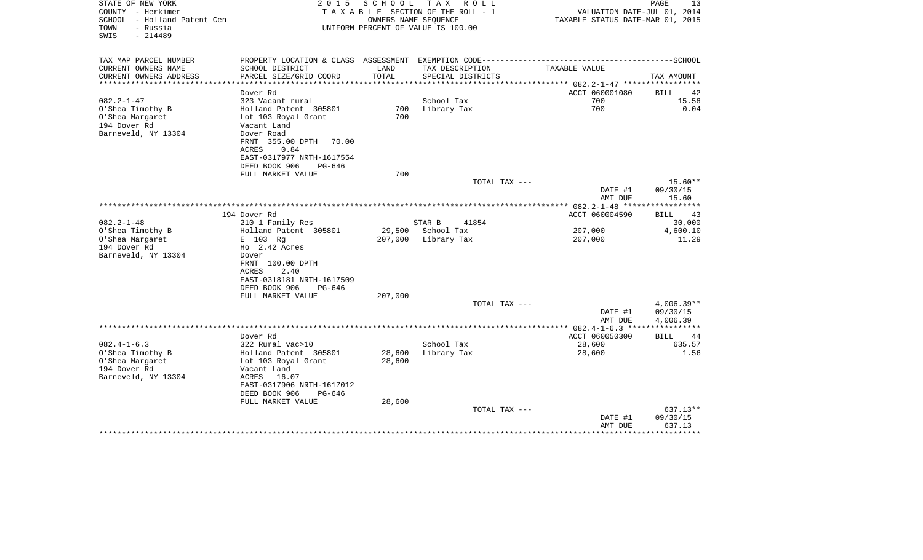| STATE OF NEW YORK<br>COUNTY - Herkimer<br>SCHOOL - Holland Patent Cen<br>- Russia<br>TOWN<br>$-214489$<br>SWIS | 2 0 1 5                              | S C H O O L                | T A X<br>R O L L<br>TAXABLE SECTION OF THE ROLL - 1<br>OWNERS NAME SEQUENCE<br>UNIFORM PERCENT OF VALUE IS 100.00 | VALUATION DATE-JUL 01, 2014<br>TAXABLE STATUS DATE-MAR 01, 2015            | PAGE<br>13                |
|----------------------------------------------------------------------------------------------------------------|--------------------------------------|----------------------------|-------------------------------------------------------------------------------------------------------------------|----------------------------------------------------------------------------|---------------------------|
|                                                                                                                |                                      |                            |                                                                                                                   |                                                                            |                           |
| TAX MAP PARCEL NUMBER                                                                                          | PROPERTY LOCATION & CLASS ASSESSMENT |                            | EXEMPTION CODE-----------------------                                                                             |                                                                            | -------------------SCHOOL |
| CURRENT OWNERS NAME                                                                                            | SCHOOL DISTRICT                      | LAND                       | TAX DESCRIPTION                                                                                                   | TAXABLE VALUE                                                              |                           |
| CURRENT OWNERS ADDRESS<br>****************                                                                     | PARCEL SIZE/GRID COORD               | TOTAL<br>***************** | SPECIAL DISTRICTS                                                                                                 |                                                                            | TAX AMOUNT                |
|                                                                                                                | Dover Rd                             |                            |                                                                                                                   | ************************** 082.2-1-47 ******************<br>ACCT 060001080 | BILL<br>42                |
| $082.2 - 1 - 47$                                                                                               | 323 Vacant rural                     |                            | School Tax                                                                                                        | 700                                                                        | 15.56                     |
| O'Shea Timothy B                                                                                               | Holland Patent 305801                | 700                        | Library Tax                                                                                                       | 700                                                                        | 0.04                      |
| O'Shea Margaret                                                                                                | Lot 103 Royal Grant                  | 700                        |                                                                                                                   |                                                                            |                           |
| 194 Dover Rd                                                                                                   | Vacant Land                          |                            |                                                                                                                   |                                                                            |                           |
| Barneveld, NY 13304                                                                                            | Dover Road                           |                            |                                                                                                                   |                                                                            |                           |
|                                                                                                                | FRNT 355.00 DPTH<br>70.00            |                            |                                                                                                                   |                                                                            |                           |
|                                                                                                                | ACRES<br>0.84                        |                            |                                                                                                                   |                                                                            |                           |
|                                                                                                                | EAST-0317977 NRTH-1617554            |                            |                                                                                                                   |                                                                            |                           |
|                                                                                                                | DEED BOOK 906<br>PG-646              | 700                        |                                                                                                                   |                                                                            |                           |
|                                                                                                                | FULL MARKET VALUE                    |                            | TOTAL TAX ---                                                                                                     |                                                                            | $15.60**$                 |
|                                                                                                                |                                      |                            |                                                                                                                   | DATE #1                                                                    | 09/30/15                  |
|                                                                                                                |                                      |                            |                                                                                                                   | AMT DUE                                                                    | 15.60                     |
|                                                                                                                |                                      |                            |                                                                                                                   |                                                                            |                           |
|                                                                                                                | 194 Dover Rd                         |                            |                                                                                                                   | ACCT 060004590                                                             | <b>BILL</b><br>43         |
| $082.2 - 1 - 48$                                                                                               | 210 1 Family Res                     |                            | STAR B<br>41854                                                                                                   |                                                                            | 30,000                    |
| O'Shea Timothy B                                                                                               | Holland Patent 305801                | 29,500                     | School Tax                                                                                                        | 207,000                                                                    | 4,600.10                  |
| O'Shea Margaret                                                                                                | E 103 Rg                             | 207,000                    | Library Tax                                                                                                       | 207,000                                                                    | 11.29                     |
| 194 Dover Rd                                                                                                   | Ho 2.42 Acres                        |                            |                                                                                                                   |                                                                            |                           |
| Barneveld, NY 13304                                                                                            | Dover<br>FRNT 100.00 DPTH            |                            |                                                                                                                   |                                                                            |                           |
|                                                                                                                | 2.40<br>ACRES                        |                            |                                                                                                                   |                                                                            |                           |
|                                                                                                                | EAST-0318181 NRTH-1617509            |                            |                                                                                                                   |                                                                            |                           |
|                                                                                                                | DEED BOOK 906<br>PG-646              |                            |                                                                                                                   |                                                                            |                           |
|                                                                                                                | FULL MARKET VALUE                    | 207,000                    |                                                                                                                   |                                                                            |                           |
|                                                                                                                |                                      |                            | TOTAL TAX ---                                                                                                     |                                                                            | 4,006.39**                |
|                                                                                                                |                                      |                            |                                                                                                                   | DATE #1                                                                    | 09/30/15                  |
|                                                                                                                |                                      |                            |                                                                                                                   | AMT DUE                                                                    | 4,006.39                  |
|                                                                                                                | Dover Rd                             |                            |                                                                                                                   | ACCT 060050300                                                             | BILL<br>44                |
| $082.4 - 1 - 6.3$                                                                                              | 322 Rural vac>10                     |                            | School Tax                                                                                                        | 28,600                                                                     | 635.57                    |
| O'Shea Timothy B                                                                                               | Holland Patent 305801                | 28,600                     | Library Tax                                                                                                       | 28,600                                                                     | 1.56                      |
| O'Shea Margaret                                                                                                | Lot 103 Royal Grant                  | 28,600                     |                                                                                                                   |                                                                            |                           |
| 194 Dover Rd                                                                                                   | Vacant Land                          |                            |                                                                                                                   |                                                                            |                           |
| Barneveld, NY 13304                                                                                            | ACRES<br>16.07                       |                            |                                                                                                                   |                                                                            |                           |
|                                                                                                                | EAST-0317906 NRTH-1617012            |                            |                                                                                                                   |                                                                            |                           |
|                                                                                                                | DEED BOOK 906<br>PG-646              |                            |                                                                                                                   |                                                                            |                           |
|                                                                                                                | FULL MARKET VALUE                    | 28,600                     |                                                                                                                   |                                                                            |                           |
|                                                                                                                |                                      |                            | TOTAL TAX ---                                                                                                     | DATE #1                                                                    | 637.13**<br>09/30/15      |
|                                                                                                                |                                      |                            |                                                                                                                   | AMT DUE                                                                    | 637.13                    |
|                                                                                                                |                                      |                            |                                                                                                                   |                                                                            | ***********               |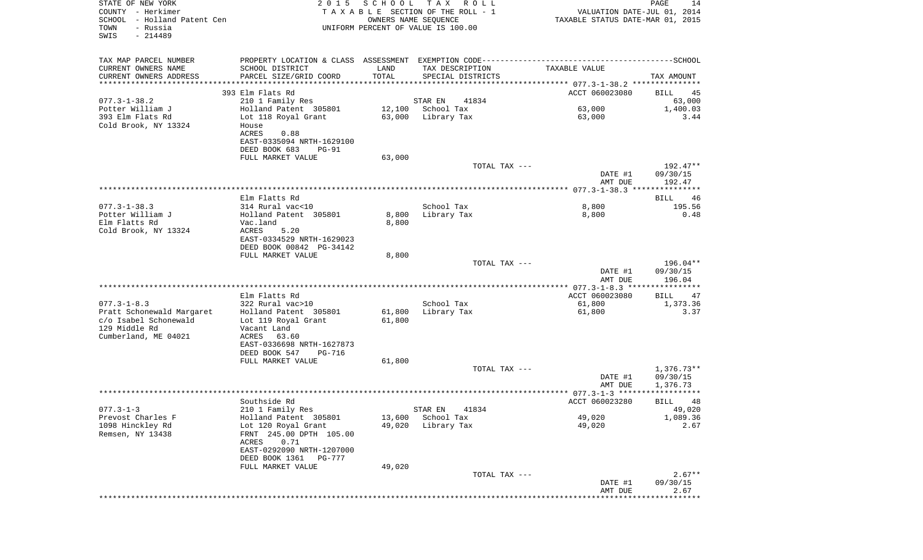| COUNTY - Herkimer              |                                                                                 |        | T A X A B L E SECTION OF THE ROLL - 1 | VALUATION DATE-JUL 01, 2014      |                                   |
|--------------------------------|---------------------------------------------------------------------------------|--------|---------------------------------------|----------------------------------|-----------------------------------|
| SCHOOL<br>- Holland Patent Cen |                                                                                 |        | OWNERS NAME SEQUENCE                  | TAXABLE STATUS DATE-MAR 01, 2015 |                                   |
| TOWN<br>- Russia               |                                                                                 |        | UNIFORM PERCENT OF VALUE IS 100.00    |                                  |                                   |
| SWIS<br>$-214489$              |                                                                                 |        |                                       |                                  |                                   |
|                                |                                                                                 |        |                                       |                                  |                                   |
|                                |                                                                                 |        |                                       |                                  |                                   |
| TAX MAP PARCEL NUMBER          | PROPERTY LOCATION & CLASS ASSESSMENT EXEMPTION CODE---------------------------- |        |                                       |                                  | -------------SCHOOL               |
| CURRENT OWNERS NAME            | SCHOOL DISTRICT                                                                 | LAND   | TAX DESCRIPTION                       | TAXABLE VALUE                    |                                   |
| CURRENT OWNERS ADDRESS         | PARCEL SIZE/GRID COORD                                                          | TOTAL  | SPECIAL DISTRICTS                     |                                  | TAX AMOUNT                        |
|                                |                                                                                 |        |                                       |                                  |                                   |
|                                | 393 Elm Flats Rd                                                                |        |                                       | ACCT 060023080                   | 45<br>BILL                        |
| $077.3 - 1 - 38.2$             | 210 1 Family Res                                                                |        | STAR EN<br>41834                      |                                  | 63,000                            |
| Potter William J               | Holland Patent 305801                                                           | 12,100 | School Tax                            | 63,000                           | 1,400.03                          |
| 393 Elm Flats Rd               | Lot 118 Royal Grant                                                             | 63,000 | Library Tax                           | 63,000                           | 3.44                              |
| Cold Brook, NY 13324           | House                                                                           |        |                                       |                                  |                                   |
|                                | 0.88<br>ACRES                                                                   |        |                                       |                                  |                                   |
|                                | EAST-0335094 NRTH-1629100                                                       |        |                                       |                                  |                                   |
|                                | DEED BOOK 683<br><b>PG-91</b>                                                   |        |                                       |                                  |                                   |
|                                | FULL MARKET VALUE                                                               | 63,000 |                                       |                                  |                                   |
|                                |                                                                                 |        | TOTAL TAX ---                         |                                  | 192.47**                          |
|                                |                                                                                 |        |                                       | DATE #1                          | 09/30/15                          |
|                                |                                                                                 |        |                                       | AMT DUE                          | 192.47                            |
|                                |                                                                                 |        |                                       |                                  |                                   |
|                                | Elm Flatts Rd                                                                   |        |                                       |                                  | BILL<br>46                        |
| $077.3 - 1 - 38.3$             | 314 Rural vac<10                                                                |        | School Tax                            | 8,800                            | 195.56                            |
| Potter William J               | Holland Patent 305801                                                           | 8,800  | Library Tax                           | 8,800                            | 0.48                              |
| Elm Flatts Rd                  | Vac.land                                                                        | 8,800  |                                       |                                  |                                   |
| Cold Brook, NY 13324           | ACRES<br>5.20                                                                   |        |                                       |                                  |                                   |
|                                | EAST-0334529 NRTH-1629023                                                       |        |                                       |                                  |                                   |
|                                | DEED BOOK 00842 PG-34142                                                        |        |                                       |                                  |                                   |
|                                | FULL MARKET VALUE                                                               | 8,800  |                                       |                                  |                                   |
|                                |                                                                                 |        | TOTAL TAX ---                         |                                  | 196.04**                          |
|                                |                                                                                 |        |                                       | DATE #1                          | 09/30/15                          |
|                                |                                                                                 |        |                                       | AMT DUE                          | 196.04                            |
|                                |                                                                                 |        |                                       |                                  |                                   |
|                                | Elm Flatts Rd                                                                   |        |                                       | ACCT 060023080                   | 47<br>BILL                        |
| $077.3 - 1 - 8.3$              | 322 Rural vac>10                                                                |        | School Tax                            | 61,800                           | 1,373.36                          |
| Pratt Schonewald Margaret      | Holland Patent 305801                                                           | 61,800 | Library Tax                           | 61,800                           | 3.37                              |
| c/o Isabel Schonewald          | Lot 119 Royal Grant                                                             | 61,800 |                                       |                                  |                                   |
| 129 Middle Rd                  | Vacant Land                                                                     |        |                                       |                                  |                                   |
| Cumberland, ME 04021           | 63.60<br>ACRES                                                                  |        |                                       |                                  |                                   |
|                                | EAST-0336698 NRTH-1627873                                                       |        |                                       |                                  |                                   |
|                                | DEED BOOK 547<br>PG-716                                                         |        |                                       |                                  |                                   |
|                                | FULL MARKET VALUE                                                               |        |                                       |                                  |                                   |
|                                |                                                                                 | 61,800 |                                       |                                  | $1,376.73**$                      |
|                                |                                                                                 |        | TOTAL TAX ---                         |                                  |                                   |
|                                |                                                                                 |        |                                       | DATE #1                          | 09/30/15                          |
|                                |                                                                                 |        |                                       | AMT DUE                          | 1,376.73<br>* * * * * * * * * * * |
|                                |                                                                                 |        |                                       |                                  |                                   |
|                                | Southside Rd                                                                    |        |                                       | ACCT 060023280                   | BILL<br>48                        |
| $077.3 - 1 - 3$                | 210 1 Family Res                                                                |        | 41834<br>STAR EN                      |                                  | 49,020                            |
| Prevost Charles F              | Holland Patent 305801                                                           |        | 13,600 School Tax                     | 49,020                           | 1,089.36                          |
| 1098 Hinckley Rd               | Lot 120 Royal Grant                                                             | 49,020 | Library Tax                           | 49,020                           | 2.67                              |
| Remsen, NY 13438               | FRNT 245.00 DPTH 105.00                                                         |        |                                       |                                  |                                   |
|                                | ACRES<br>0.71                                                                   |        |                                       |                                  |                                   |
|                                | EAST-0292090 NRTH-1207000                                                       |        |                                       |                                  |                                   |
|                                | DEED BOOK 1361<br>PG-777                                                        |        |                                       |                                  |                                   |
|                                | FULL MARKET VALUE                                                               | 49,020 |                                       |                                  |                                   |
|                                |                                                                                 |        | TOTAL TAX ---                         |                                  | $2.67**$                          |
|                                |                                                                                 |        |                                       | DATE #1                          | 09/30/15                          |
|                                |                                                                                 |        |                                       | AMT DUE                          | 2.67                              |
|                                |                                                                                 |        |                                       |                                  |                                   |

PAGE 14

STATE OF NEW YORK **EXECUTE:** 2 0 1 5 S C H O O L T A X R O L L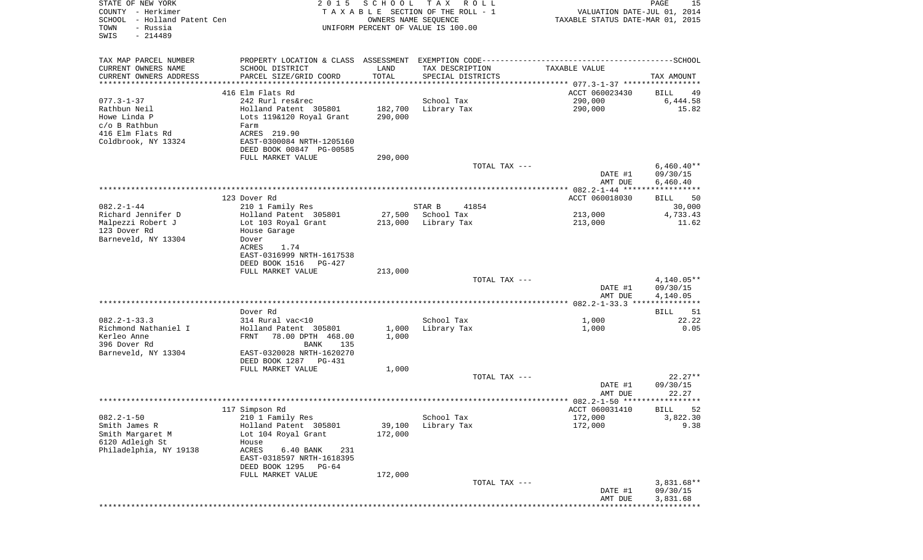| STATE OF NEW YORK<br>COUNTY - Herkimer<br>SCHOOL - Holland Patent Cen<br>- Russia<br>TOWN<br>SWIS<br>$-214489$ | 2 0 1 5                                                                                                                                                                                               | SCHOOL                        | T A X<br>R O L L<br>TAXABLE SECTION OF THE ROLL - 1<br>OWNERS NAME SEQUENCE<br>UNIFORM PERCENT OF VALUE IS 100.00 | VALUATION DATE-JUL 01, 2014<br>TAXABLE STATUS DATE-MAR 01, 2015 | PAGE<br>15                                            |
|----------------------------------------------------------------------------------------------------------------|-------------------------------------------------------------------------------------------------------------------------------------------------------------------------------------------------------|-------------------------------|-------------------------------------------------------------------------------------------------------------------|-----------------------------------------------------------------|-------------------------------------------------------|
| TAX MAP PARCEL NUMBER<br>CURRENT OWNERS NAME<br>CURRENT OWNERS ADDRESS<br>**********************               | SCHOOL DISTRICT<br>PARCEL SIZE/GRID COORD                                                                                                                                                             | LAND<br>TOTAL                 | TAX DESCRIPTION<br>SPECIAL DISTRICTS                                                                              | TAXABLE VALUE                                                   | TAX AMOUNT                                            |
| $077.3 - 1 - 37$<br>Rathbun Neil<br>Howe Linda P<br>c/o B Rathbun<br>416 Elm Flats Rd<br>Coldbrook, NY 13324   | 416 Elm Flats Rd<br>242 Rurl res&rec<br>Holland Patent 305801<br>Lots 119&120 Royal Grant<br>Farm<br>ACRES 219.90<br>EAST-0300084 NRTH-1205160<br>DEED BOOK 00847 PG-00585<br>FULL MARKET VALUE       | 182,700<br>290,000<br>290,000 | School Tax<br>Library Tax                                                                                         | ACCT 060023430<br>290,000<br>290,000                            | BILL<br>49<br>6,444.58<br>15.82                       |
|                                                                                                                |                                                                                                                                                                                                       |                               | TOTAL TAX ---                                                                                                     | DATE #1<br>AMT DUE                                              | $6,460.40**$<br>09/30/15<br>6,460.40                  |
| $082.2 - 1 - 44$<br>Richard Jennifer D<br>Malpezzi Robert J<br>123 Dover Rd<br>Barneveld, NY 13304             | 123 Dover Rd<br>210 1 Family Res<br>Holland Patent 305801<br>Lot 103 Royal Grant<br>House Garage<br>Dover<br><b>ACRES</b><br>1.74<br>EAST-0316999 NRTH-1617538<br>DEED BOOK 1516 PG-427               | 27,500<br>213,000             | STAR B<br>41854<br>School Tax<br>Library Tax                                                                      | ACCT 060018030<br>213,000<br>213,000                            | BILL<br>50<br>30,000<br>4,733.43<br>11.62             |
|                                                                                                                | FULL MARKET VALUE                                                                                                                                                                                     | 213,000                       | TOTAL TAX ---                                                                                                     | DATE #1<br>AMT DUE                                              | $4,140.05**$<br>09/30/15<br>4,140.05                  |
| $082.2 - 1 - 33.3$<br>Richmond Nathaniel I<br>Kerleo Anne<br>396 Dover Rd<br>Barneveld, NY 13304               | Dover Rd<br>314 Rural vac<10<br>Holland Patent 305801<br><b>FRNT</b><br>78.00 DPTH 468.00<br>BANK<br>135<br>EAST-0320028 NRTH-1620270<br>DEED BOOK 1287<br>PG-431<br>FULL MARKET VALUE                | 1,000<br>1,000<br>1,000       | School Tax<br>Library Tax                                                                                         | 1,000<br>1,000                                                  | 51<br>BILL<br>22.22<br>0.05                           |
|                                                                                                                |                                                                                                                                                                                                       |                               | TOTAL TAX ---                                                                                                     | DATE #1<br>AMT DUE                                              | $22.27**$<br>09/30/15<br>22.27                        |
| $082.2 - 1 - 50$<br>Smith James R<br>Smith Margaret M<br>6120 Adleigh St<br>Philadelphia, NY 19138             | 117 Simpson Rd<br>210 1 Family Res<br>Holland Patent 305801<br>Lot 104 Royal Grant<br>House<br>ACRES<br>231<br>6.40 BANK<br>EAST-0318597 NRTH-1618395<br>DEED BOOK 1295<br>PG-64<br>FULL MARKET VALUE | 39,100<br>172,000<br>172,000  | School Tax<br>Library Tax                                                                                         | ACCT 060031410<br>172,000<br>172,000                            | <b>BILL</b><br>52<br>3,822.30<br>9.38                 |
|                                                                                                                |                                                                                                                                                                                                       |                               | TOTAL TAX ---                                                                                                     | DATE #1<br>AMT DUE                                              | $3,831.68**$<br>09/30/15<br>3,831.68<br>* * * * * * * |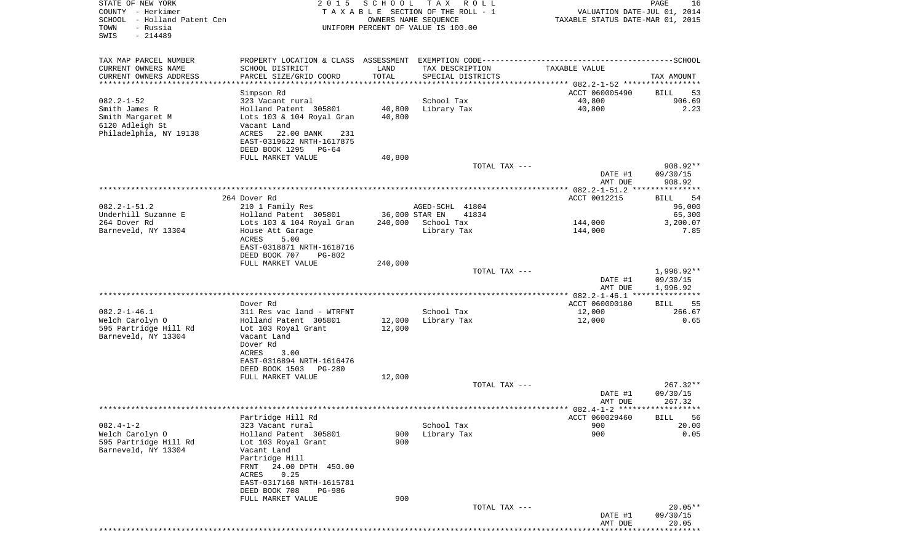| STATE OF NEW YORK                                | 2 0 1 5                                       | S C H O O L | TAX ROLL                                                |                                                                 | PAGE<br>16            |
|--------------------------------------------------|-----------------------------------------------|-------------|---------------------------------------------------------|-----------------------------------------------------------------|-----------------------|
| COUNTY - Herkimer<br>SCHOOL - Holland Patent Cen |                                               |             | TAXABLE SECTION OF THE ROLL - 1<br>OWNERS NAME SEQUENCE | VALUATION DATE-JUL 01, 2014<br>TAXABLE STATUS DATE-MAR 01, 2015 |                       |
| - Russia<br>TOWN                                 |                                               |             | UNIFORM PERCENT OF VALUE IS 100.00                      |                                                                 |                       |
| $-214489$<br>SWIS                                |                                               |             |                                                         |                                                                 |                       |
|                                                  |                                               |             |                                                         |                                                                 |                       |
| TAX MAP PARCEL NUMBER                            |                                               |             |                                                         |                                                                 |                       |
| CURRENT OWNERS NAME                              | SCHOOL DISTRICT                               | LAND        | TAX DESCRIPTION                                         | TAXABLE VALUE                                                   |                       |
| CURRENT OWNERS ADDRESS                           | PARCEL SIZE/GRID COORD                        | TOTAL       | SPECIAL DISTRICTS                                       |                                                                 | TAX AMOUNT            |
| ***********************                          | ****************************                  |             |                                                         |                                                                 |                       |
|                                                  | Simpson Rd                                    |             |                                                         | ACCT 060005490                                                  | BILL<br>53            |
| $082.2 - 1 - 52$<br>Smith James R                | 323 Vacant rural<br>Holland Patent 305801     | 40,800      | School Tax<br>Library Tax                               | 40,800<br>40,800                                                | 906.69<br>2.23        |
| Smith Margaret M                                 | Lots 103 & 104 Royal Gran                     | 40,800      |                                                         |                                                                 |                       |
| 6120 Adleigh St                                  | Vacant Land                                   |             |                                                         |                                                                 |                       |
| Philadelphia, NY 19138                           | ACRES<br>22.00 BANK<br>231                    |             |                                                         |                                                                 |                       |
|                                                  | EAST-0319622 NRTH-1617875                     |             |                                                         |                                                                 |                       |
|                                                  | DEED BOOK 1295 PG-64                          |             |                                                         |                                                                 |                       |
|                                                  | FULL MARKET VALUE                             | 40,800      | TOTAL TAX ---                                           |                                                                 | 908.92**              |
|                                                  |                                               |             |                                                         | DATE #1                                                         | 09/30/15              |
|                                                  |                                               |             |                                                         | AMT DUE                                                         | 908.92                |
|                                                  |                                               |             |                                                         |                                                                 |                       |
|                                                  | 264 Dover Rd                                  |             |                                                         | ACCT 0012215                                                    | -54<br>BILL           |
| $082.2 - 1 - 51.2$                               | 210 1 Family Res                              |             | AGED-SCHL 41804                                         |                                                                 | 96,000                |
| Underhill Suzanne E                              | Holland Patent 305801                         |             | 36,000 STAR EN<br>41834                                 |                                                                 | 65,300                |
| 264 Dover Rd<br>Barneveld, NY 13304              | Lots 103 & 104 Royal Gran<br>House Att Garage | 240,000     | School Tax<br>Library Tax                               | 144,000<br>144,000                                              | 3,200.07<br>7.85      |
|                                                  | 5.00<br>ACRES                                 |             |                                                         |                                                                 |                       |
|                                                  | EAST-0318871 NRTH-1618716                     |             |                                                         |                                                                 |                       |
|                                                  | DEED BOOK 707<br><b>PG-802</b>                |             |                                                         |                                                                 |                       |
|                                                  | FULL MARKET VALUE                             | 240,000     |                                                         |                                                                 |                       |
|                                                  |                                               |             | TOTAL TAX ---                                           |                                                                 | 1,996.92**            |
|                                                  |                                               |             |                                                         | DATE #1<br>AMT DUE                                              | 09/30/15<br>1,996.92  |
|                                                  |                                               |             |                                                         |                                                                 |                       |
|                                                  | Dover Rd                                      |             |                                                         | ACCT 060000180                                                  | 55<br>BILL            |
| $082.2 - 1 - 46.1$                               | 311 Res vac land - WTRFNT                     |             | School Tax                                              | 12,000                                                          | 266.67                |
| Welch Carolyn O                                  | Holland Patent 305801                         | 12,000      | Library Tax                                             | 12,000                                                          | 0.65                  |
| 595 Partridge Hill Rd                            | Lot 103 Royal Grant                           | 12,000      |                                                         |                                                                 |                       |
| Barneveld, NY 13304                              | Vacant Land<br>Dover Rd                       |             |                                                         |                                                                 |                       |
|                                                  | ACRES<br>3.00                                 |             |                                                         |                                                                 |                       |
|                                                  | EAST-0316894 NRTH-1616476                     |             |                                                         |                                                                 |                       |
|                                                  | DEED BOOK 1503 PG-280                         |             |                                                         |                                                                 |                       |
|                                                  | FULL MARKET VALUE                             | 12,000      |                                                         |                                                                 |                       |
|                                                  |                                               |             | TOTAL TAX ---                                           | DATE #1                                                         | 267.32**<br>09/30/15  |
|                                                  |                                               |             |                                                         | AMT DUE                                                         | 267.32                |
|                                                  |                                               |             |                                                         |                                                                 |                       |
|                                                  | Partridge Hill Rd                             |             |                                                         | ACCT 060029460                                                  | 56<br><b>BILL</b>     |
| $082.4 - 1 - 2$                                  | 323 Vacant rural                              |             | School Tax                                              | 900                                                             | 20.00                 |
| Welch Carolyn O                                  | Holland Patent 305801                         | 900         | Library Tax                                             | 900                                                             | 0.05                  |
| 595 Partridge Hill Rd                            | Lot 103 Royal Grant                           | 900         |                                                         |                                                                 |                       |
| Barneveld, NY 13304                              | Vacant Land<br>Partridge Hill                 |             |                                                         |                                                                 |                       |
|                                                  | 24.00 DPTH 450.00<br>FRNT                     |             |                                                         |                                                                 |                       |
|                                                  | 0.25<br>ACRES                                 |             |                                                         |                                                                 |                       |
|                                                  | EAST-0317168 NRTH-1615781                     |             |                                                         |                                                                 |                       |
|                                                  | DEED BOOK 708<br>PG-986                       |             |                                                         |                                                                 |                       |
|                                                  | FULL MARKET VALUE                             | 900         |                                                         |                                                                 |                       |
|                                                  |                                               |             | TOTAL TAX ---                                           | DATE #1                                                         | $20.05**$<br>09/30/15 |
|                                                  |                                               |             |                                                         | AMT DUE                                                         | 20.05                 |
|                                                  |                                               |             |                                                         |                                                                 |                       |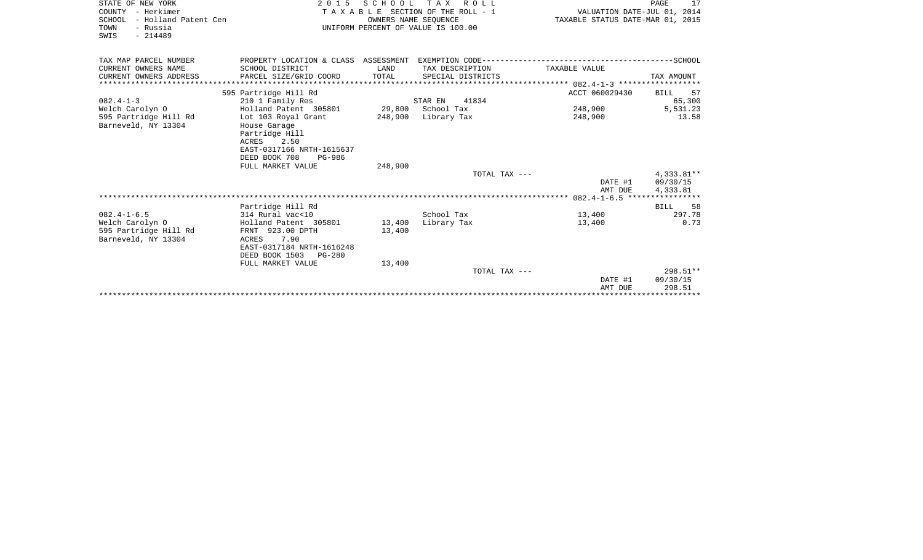| STATE OF NEW YORK<br>COUNTY - Herkimer                               | 2 0 1 5                                                                                                                            | SCHOOL               | TAX ROLL<br>TAXABLE SECTION OF THE ROLL - 1 | VALUATION DATE-JUL 01, 2014      | PAGE<br>17                           |
|----------------------------------------------------------------------|------------------------------------------------------------------------------------------------------------------------------------|----------------------|---------------------------------------------|----------------------------------|--------------------------------------|
| SCHOOL - Holland Patent Cen<br>TOWN<br>- Russia<br>$-214489$<br>SWIS |                                                                                                                                    | OWNERS NAME SEOUENCE | UNIFORM PERCENT OF VALUE IS 100.00          | TAXABLE STATUS DATE-MAR 01, 2015 |                                      |
| TAX MAP PARCEL NUMBER                                                | PROPERTY LOCATION & CLASS ASSESSMENT EXEMPTION CODE-----------------------                                                         |                      |                                             |                                  | ------SCHOOL                         |
| CURRENT OWNERS NAME<br>CURRENT OWNERS ADDRESS                        | SCHOOL DISTRICT<br>PARCEL SIZE/GRID COORD                                                                                          | LAND<br>TOTAL        | TAX DESCRIPTION<br>SPECIAL DISTRICTS        | TAXABLE VALUE                    | TAX AMOUNT                           |
|                                                                      | ******************                                                                                                                 |                      |                                             |                                  |                                      |
| $082.4 - 1 - 3$                                                      | 595 Partridge Hill Rd<br>210 1 Family Res                                                                                          |                      | 41834<br>STAR EN                            | ACCT 060029430                   | 57<br><b>BILL</b><br>65,300          |
| Welch Carolyn O                                                      | Holland Patent 305801                                                                                                              | 29,800               | School Tax                                  | 248,900                          | 5,531.23                             |
| 595 Partridge Hill Rd<br>Barneveld, NY 13304                         | Lot 103 Royal Grant<br>House Garage<br>Partridge Hill<br>ACRES 2.50<br>EAST-0317166 NRTH-1615637<br>DEED BOOK 708<br><b>PG-986</b> | 248,900              | Library Tax                                 | 248,900                          | 13.58                                |
|                                                                      | FULL MARKET VALUE                                                                                                                  | 248,900              |                                             |                                  |                                      |
|                                                                      |                                                                                                                                    |                      | TOTAL TAX ---                               | DATE #1<br>AMT DUE               | $4,333.81**$<br>09/30/15<br>4,333.81 |
|                                                                      |                                                                                                                                    |                      |                                             |                                  |                                      |
| $082.4 - 1 - 6.5$                                                    | Partridge Hill Rd<br>314 Rural vac<10                                                                                              |                      | School Tax                                  | 13,400                           | 58<br>BILL<br>297.78                 |
| Welch Carolyn O                                                      | Holland Patent 305801                                                                                                              | 13,400               | Library Tax                                 | 13,400                           | 0.73                                 |
| 595 Partridge Hill Rd<br>Barneveld, NY 13304                         | FRNT 923.00 DPTH<br>7.90<br>ACRES<br>EAST-0317184 NRTH-1616248<br>DEED BOOK 1503<br>$PG-280$                                       | 13,400               |                                             |                                  |                                      |
|                                                                      | FULL MARKET VALUE                                                                                                                  | 13,400               |                                             |                                  |                                      |
|                                                                      |                                                                                                                                    |                      | TOTAL TAX ---                               | DATE #1<br>AMT DUE               | $298.51**$<br>09/30/15<br>298.51     |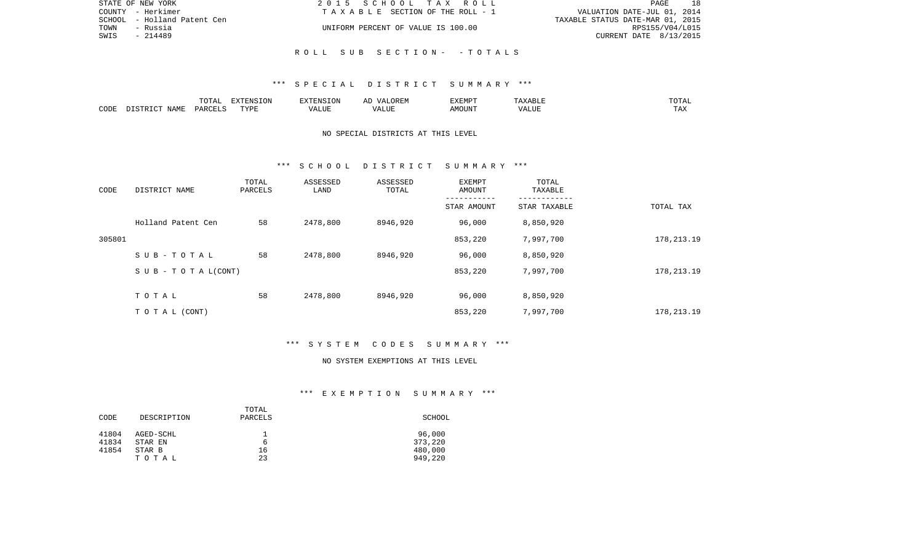| STATE OF NEW YORK              | 2015 SCHOOL TAX ROLL               | PAGE                             |
|--------------------------------|------------------------------------|----------------------------------|
| COUNTY - Herkimer              | TAXABLE SECTION OF THE ROLL - 1    | VALUATION DATE-JUL 01, 2014      |
| - Holland Patent Cen<br>SCHOOL |                                    | TAXABLE STATUS DATE-MAR 01, 2015 |
| - Russia<br>TOWN               | UNIFORM PERCENT OF VALUE IS 100.00 | RPS155/V04/L015                  |
| - 214489<br>SWIS               |                                    | CURRENT DATE 8/13/2015           |
|                                |                                    |                                  |

R O L L S U B S E C T I O N - - T O T A L S

|      |                    | $m \wedge m \wedge n$<br>UIAI | <b>FYTEMCTOM</b><br>LON |       | :XEMPT | ` Y A B Lite | "UTAL             |
|------|--------------------|-------------------------------|-------------------------|-------|--------|--------------|-------------------|
| CODE | <b>NAME</b><br>סיד | <b>DARCET</b>                 | <b>TVDL</b>             | ALU P | IOUN.  | 'ALUL        | $m \times n$<br>. |

# NO SPECIAL DISTRICTS AT THIS LEVEL

#### \*\*\* S C H O O L D I S T R I C T S U M M A R Y \*\*\*

| CODE   | DISTRICT NAME                    | TOTAL<br>PARCELS | ASSESSED<br>LAND | ASSESSED<br>TOTAL | EXEMPT<br>AMOUNT | TOTAL<br>TAXABLE |              |
|--------|----------------------------------|------------------|------------------|-------------------|------------------|------------------|--------------|
|        |                                  |                  |                  |                   | STAR AMOUNT      | STAR TAXABLE     | TOTAL TAX    |
|        | Holland Patent Cen               | 58               | 2478,800         | 8946,920          | 96,000           | 8,850,920        |              |
| 305801 |                                  |                  |                  |                   | 853,220          | 7,997,700        | 178, 213. 19 |
|        | SUB-TOTAL                        | 58               | 2478,800         | 8946,920          | 96,000           | 8,850,920        |              |
|        | $S \cup B - T \cup T A L (CONT)$ |                  |                  |                   | 853,220          | 7,997,700        | 178,213.19   |
|        | TOTAL                            | 58               | 2478,800         | 8946,920          | 96,000           | 8,850,920        |              |
|        | TO TAL (CONT)                    |                  |                  |                   | 853,220          | 7,997,700        | 178,213.19   |

# \*\*\* S Y S T E M C O D E S S U M M A R Y \*\*\*

#### NO SYSTEM EXEMPTIONS AT THIS LEVEL

# \*\*\* E X E M P T I O N S U M M A R Y \*\*\*

|       |             | TOTAL   |         |
|-------|-------------|---------|---------|
| CODE  | DESCRIPTION | PARCELS | SCHOOL  |
| 41804 | AGED-SCHL   |         | 96,000  |
| 41834 | STAR EN     | b       | 373,220 |
| 41854 | STAR B      | 16      | 480,000 |
|       | тотаь       | 23      | 949,220 |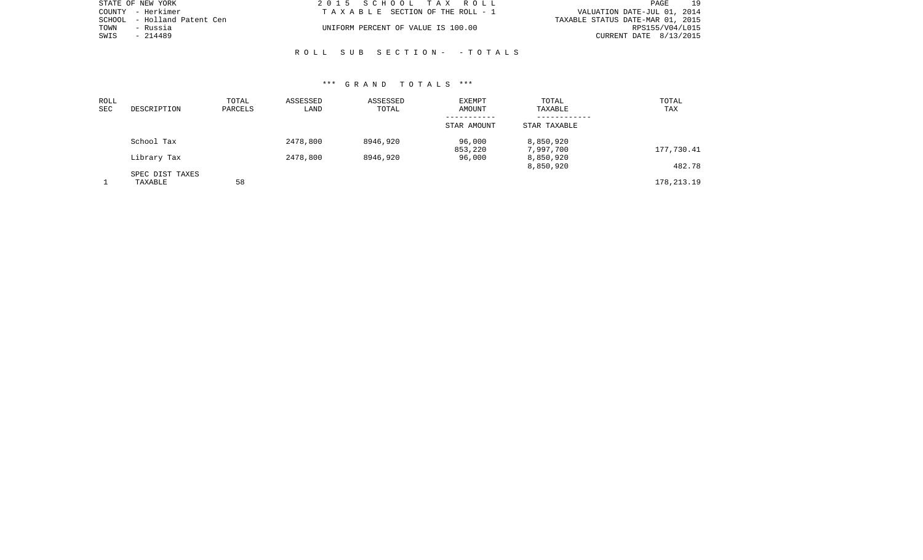| STATE OF NEW YORK           | 2015 SCHOOL TAX ROLL               | 19<br>PAGE                       |
|-----------------------------|------------------------------------|----------------------------------|
| COUNTY - Herkimer           | TAXABLE SECTION OF THE ROLL - 1    | VALUATION DATE-JUL 01, 2014      |
| SCHOOL - Holland Patent Cen |                                    | TAXABLE STATUS DATE-MAR 01, 2015 |
| TOWN<br>- Russia            | UNIFORM PERCENT OF VALUE IS 100.00 | RPS155/V04/L015                  |
| SWIS<br>- 214489            |                                    | CURRENT DATE 8/13/2015           |
|                             |                                    |                                  |

# R O L L S U B S E C T I O N - - T O T A L S

| ROLL |                 | TOTAL   | ASSESSED | ASSESSED | EXEMPT      | TOTAL        | TOTAL        |
|------|-----------------|---------|----------|----------|-------------|--------------|--------------|
| SEC  | DESCRIPTION     | PARCELS | LAND     | TOTAL    | AMOUNT      | TAXABLE      | TAX          |
|      |                 |         |          |          | ----------- |              |              |
|      |                 |         |          |          | STAR AMOUNT | STAR TAXABLE |              |
|      | School Tax      |         | 2478,800 | 8946,920 | 96,000      | 8,850,920    |              |
|      |                 |         |          |          | 853,220     | 7,997,700    | 177,730.41   |
|      | Library Tax     |         | 2478,800 | 8946,920 | 96,000      | 8,850,920    |              |
|      |                 |         |          |          |             | 8,850,920    | 482.78       |
|      | SPEC DIST TAXES |         |          |          |             |              |              |
|      | TAXABLE         | 58      |          |          |             |              | 178, 213. 19 |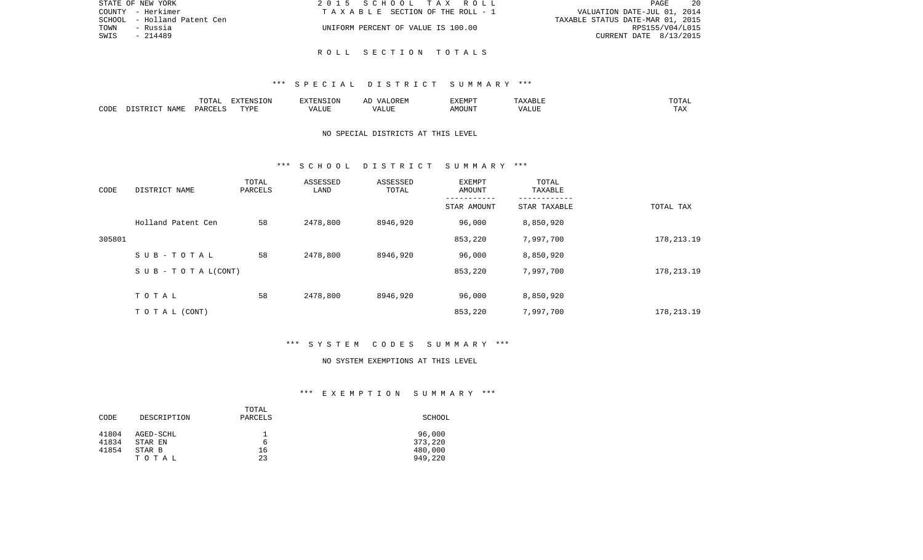|      | STATE OF NEW YORK           | 2015 SCHOOL TAX ROLL               | - 20<br>PAGE                     |
|------|-----------------------------|------------------------------------|----------------------------------|
|      | COUNTY - Herkimer           | TAXABLE SECTION OF THE ROLL - 1    | VALUATION DATE-JUL 01, 2014      |
|      | SCHOOL - Holland Patent Cen |                                    | TAXABLE STATUS DATE-MAR 01, 2015 |
| TOWN | - Russia                    | UNIFORM PERCENT OF VALUE IS 100.00 | RPS155/V04/L015                  |
| SWIS | - 214489                    |                                    | CURRENT DATE 8/13/2015           |
|      |                             |                                    |                                  |

R O L L S E C T I O N T O T A L S

|      |       | $\Box \land \Box \land \Box$<br>$\cdot$ / \<br>$\sim$ $\sim$ $\sim$ $\sim$ $\sim$ $\sim$ | <b>DIZEDDALO</b><br>TON. | $\sim$ $\sim$ $\sim$ $\sim$ | $\cdots$ | SXEMP"        | $\tau \tau \pi \pi \tau$ | $- - - -$<br>.  |
|------|-------|------------------------------------------------------------------------------------------|--------------------------|-----------------------------|----------|---------------|--------------------------|-----------------|
| CODE | NAME. | PARCELS                                                                                  | <b>TRIA</b><br>.         | T.TTF                       |          | <b>MOTTNT</b> | / Δ<br>ALUF              | $- - -$<br>. Ал |

# NO SPECIAL DISTRICTS AT THIS LEVEL

#### \*\*\* S C H O O L D I S T R I C T S U M M A R Y \*\*\*

| CODE   | DISTRICT NAME                    | TOTAL<br>PARCELS | ASSESSED<br>LAND | ASSESSED<br>TOTAL | EXEMPT<br>AMOUNT | TOTAL<br>TAXABLE |              |
|--------|----------------------------------|------------------|------------------|-------------------|------------------|------------------|--------------|
|        |                                  |                  |                  |                   | STAR AMOUNT      | STAR TAXABLE     | TOTAL TAX    |
|        | Holland Patent Cen               | 58               | 2478,800         | 8946,920          | 96,000           | 8,850,920        |              |
| 305801 |                                  |                  |                  |                   | 853,220          | 7,997,700        | 178, 213. 19 |
|        | SUB-TOTAL                        | 58               | 2478,800         | 8946,920          | 96,000           | 8,850,920        |              |
|        | $S \cup B - T \cup T A L (CONT)$ |                  |                  |                   | 853,220          | 7,997,700        | 178, 213. 19 |
|        | TOTAL                            | 58               | 2478,800         | 8946,920          | 96,000           | 8,850,920        |              |
|        |                                  |                  |                  |                   |                  |                  |              |
|        | T O T A L (CONT)                 |                  |                  |                   | 853,220          | 7,997,700        | 178, 213. 19 |

# \*\*\* S Y S T E M C O D E S S U M M A R Y \*\*\*

#### NO SYSTEM EXEMPTIONS AT THIS LEVEL

# \*\*\* E X E M P T I O N S U M M A R Y \*\*\*

| CODE           | DESCRIPTION          | TOTAL<br>PARCELS | SCHOOL            |
|----------------|----------------------|------------------|-------------------|
| 41804<br>41834 | AGED-SCHL<br>STAR EN | b                | 96,000<br>373,220 |
| 41854          | STAR B               | 16               | 480,000           |
|                | TOTAL                | 23               | 949,220           |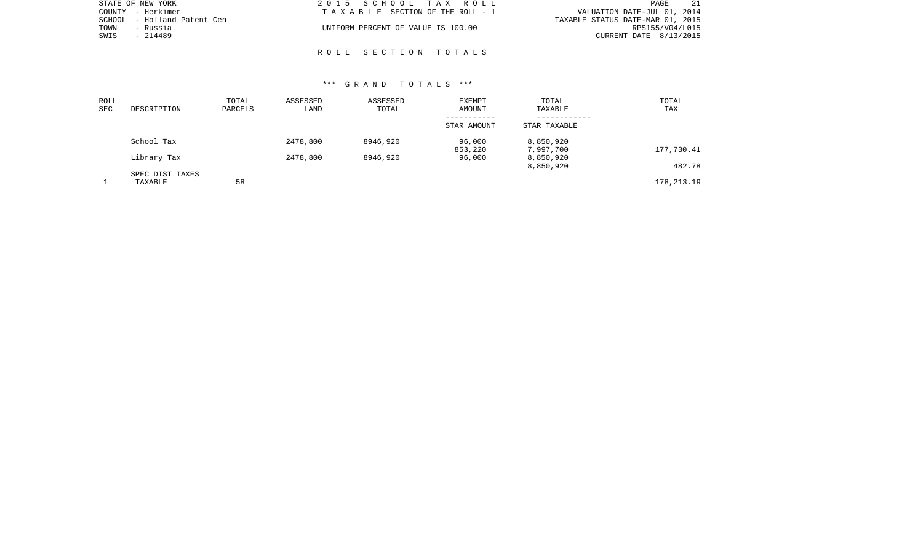| STATE OF NEW YORK           | 2015 SCHOOL TAX ROLL               | -21<br>PAGE                      |
|-----------------------------|------------------------------------|----------------------------------|
| COUNTY - Herkimer           | TAXABLE SECTION OF THE ROLL - 1    | VALUATION DATE-JUL 01, 2014      |
| SCHOOL - Holland Patent Cen |                                    | TAXABLE STATUS DATE-MAR 01, 2015 |
| TOWN<br>- Russia            | UNIFORM PERCENT OF VALUE IS 100.00 | RPS155/V04/L015                  |
| SWIS<br>- 214489            |                                    | CURRENT DATE 8/13/2015           |
|                             |                                    |                                  |

R O L L S E C T I O N T O T A L S

| ROLL       |                 | TOTAL   | ASSESSED | ASSESSED | EXEMPT                | TOTAL        | TOTAL        |
|------------|-----------------|---------|----------|----------|-----------------------|--------------|--------------|
| <b>SEC</b> | DESCRIPTION     | PARCELS | LAND     | TOTAL    | AMOUNT<br>----------- | TAXABLE      | TAX          |
|            |                 |         |          |          | STAR AMOUNT           | STAR TAXABLE |              |
|            | School Tax      |         | 2478,800 | 8946,920 | 96,000                | 8,850,920    |              |
|            |                 |         |          |          | 853,220               | 7,997,700    | 177,730.41   |
|            | Library Tax     |         | 2478,800 | 8946,920 | 96,000                | 8,850,920    |              |
|            |                 |         |          |          |                       | 8,850,920    | 482.78       |
|            | SPEC DIST TAXES |         |          |          |                       |              |              |
|            | TAXABLE         | 58      |          |          |                       |              | 178, 213. 19 |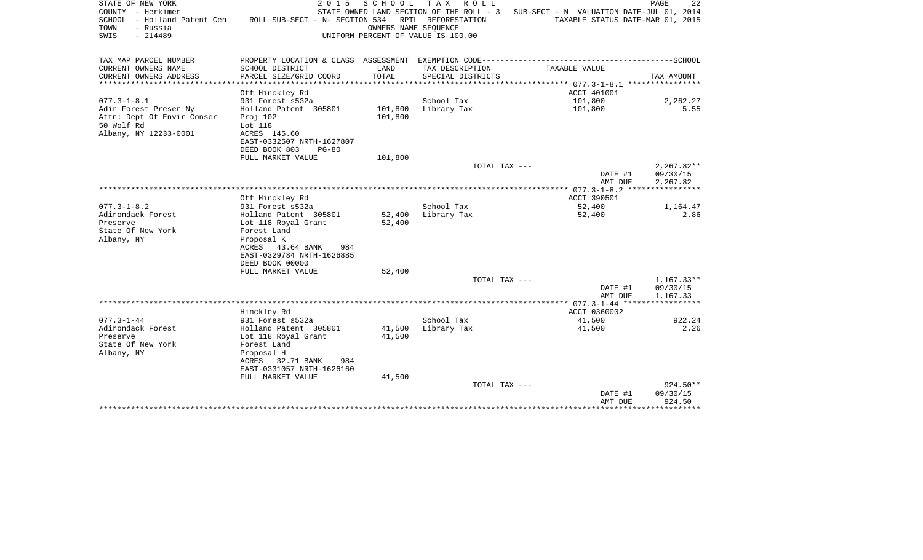| STATE OF NEW YORK<br>COUNTY - Herkimer<br>SCHOOL - Holland Patent Cen<br>- Russia<br>TOWN<br>SWIS<br>$-214489$ | 2 0 1 5<br>ROLL SUB-SECT - N- SECTION 534               | SCHOOL<br>OWNERS NAME SEOUENCE | T A X<br>ROLL<br>STATE OWNED LAND SECTION OF THE ROLL - 3<br>RPTL REFORESTATION<br>UNIFORM PERCENT OF VALUE IS 100.00 | SUB-SECT - N VALUATION DATE-JUL 01, 2014<br>TAXABLE STATUS DATE-MAR 01, 2015 | PAGE<br>22       |
|----------------------------------------------------------------------------------------------------------------|---------------------------------------------------------|--------------------------------|-----------------------------------------------------------------------------------------------------------------------|------------------------------------------------------------------------------|------------------|
| TAX MAP PARCEL NUMBER                                                                                          |                                                         |                                |                                                                                                                       |                                                                              |                  |
| CURRENT OWNERS NAME<br>CURRENT OWNERS ADDRESS                                                                  | SCHOOL DISTRICT<br>PARCEL SIZE/GRID COORD               | LAND<br>TOTAL                  | TAX DESCRIPTION<br>SPECIAL DISTRICTS                                                                                  | TAXABLE VALUE                                                                | TAX AMOUNT       |
| ************************                                                                                       |                                                         |                                |                                                                                                                       |                                                                              |                  |
|                                                                                                                | Off Hinckley Rd                                         |                                | School Tax                                                                                                            | ACCT 401001<br>101,800                                                       |                  |
| $077.3 - 1 - 8.1$<br>Adir Forest Preser Ny                                                                     | 931 Forest s532a<br>Holland Patent 305801               | 101,800                        | Library Tax                                                                                                           | 101,800                                                                      | 2,262.27<br>5.55 |
| Attn: Dept Of Envir Conser                                                                                     | Proj 102                                                | 101,800                        |                                                                                                                       |                                                                              |                  |
| 50 Wolf Rd                                                                                                     | Lot 118                                                 |                                |                                                                                                                       |                                                                              |                  |
| Albany, NY 12233-0001                                                                                          | ACRES 145.60                                            |                                |                                                                                                                       |                                                                              |                  |
|                                                                                                                | EAST-0332507 NRTH-1627807                               |                                |                                                                                                                       |                                                                              |                  |
|                                                                                                                | DEED BOOK 803<br>$PG-80$                                |                                |                                                                                                                       |                                                                              |                  |
|                                                                                                                | FULL MARKET VALUE                                       | 101,800                        | TOTAL TAX ---                                                                                                         |                                                                              | $2,267.82**$     |
|                                                                                                                |                                                         |                                |                                                                                                                       | DATE #1                                                                      | 09/30/15         |
|                                                                                                                |                                                         |                                |                                                                                                                       | AMT DUE                                                                      | 2,267.82         |
|                                                                                                                |                                                         |                                |                                                                                                                       |                                                                              |                  |
|                                                                                                                | Off Hinckley Rd                                         |                                |                                                                                                                       | ACCT 390501                                                                  |                  |
| $077.3 - 1 - 8.2$                                                                                              | 931 Forest s532a                                        |                                | School Tax                                                                                                            | 52,400                                                                       | 1,164.47         |
| Adirondack Forest                                                                                              | Holland Patent 305801                                   | 52,400                         | Library Tax                                                                                                           | 52,400                                                                       | 2.86             |
| Preserve                                                                                                       | Lot 118 Royal Grant                                     | 52,400                         |                                                                                                                       |                                                                              |                  |
| State Of New York<br>Albany, NY                                                                                | Forest Land<br>Proposal K                               |                                |                                                                                                                       |                                                                              |                  |
|                                                                                                                | ACRES 43.64 BANK<br>984                                 |                                |                                                                                                                       |                                                                              |                  |
|                                                                                                                | EAST-0329784 NRTH-1626885                               |                                |                                                                                                                       |                                                                              |                  |
|                                                                                                                | DEED BOOK 00000                                         |                                |                                                                                                                       |                                                                              |                  |
|                                                                                                                | FULL MARKET VALUE                                       | 52,400                         |                                                                                                                       |                                                                              |                  |
|                                                                                                                |                                                         |                                | TOTAL TAX ---                                                                                                         |                                                                              | $1,167.33**$     |
|                                                                                                                |                                                         |                                |                                                                                                                       | DATE #1                                                                      | 09/30/15         |
|                                                                                                                |                                                         |                                |                                                                                                                       | AMT DUE<br>******** 077.3-1-44 ******************                            | 1,167.33         |
|                                                                                                                | Hinckley Rd                                             |                                |                                                                                                                       | ACCT 0360002                                                                 |                  |
| $077.3 - 1 - 44$                                                                                               | 931 Forest s532a                                        |                                | School Tax                                                                                                            | 41,500                                                                       | 922.24           |
| Adirondack Forest                                                                                              | Holland Patent 305801                                   | 41,500                         | Library Tax                                                                                                           | 41,500                                                                       | 2.26             |
| Preserve                                                                                                       | Lot 118 Royal Grant                                     | 41,500                         |                                                                                                                       |                                                                              |                  |
| State Of New York                                                                                              | Forest Land                                             |                                |                                                                                                                       |                                                                              |                  |
| Albany, NY                                                                                                     | Proposal H                                              |                                |                                                                                                                       |                                                                              |                  |
|                                                                                                                | ACRES<br>32.71 BANK<br>984<br>EAST-0331057 NRTH-1626160 |                                |                                                                                                                       |                                                                              |                  |
|                                                                                                                | FULL MARKET VALUE                                       | 41,500                         |                                                                                                                       |                                                                              |                  |
|                                                                                                                |                                                         |                                | TOTAL TAX ---                                                                                                         |                                                                              | 924.50**         |
|                                                                                                                |                                                         |                                |                                                                                                                       | DATE #1                                                                      | 09/30/15         |
|                                                                                                                |                                                         |                                |                                                                                                                       | AMT DUE                                                                      | 924.50           |
|                                                                                                                |                                                         |                                |                                                                                                                       | ******************************                                               |                  |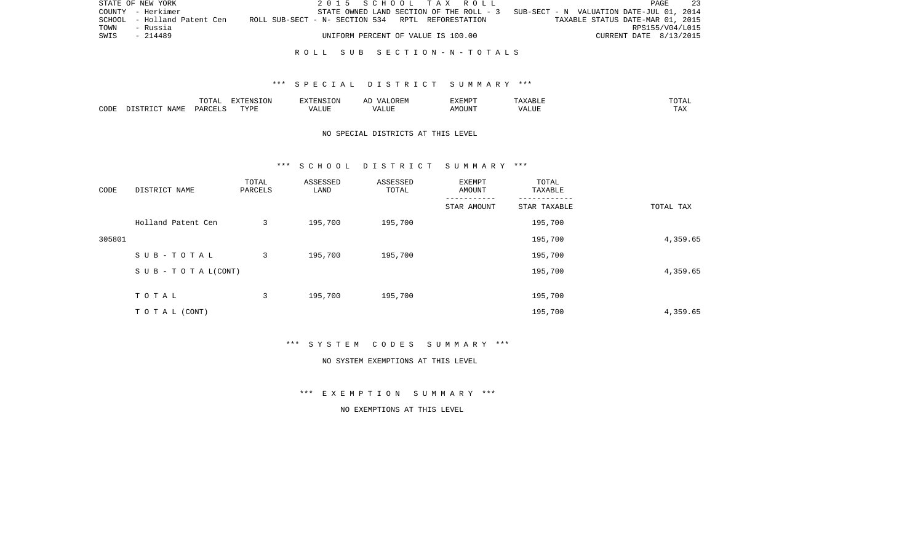|      | STATE OF NEW YORK           | 2015 SCHOOL TAX ROLL                              |  |                                                                                   | PAGE                   | 23              |
|------|-----------------------------|---------------------------------------------------|--|-----------------------------------------------------------------------------------|------------------------|-----------------|
|      | COUNTY - Herkimer           |                                                   |  | STATE OWNED LAND SECTION OF THE ROLL - 3 SUB-SECT - N VALUATION DATE-JUL 01, 2014 |                        |                 |
|      | SCHOOL - Holland Patent Cen | ROLL SUB-SECT - N- SECTION 534 RPTL REFORESTATION |  | TAXABLE STATUS DATE-MAR 01, 2015                                                  |                        |                 |
| TOWN | - Russia                    |                                                   |  |                                                                                   |                        | RPS155/V04/L015 |
| SWIS | $-214489$                   | UNIFORM PERCENT OF VALUE IS 100.00                |  |                                                                                   | CURRENT DATE 8/13/2015 |                 |
|      |                             |                                                   |  |                                                                                   |                        |                 |

#### R O L L S U B S E C T I O N - N - T O T A L S

### \*\*\* S P E C I A L D I S T R I C T S U M M A R Y \*\*\*

|      |                    | $m \wedge m \wedge n$<br>LUIAL | $\Box$<br>⊃ו∧ו<br>T OV |         | ? H∶IV<br>تستحدث         | "VEMPT<br>BABMP | YABL.          | $m \wedge m \wedge r$ |
|------|--------------------|--------------------------------|------------------------|---------|--------------------------|-----------------|----------------|-----------------------|
| CODE | <b>NAME</b><br>TD. | <b>DARCET</b>                  | TVDI                   | اللالمد | $\sqrt{ }$<br>۳۰ تا سند. | AMOUNT          | 77777<br>'Alul | $-1$<br>L A A         |

# NO SPECIAL DISTRICTS AT THIS LEVEL

### \*\*\* S C H O O L D I S T R I C T S U M M A R Y \*\*\*

| CODE   | DISTRICT NAME                    | TOTAL<br>PARCELS | ASSESSED<br>LAND | ASSESSED<br>TOTAL | EXEMPT<br>AMOUNT | TOTAL<br>TAXABLE |           |
|--------|----------------------------------|------------------|------------------|-------------------|------------------|------------------|-----------|
|        |                                  |                  |                  |                   | STAR AMOUNT      | STAR TAXABLE     | TOTAL TAX |
|        | Holland Patent Cen               | 3                | 195,700          | 195,700           |                  | 195,700          |           |
| 305801 |                                  |                  |                  |                   |                  | 195,700          | 4,359.65  |
|        | SUB-TOTAL                        | 3                | 195,700          | 195,700           |                  | 195,700          |           |
|        | $S \cup B - T \cup T A L (CONT)$ |                  |                  |                   |                  | 195,700          | 4,359.65  |
|        | TOTAL                            | 3                | 195,700          | 195,700           |                  | 195,700          |           |
|        | TO TAL (CONT)                    |                  |                  |                   |                  | 195,700          | 4,359.65  |

\*\*\* S Y S T E M C O D E S S U M M A R Y \*\*\*

#### NO SYSTEM EXEMPTIONS AT THIS LEVEL

\*\*\* E X E M P T I O N S U M M A R Y \*\*\*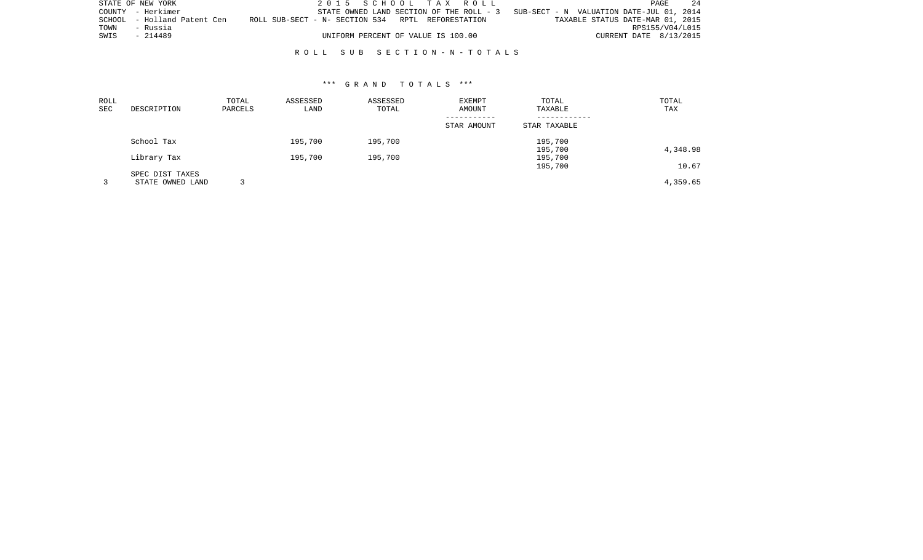|      | STATE OF NEW YORK           |                                                   | 2015 SCHOOL TAX ROLL                     |                                          | PAGE                   | 24 |
|------|-----------------------------|---------------------------------------------------|------------------------------------------|------------------------------------------|------------------------|----|
|      | COUNTY - Herkimer           |                                                   | STATE OWNED LAND SECTION OF THE ROLL - 3 | SUB-SECT - N VALUATION DATE-JUL 01, 2014 |                        |    |
|      | SCHOOL - Holland Patent Cen | ROLL SUB-SECT - N- SECTION 534 RPTL REFORESTATION |                                          | TAXABLE STATUS DATE-MAR 01, 2015         |                        |    |
| TOWN | - Russia                    |                                                   |                                          |                                          | RPS155/V04/L015        |    |
| SWIS | $-214489$                   | UNIFORM PERCENT OF VALUE IS 100.00                |                                          |                                          | CURRENT DATE 8/13/2015 |    |
|      |                             |                                                   |                                          |                                          |                        |    |

R O L L S U B S E C T I O N - N - T O T A L S

| ROLL<br>SEC | DESCRIPTION      | TOTAL<br>PARCELS | ASSESSED<br>LAND | ASSESSED<br>TOTAL | EXEMPT<br>AMOUNT | TOTAL<br>TAXABLE | TOTAL<br>TAX |
|-------------|------------------|------------------|------------------|-------------------|------------------|------------------|--------------|
|             |                  |                  |                  |                   |                  |                  |              |
|             |                  |                  |                  |                   | STAR AMOUNT      | STAR TAXABLE     |              |
|             | School Tax       |                  | 195,700          | 195,700           |                  | 195,700          |              |
|             |                  |                  |                  |                   |                  | 195,700          | 4,348.98     |
|             | Library Tax      |                  | 195,700          | 195,700           |                  | 195,700          |              |
|             |                  |                  |                  |                   |                  | 195,700          | 10.67        |
|             | SPEC DIST TAXES  |                  |                  |                   |                  |                  |              |
|             | STATE OWNED LAND |                  |                  |                   |                  |                  | 4,359.65     |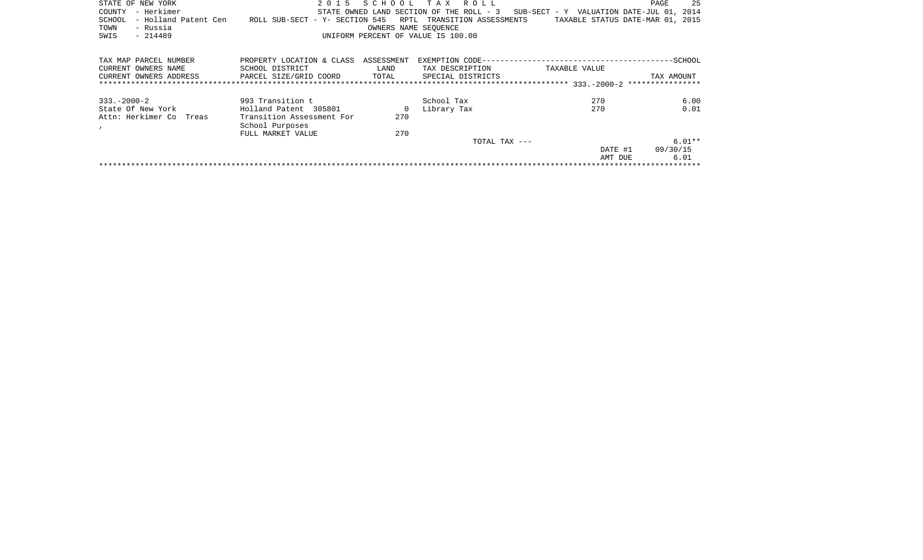| STATE OF NEW YORK<br>– Herkimer<br>COUNTY | 2015                                                       |            | SCHOOL TAX ROLL<br>STATE OWNED LAND SECTION OF THE ROLL - 3 | SUB-SECT - Y VALUATION DATE-JUL 01, | 25<br>PAGE<br>2014               |
|-------------------------------------------|------------------------------------------------------------|------------|-------------------------------------------------------------|-------------------------------------|----------------------------------|
| - Holland Patent Cen<br>SCHOOL            | ROLL SUB-SECT - Y- SECTION 545 RPTL TRANSITION ASSESSMENTS |            |                                                             |                                     | TAXABLE STATUS DATE-MAR 01, 2015 |
| - Russia<br>TOWN                          |                                                            |            | OWNERS NAME SEOUENCE                                        |                                     |                                  |
| $-214489$<br>SWIS                         |                                                            |            | UNIFORM PERCENT OF VALUE IS 100.00                          |                                     |                                  |
|                                           |                                                            |            |                                                             |                                     |                                  |
| TAX MAP PARCEL NUMBER                     | PROPERTY LOCATION & CLASS                                  | ASSESSMENT |                                                             |                                     |                                  |
| CURRENT OWNERS NAME                       | SCHOOL DISTRICT                                            | LAND       | TAX DESCRIPTION                                             | TAXABLE VALUE                       |                                  |
| CURRENT OWNERS ADDRESS                    | PARCEL SIZE/GRID COORD                                     | TOTAL      | SPECIAL DISTRICTS                                           |                                     | TAX AMOUNT                       |
|                                           |                                                            |            |                                                             |                                     |                                  |
|                                           |                                                            |            |                                                             |                                     |                                  |

| State Of New York       | Holland Patent 305801     | 0   | Library Tax   | 270     | 0.01     |
|-------------------------|---------------------------|-----|---------------|---------|----------|
| Attn: Herkimer Co Treas | Transition Assessment For | 270 |               |         |          |
|                         | School Purposes           |     |               |         |          |
|                         | FULL MARKET VALUE         | 270 |               |         |          |
|                         |                           |     | TOTAL TAX --- |         | $6.01**$ |
|                         |                           |     |               | DATE #1 | 09/30/15 |
|                         |                           |     |               | AMT DUE | 6.01     |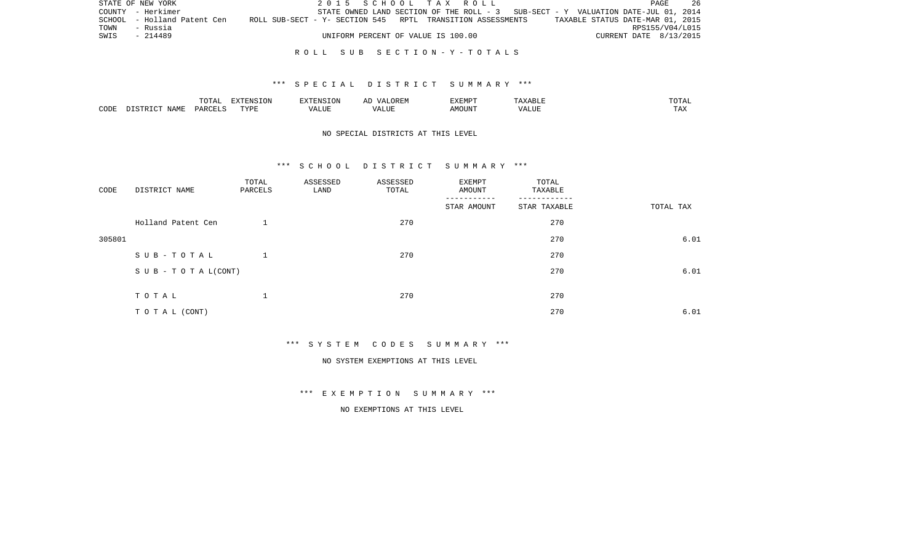|      | STATE OF NEW YORK           |                                                            | 2015 SCHOOL TAX ROLL                                                              |  |  |  |                                  | PAGE | - 26 |
|------|-----------------------------|------------------------------------------------------------|-----------------------------------------------------------------------------------|--|--|--|----------------------------------|------|------|
|      | COUNTY - Herkimer           |                                                            | STATE OWNED LAND SECTION OF THE ROLL - 3 SUB-SECT - Y VALUATION DATE-JUL 01, 2014 |  |  |  |                                  |      |      |
|      | SCHOOL - Holland Patent Cen | ROLL SUB-SECT - Y- SECTION 545 RPTL TRANSITION ASSESSMENTS |                                                                                   |  |  |  | TAXABLE STATUS DATE-MAR 01, 2015 |      |      |
| TOWN | - Russia                    |                                                            |                                                                                   |  |  |  | RPS155/V04/L015                  |      |      |
| SWIS | - 214489                    |                                                            | UNIFORM PERCENT OF VALUE IS 100.00                                                |  |  |  | CURRENT DATE 8/13/2015           |      |      |
|      |                             |                                                            |                                                                                   |  |  |  |                                  |      |      |

#### R O L L S U B S E C T I O N - Y - T O T A L S

#### \*\*\* S P E C I A L D I S T R I C T S U M M A R Y \*\*\*

|      |      | <b>momm</b><br>◡∸⊷          | $\blacksquare$<br>N L'<br>LUN |                     |              | <b>EXEMPT</b> | . .               | ◡--                   |
|------|------|-----------------------------|-------------------------------|---------------------|--------------|---------------|-------------------|-----------------------|
| CODE | NAME | $\alpha$ DORT $\beta$<br>◡▵ | FVDI                          | $\cdots$<br>ALILI P | י י<br>1 U L | )UN           | $    -$<br>יש שבא | m 7<br>L <i>L</i> 14. |

### NO SPECIAL DISTRICTS AT THIS LEVEL

#### \*\*\* S C H O O L D I S T R I C T S U M M A R Y \*\*\*

| CODE   | DISTRICT NAME                    | TOTAL<br>PARCELS | ASSESSED<br>LAND | ASSESSED<br>TOTAL | EXEMPT<br>AMOUNT | TOTAL<br>TAXABLE |           |
|--------|----------------------------------|------------------|------------------|-------------------|------------------|------------------|-----------|
|        |                                  |                  |                  |                   | STAR AMOUNT      | STAR TAXABLE     | TOTAL TAX |
|        | Holland Patent Cen               |                  |                  | 270               |                  | 270              |           |
| 305801 |                                  |                  |                  |                   |                  | 270              | 6.01      |
|        | SUB-TOTAL                        |                  |                  | 270               |                  | 270              |           |
|        | $S \cup B - T \cup T A L (CONT)$ |                  |                  |                   |                  | 270              | 6.01      |
|        |                                  |                  |                  |                   |                  |                  |           |
|        | TOTAL                            | ᅩ                |                  | 270               |                  | 270              |           |
|        | TO TAL (CONT)                    |                  |                  |                   |                  | 270              | 6.01      |

\*\*\* S Y S T E M C O D E S S U M M A R Y \*\*\*

NO SYSTEM EXEMPTIONS AT THIS LEVEL

\*\*\* E X E M P T I O N S U M M A R Y \*\*\*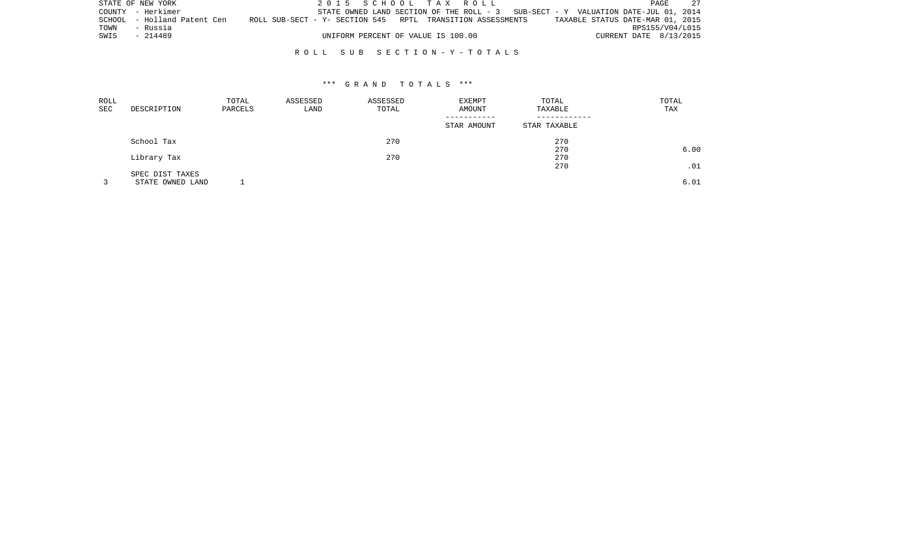|      | STATE OF NEW YORK           | 2015 SCHOOL TAX ROLL                                                                | PAGE                             |
|------|-----------------------------|-------------------------------------------------------------------------------------|----------------------------------|
|      | COUNTY - Herkimer           | STATE OWNED LAND SECTION OF THE ROLL - $3$ SUB-SECT - Y VALUATION DATE-JUL 01, 2014 |                                  |
|      | SCHOOL - Holland Patent Cen | ROLL SUB-SECT - Y- SECTION 545 RPTL TRANSITION ASSESSMENTS                          | TAXABLE STATUS DATE-MAR 01, 2015 |
| TOWN | - Russia                    |                                                                                     | RPS155/V04/L015                  |
| SWIS | - 214489                    | UNIFORM PERCENT OF VALUE IS 100.00                                                  | CURRENT DATE 8/13/2015           |

#### R O L L S U B S E C T I O N - Y - T O T A L S

| ROLL<br>SEC | DESCRIPTION      | TOTAL<br>PARCELS | ASSESSED<br>LAND | ASSESSED<br>TOTAL            | EXEMPT<br>AMOUNT | TOTAL<br>TAXABLE | TOTAL<br>TAX |
|-------------|------------------|------------------|------------------|------------------------------|------------------|------------------|--------------|
|             |                  |                  | STAR AMOUNT      | ------------<br>STAR TAXABLE |                  |                  |              |
|             | School Tax       |                  |                  | 270                          |                  | 270              |              |
|             |                  |                  |                  |                              |                  | 270              | 6.00         |
|             | Library Tax      |                  |                  | 270                          |                  | 270              |              |
|             |                  |                  |                  |                              |                  | 270              | .01          |
|             | SPEC DIST TAXES  |                  |                  |                              |                  |                  |              |
|             | STATE OWNED LAND |                  |                  |                              |                  |                  | 6.01         |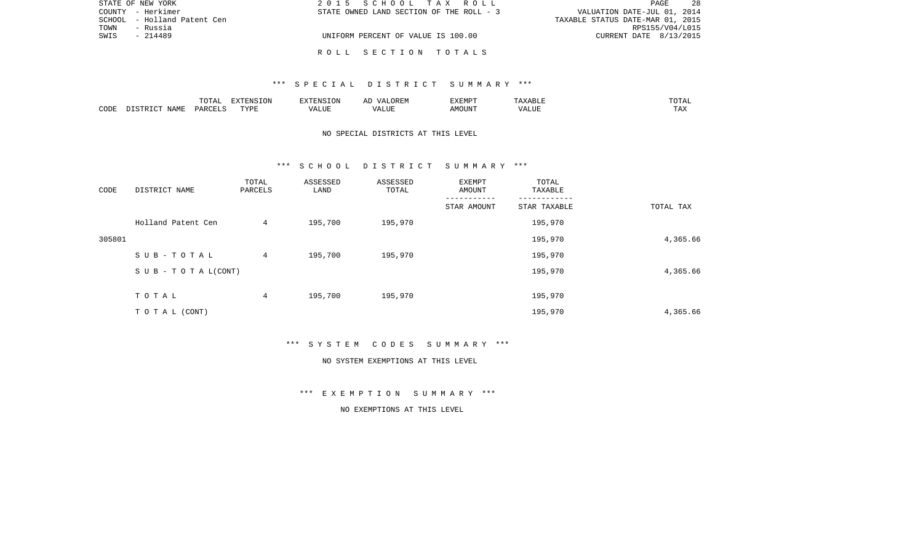| STATE OF NEW YORK           | 2015 SCHOOL TAX ROLL                     | 28<br>PAGE                       |
|-----------------------------|------------------------------------------|----------------------------------|
| COUNTY - Herkimer           | STATE OWNED LAND SECTION OF THE ROLL - 3 | VALUATION DATE-JUL 01, 2014      |
| SCHOOL - Holland Patent Cen |                                          | TAXABLE STATUS DATE-MAR 01, 2015 |
| - Russia<br>TOWN            |                                          | RPS155/V04/L015                  |
| SWIS<br>- 214489            | UNIFORM PERCENT OF VALUE IS 100.00       | CURRENT DATE 8/13/2015           |
|                             |                                          |                                  |
|                             | ROLL SECTION TOTALS                      |                                  |

|      |                  | TOTAL   | EXTENSION |             | OREN.<br>$\sqrt{\Delta}$<br>ΔΙ | EXEMPT | $\cdot$ $\land$ $\times$ $\land$ $\times$ $\cdot$ $\cdot$ $\cdot$ $\cdot$ | $100$ m $\pi$<br><b>+ + +</b> |
|------|------------------|---------|-----------|-------------|--------------------------------|--------|---------------------------------------------------------------------------|-------------------------------|
| CODE | NAME<br>DISTRICT | PARCELS | TVDF<br>. | ALUE<br>۰Δ. | ALUF                           | AMOUN" | 'ALUL                                                                     | $m \times n$<br>⊥ A∡          |

# NO SPECIAL DISTRICTS AT THIS LEVEL

#### \*\*\* S C H O O L D I S T R I C T S U M M A R Y \*\*\*

| CODE   | DISTRICT NAME                    | TOTAL<br>PARCELS | ASSESSED<br>LAND | ASSESSED<br>TOTAL | EXEMPT<br>AMOUNT | TOTAL<br>TAXABLE |           |
|--------|----------------------------------|------------------|------------------|-------------------|------------------|------------------|-----------|
|        |                                  |                  |                  |                   | STAR AMOUNT      | STAR TAXABLE     | TOTAL TAX |
|        | Holland Patent Cen               | 4                | 195,700          | 195,970           |                  | 195,970          |           |
| 305801 |                                  |                  |                  |                   |                  | 195,970          | 4,365.66  |
|        | SUB-TOTAL                        | 4                | 195,700          | 195,970           |                  | 195,970          |           |
|        | $S \cup B - T \cup T A L (CONT)$ |                  |                  |                   |                  | 195,970          | 4,365.66  |
|        | TOTAL                            | 4                | 195,700          | 195,970           |                  | 195,970          |           |
|        |                                  |                  |                  |                   |                  |                  |           |
|        | TO TAL (CONT)                    |                  |                  |                   |                  | 195,970          | 4,365.66  |

\*\*\* S Y S T E M C O D E S S U M M A R Y \*\*\*

#### NO SYSTEM EXEMPTIONS AT THIS LEVEL

\*\*\* E X E M P T I O N S U M M A R Y \*\*\*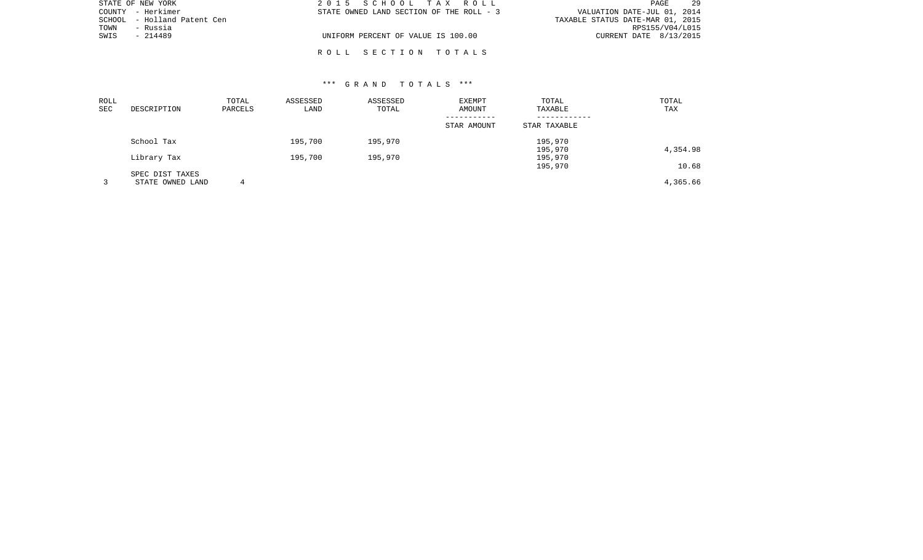| STATE OF NEW YORK           | 2015 SCHOOL TAX ROLL                     | 29<br>PAGE                       |
|-----------------------------|------------------------------------------|----------------------------------|
| COUNTY - Herkimer           | STATE OWNED LAND SECTION OF THE ROLL - 3 | VALUATION DATE-JUL 01, 2014      |
| SCHOOL - Holland Patent Cen |                                          | TAXABLE STATUS DATE-MAR 01, 2015 |
| TOWN<br>- Russia            |                                          | RPS155/V04/L015                  |
| SWIS<br>- 214489            | UNIFORM PERCENT OF VALUE IS 100.00       | CURRENT DATE 8/13/2015           |
|                             |                                          |                                  |

R O L L S E C T I O N T O T A L S

| ROLL<br><b>SEC</b> | DESCRIPTION                         | TOTAL<br>PARCELS | ASSESSED<br>LAND | ASSESSED<br>TOTAL | EXEMPT<br>AMOUNT | TOTAL<br>TAXABLE   | TOTAL<br>TAX |
|--------------------|-------------------------------------|------------------|------------------|-------------------|------------------|--------------------|--------------|
|                    |                                     |                  |                  |                   | STAR AMOUNT      | STAR TAXABLE       |              |
|                    | School Tax                          |                  | 195,700          | 195,970           |                  | 195,970<br>195,970 | 4,354.98     |
|                    | Library Tax                         |                  | 195,700          | 195,970           |                  | 195,970<br>195,970 | 10.68        |
|                    | SPEC DIST TAXES<br>STATE OWNED LAND | 4                |                  |                   |                  |                    | 4,365.66     |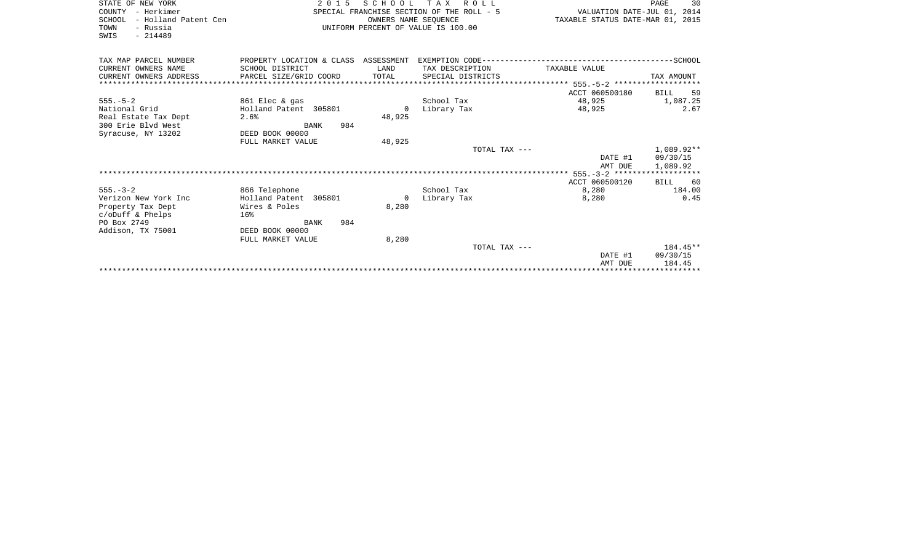| STATE OF NEW YORK<br>- Herkimer<br>COUNTY<br>SCHOOL<br>- Holland Patent Cen<br>TOWN<br>- Russia<br>$-214489$<br>SWIS | 2 0 1 5<br>SPECIAL FRANCHISE SECTION OF THE ROLL - 5<br>UNIFORM PERCENT OF VALUE IS 100.00 | 30<br>PAGE<br>VALUATION DATE-JUL 01, 2014<br>TAXABLE STATUS DATE-MAR 01, 2015 |                   |                    |                      |
|----------------------------------------------------------------------------------------------------------------------|--------------------------------------------------------------------------------------------|-------------------------------------------------------------------------------|-------------------|--------------------|----------------------|
| TAX MAP PARCEL NUMBER<br>CURRENT OWNERS NAME                                                                         | PROPERTY LOCATION & CLASS ASSESSMENT<br>SCHOOL DISTRICT                                    | LAND                                                                          | TAX DESCRIPTION   | TAXABLE VALUE      |                      |
| CURRENT OWNERS ADDRESS                                                                                               | PARCEL SIZE/GRID COORD                                                                     | TOTAL                                                                         | SPECIAL DISTRICTS |                    | TAX AMOUNT           |
|                                                                                                                      |                                                                                            |                                                                               |                   |                    |                      |
|                                                                                                                      |                                                                                            |                                                                               |                   | ACCT 060500180     | 59<br>BILL           |
| $555. - 5 - 2$                                                                                                       | 861 Elec & gas                                                                             |                                                                               | School Tax        | 48,925             | 1,087.25             |
| National Grid                                                                                                        | Holland Patent 305801                                                                      | $\Omega$                                                                      | Library Tax       | 48,925             | 2.67                 |
| Real Estate Tax Dept                                                                                                 | 2.6%                                                                                       | 48,925                                                                        |                   |                    |                      |
| 300 Erie Blyd West                                                                                                   | 984<br>BANK                                                                                |                                                                               |                   |                    |                      |
| Syracuse, NY 13202                                                                                                   | DEED BOOK 00000                                                                            |                                                                               |                   |                    |                      |
|                                                                                                                      | FULL MARKET VALUE                                                                          | 48,925                                                                        |                   |                    |                      |
|                                                                                                                      |                                                                                            |                                                                               | TOTAL TAX ---     |                    | 1,089.92**           |
|                                                                                                                      |                                                                                            |                                                                               |                   | DATE #1<br>AMT DUE | 09/30/15<br>1,089.92 |
|                                                                                                                      |                                                                                            |                                                                               |                   |                    |                      |
|                                                                                                                      |                                                                                            |                                                                               |                   | ACCT 060500120     | 60<br><b>BILL</b>    |
| $555. - 3 - 2$                                                                                                       | 866 Telephone                                                                              |                                                                               | School Tax        | 8,280              | 184.00               |
| Verizon New York Inc                                                                                                 | Holland Patent 305801                                                                      | $\Omega$                                                                      | Library Tax       | 8,280              | 0.45                 |
| Property Tax Dept                                                                                                    | Wires & Poles                                                                              | 8,280                                                                         |                   |                    |                      |
| $c$ /oDuff & Phelps                                                                                                  | 16%                                                                                        |                                                                               |                   |                    |                      |
| PO Box 2749                                                                                                          | 984<br>BANK                                                                                |                                                                               |                   |                    |                      |
| Addison, TX 75001                                                                                                    | DEED BOOK 00000                                                                            |                                                                               |                   |                    |                      |
|                                                                                                                      | FULL MARKET VALUE                                                                          | 8,280                                                                         |                   |                    |                      |
|                                                                                                                      |                                                                                            |                                                                               | TOTAL TAX ---     |                    | $184.45**$           |
|                                                                                                                      |                                                                                            |                                                                               |                   | DATE #1<br>AMT DUE | 09/30/15<br>184.45   |
|                                                                                                                      |                                                                                            |                                                                               |                   |                    |                      |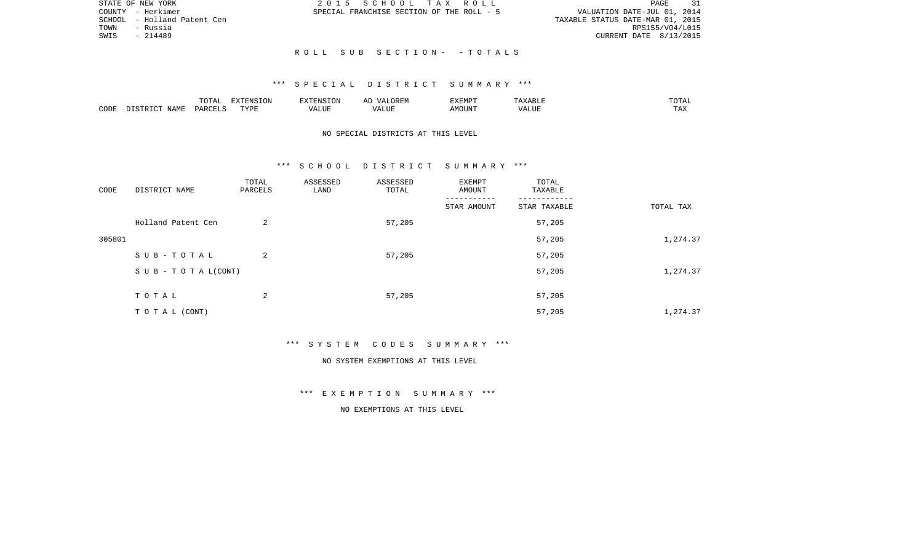|      | STATE OF NEW YORK           | 2015 SCHOOL TAX ROLL                      | 31<br>PAGE                       |
|------|-----------------------------|-------------------------------------------|----------------------------------|
|      | COUNTY - Herkimer           | SPECIAL FRANCHISE SECTION OF THE ROLL - 5 | VALUATION DATE-JUL 01, 2014      |
|      | SCHOOL - Holland Patent Cen |                                           | TAXABLE STATUS DATE-MAR 01, 2015 |
| TOWN | - Russia                    |                                           | RPS155/V04/L015                  |
| SWIS | $-214489$                   |                                           | CURRENT DATE 8/13/2015           |
|      |                             |                                           |                                  |
|      |                             | ROLL SUB SECTION- - TOTALS                |                                  |

|      |                    | $m \wedge m \wedge n$<br>LUIAL | $\Box$<br>⊃ו∧ו<br>T OV |         | ? H∶IV<br>تستحدث         | "VEMPT<br>BABMP | YABL.          | $m \wedge m \wedge r$ |
|------|--------------------|--------------------------------|------------------------|---------|--------------------------|-----------------|----------------|-----------------------|
| CODE | <b>NAME</b><br>TD. | <b>DARCET</b>                  | TVDI                   | اللالمد | $\sqrt{ }$<br>۳۰ تا سند. | AMOUNT          | 77777<br>'Alul | $-1$<br>L A A         |

# NO SPECIAL DISTRICTS AT THIS LEVEL

#### \*\*\* S C H O O L D I S T R I C T S U M M A R Y \*\*\*

| CODE   | DISTRICT NAME                    | TOTAL<br>PARCELS | ASSESSED<br>LAND | ASSESSED<br>TOTAL | EXEMPT<br>AMOUNT | TOTAL<br>TAXABLE |           |
|--------|----------------------------------|------------------|------------------|-------------------|------------------|------------------|-----------|
|        |                                  |                  |                  |                   | STAR AMOUNT      | STAR TAXABLE     | TOTAL TAX |
|        | Holland Patent Cen               | 2                |                  | 57,205            |                  | 57,205           |           |
| 305801 |                                  |                  |                  |                   |                  | 57,205           | 1,274.37  |
|        | SUB-TOTAL                        | 2                |                  | 57,205            |                  | 57,205           |           |
|        | $S \cup B - T \cup T A L (CONT)$ |                  |                  |                   |                  | 57,205           | 1,274.37  |
|        | TOTAL                            | 2                |                  | 57,205            |                  | 57,205           |           |
|        | TO TAL (CONT)                    |                  |                  |                   |                  | 57,205           | 1,274.37  |

\*\*\* S Y S T E M C O D E S S U M M A R Y \*\*\*

#### NO SYSTEM EXEMPTIONS AT THIS LEVEL

\*\*\* E X E M P T I O N S U M M A R Y \*\*\*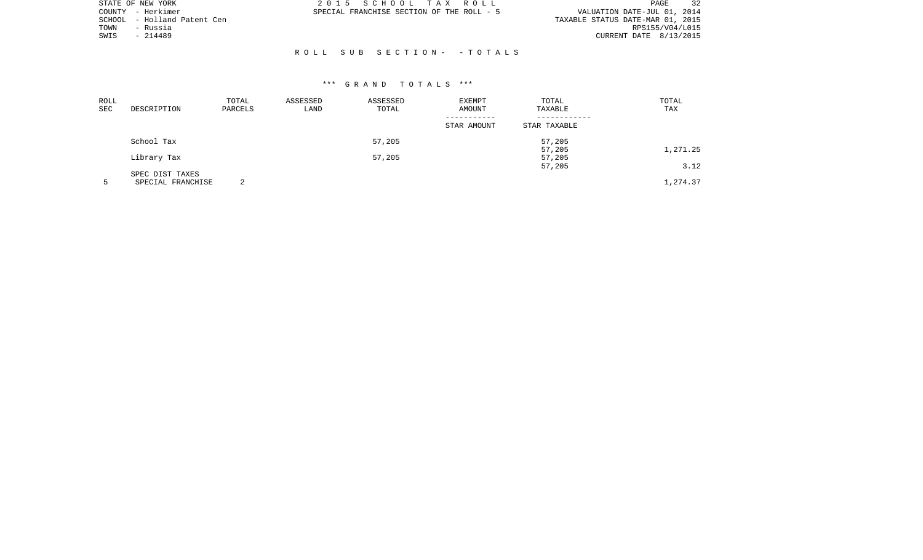|        | STATE OF NEW YORK    | 2015 SCHOOL TAX ROLL                      | <b>PAGE</b>                      |
|--------|----------------------|-------------------------------------------|----------------------------------|
|        | COUNTY - Herkimer    | SPECIAL FRANCHISE SECTION OF THE ROLL - 5 | VALUATION DATE-JUL 01, 2014      |
| SCHOOL | - Holland Patent Cen |                                           | TAXABLE STATUS DATE-MAR 01, 2015 |
| TOWN   | - Russia             |                                           | RPS155/V04/L015                  |
| SWIS   | $-214489$            |                                           | CURRENT DATE 8/13/2015           |
|        |                      |                                           |                                  |
|        |                      | ROLL SUB SECTION- -TOTALS                 |                                  |

| ROLL<br>SEC | DESCRIPTION       | TOTAL<br>PARCELS | ASSESSED<br>LAND | ASSESSED<br>TOTAL | <b>EXEMPT</b><br>AMOUNT | TOTAL<br>TAXABLE | TOTAL<br>TAX |
|-------------|-------------------|------------------|------------------|-------------------|-------------------------|------------------|--------------|
|             |                   |                  |                  |                   | STAR AMOUNT             | STAR TAXABLE     |              |
|             | School Tax        |                  |                  | 57,205            |                         | 57,205           |              |
|             |                   |                  |                  |                   |                         | 57,205           | 1,271.25     |
|             | Library Tax       |                  |                  | 57,205            |                         | 57,205           |              |
|             |                   |                  |                  |                   |                         | 57,205           | 3.12         |
|             | SPEC DIST TAXES   |                  |                  |                   |                         |                  |              |
|             | SPECIAL FRANCHISE | ◠                |                  |                   |                         |                  | 1,274.37     |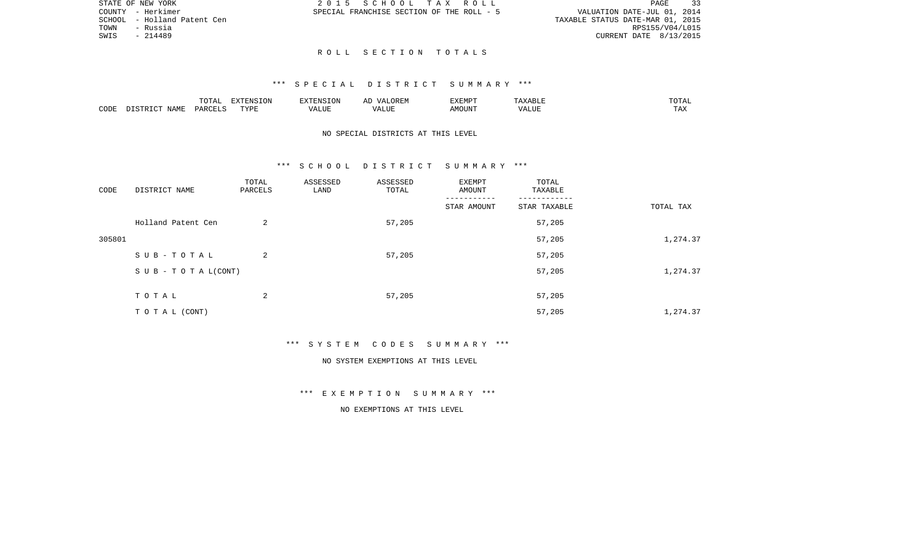| STATE OF NEW YORK            | 2015 SCHOOL TAX ROLL                      | 33<br>PAGE                       |
|------------------------------|-------------------------------------------|----------------------------------|
| COUNTY - Herkimer            | SPECIAL FRANCHISE SECTION OF THE ROLL - 5 | VALUATION DATE-JUL 01, 2014      |
| SCHOOL  – Holland Patent Cen |                                           | TAXABLE STATUS DATE-MAR 01, 2015 |
| TOWN<br>- Russia             |                                           | RPS155/V04/L015                  |
| SWIS<br>- 214489             |                                           | CURRENT DATE 8/13/2015           |
|                              |                                           |                                  |

R O L L S E C T I O N T O T A L S

|      |                    | $\blacksquare \cap \blacksquare \blacksquare$<br>TOTAL | EXTENSION | -------  | $\sqrt{ }$ | EXEMPT |                | $m \wedge m$<br>$\cdot$ . $\blacksquare$<br>. |
|------|--------------------|--------------------------------------------------------|-----------|----------|------------|--------|----------------|-----------------------------------------------|
| CODE | JAMF<br>$T \cap T$ | C <sub>MT</sub><br>PAP'                                | TYPF<br>. | $\cdots$ |            | JUN    | - ---<br>'ALUL | $-1$<br>.                                     |

# NO SPECIAL DISTRICTS AT THIS LEVEL

#### \*\*\* S C H O O L D I S T R I C T S U M M A R Y \*\*\*

| CODE   | DISTRICT NAME                    | TOTAL<br>PARCELS | ASSESSED<br>LAND | ASSESSED<br>TOTAL | EXEMPT<br>AMOUNT | TOTAL<br>TAXABLE |           |
|--------|----------------------------------|------------------|------------------|-------------------|------------------|------------------|-----------|
|        |                                  |                  |                  |                   | STAR AMOUNT      | STAR TAXABLE     | TOTAL TAX |
|        | Holland Patent Cen               | 2                |                  | 57,205            |                  | 57,205           |           |
| 305801 |                                  |                  |                  |                   |                  | 57,205           | 1,274.37  |
|        | SUB-TOTAL                        | 2                |                  | 57,205            |                  | 57,205           |           |
|        | $S \cup B - T \cup T A L (CONT)$ |                  |                  |                   |                  | 57,205           | 1,274.37  |
|        | TOTAL                            | 2                |                  | 57,205            |                  | 57,205           |           |
|        | TO TAL (CONT)                    |                  |                  |                   |                  | 57,205           | 1,274.37  |

\*\*\* S Y S T E M C O D E S S U M M A R Y \*\*\*

#### NO SYSTEM EXEMPTIONS AT THIS LEVEL

\*\*\* E X E M P T I O N S U M M A R Y \*\*\*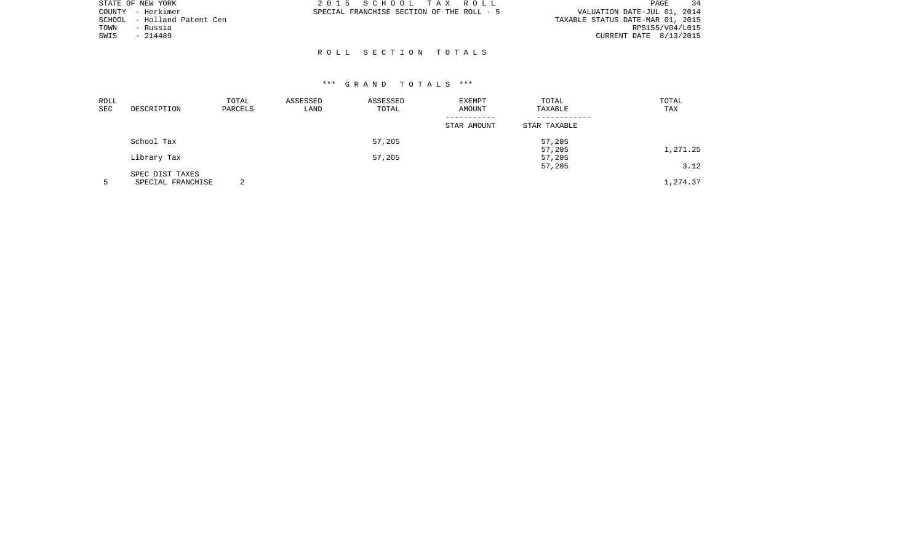|        | STATE OF NEW YORK    | 2015 SCHOOL TAX ROLL                      |  |                                  | PAGE            |  |
|--------|----------------------|-------------------------------------------|--|----------------------------------|-----------------|--|
|        | COUNTY - Herkimer    | SPECIAL FRANCHISE SECTION OF THE ROLL - 5 |  | VALUATION DATE-JUL 01, 2014      |                 |  |
| SCHOOL | - Holland Patent Cen |                                           |  | TAXABLE STATUS DATE-MAR 01, 2015 |                 |  |
| TOWN   | - Russia             |                                           |  |                                  | RPS155/V04/L015 |  |
| SWIS   | - 214489             |                                           |  | CURRENT DATE 8/13/2015           |                 |  |
|        |                      |                                           |  |                                  |                 |  |
|        |                      | ROLL SECTION TOTALS                       |  |                                  |                 |  |

| ROLL<br><b>SEC</b> | DESCRIPTION       | TOTAL<br>PARCELS | ASSESSED<br>LAND | ASSESSED<br>TOTAL | EXEMPT<br>AMOUNT | TOTAL<br>TAXABLE | TOTAL<br>TAX |
|--------------------|-------------------|------------------|------------------|-------------------|------------------|------------------|--------------|
|                    |                   |                  |                  |                   | STAR AMOUNT      | STAR TAXABLE     |              |
|                    | School Tax        |                  |                  | 57,205            |                  | 57,205           |              |
|                    |                   |                  |                  |                   |                  | 57,205           | 1,271.25     |
|                    | Library Tax       |                  |                  | 57,205            |                  | 57,205           |              |
|                    |                   |                  |                  |                   |                  | 57,205           | 3.12         |
|                    | SPEC DIST TAXES   |                  |                  |                   |                  |                  |              |
|                    | SPECIAL FRANCHISE | ◠                |                  |                   |                  |                  | 1,274.37     |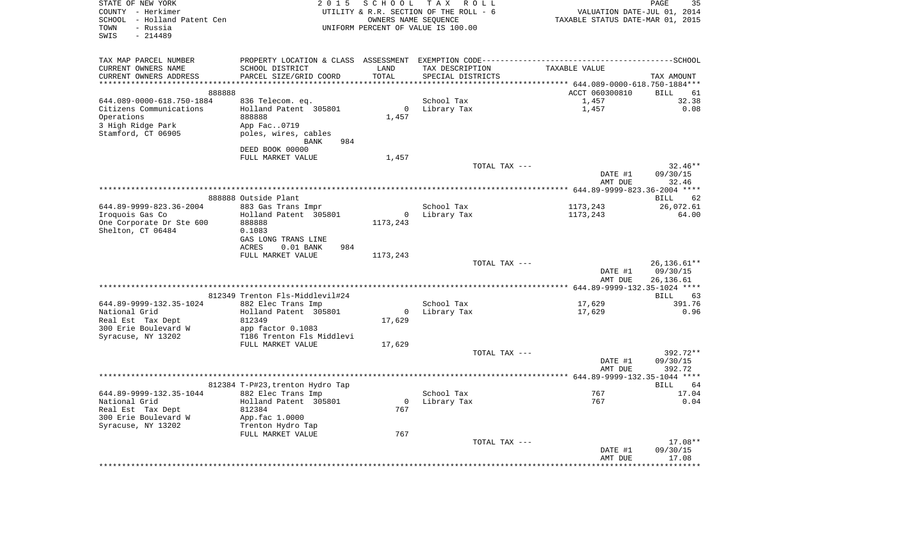| STATE OF NEW YORK           | 2 0 1 5                            | S C H O O L              | TAX ROLL                               |                                  | PAGE<br>35         |
|-----------------------------|------------------------------------|--------------------------|----------------------------------------|----------------------------------|--------------------|
| COUNTY - Herkimer           |                                    |                          | UTILITY & R.R. SECTION OF THE ROLL - 6 | VALUATION DATE-JUL 01, 2014      |                    |
| SCHOOL - Holland Patent Cen |                                    | OWNERS NAME SEQUENCE     |                                        | TAXABLE STATUS DATE-MAR 01, 2015 |                    |
| TOWN<br>- Russia            |                                    |                          | UNIFORM PERCENT OF VALUE IS 100.00     |                                  |                    |
| $-214489$<br>SWIS           |                                    |                          |                                        |                                  |                    |
|                             |                                    |                          |                                        |                                  |                    |
| TAX MAP PARCEL NUMBER       |                                    |                          |                                        |                                  |                    |
| CURRENT OWNERS NAME         | SCHOOL DISTRICT                    | LAND                     | TAX DESCRIPTION                        | TAXABLE VALUE                    |                    |
| CURRENT OWNERS ADDRESS      | PARCEL SIZE/GRID COORD             | TOTAL                    | SPECIAL DISTRICTS                      |                                  | TAX AMOUNT         |
|                             |                                    |                          |                                        |                                  |                    |
| 888888                      |                                    |                          |                                        | ACCT 060300810                   | BILL<br>61         |
| 644.089-0000-618.750-1884   | 836 Telecom. eq.                   |                          | School Tax                             | 1,457                            | 32.38              |
| Citizens Communications     | Holland Patent 305801              | $\circ$                  | Library Tax                            | 1,457                            | 0.08               |
| Operations                  | 888888                             | 1,457                    |                                        |                                  |                    |
| 3 High Ridge Park           | App Fac0719                        |                          |                                        |                                  |                    |
| Stamford, CT 06905          | poles, wires, cables               |                          |                                        |                                  |                    |
|                             | <b>BANK</b><br>984                 |                          |                                        |                                  |                    |
|                             | DEED BOOK 00000                    |                          |                                        |                                  |                    |
|                             | FULL MARKET VALUE                  | 1,457                    |                                        |                                  |                    |
|                             |                                    |                          | TOTAL TAX ---                          |                                  | $32.46**$          |
|                             |                                    |                          |                                        | DATE #1                          | 09/30/15           |
|                             |                                    |                          |                                        | AMT DUE                          | 32.46              |
|                             |                                    |                          |                                        |                                  |                    |
|                             | 888888 Outside Plant               |                          |                                        |                                  | BILL<br>62         |
| 644.89-9999-823.36-2004     | 883 Gas Trans Impr                 |                          | School Tax                             | 1173,243                         | 26,072.61          |
| Iroquois Gas Co             | Holland Patent 305801              | $\overline{0}$           | Library Tax                            | 1173,243                         | 64.00              |
| One Corporate Dr Ste 600    | 888888                             | 1173,243                 |                                        |                                  |                    |
| Shelton, CT 06484           | 0.1083                             |                          |                                        |                                  |                    |
|                             | GAS LONG TRANS LINE                |                          |                                        |                                  |                    |
|                             | <b>ACRES</b><br>$0.01$ BANK<br>984 |                          |                                        |                                  |                    |
|                             | FULL MARKET VALUE                  | 1173,243                 | TOTAL TAX ---                          |                                  | 26, 136. 61**      |
|                             |                                    |                          |                                        | DATE #1                          | 09/30/15           |
|                             |                                    |                          |                                        | AMT DUE                          | 26,136.61          |
|                             |                                    |                          |                                        |                                  |                    |
|                             | 812349 Trenton Fls-Middlevil#24    |                          |                                        |                                  | <b>BILL</b><br>63  |
| 644.89-9999-132.35-1024     | 882 Elec Trans Imp                 |                          | School Tax                             | 17,629                           | 391.76             |
| National Grid               | Holland Patent 305801              | $\circ$                  | Library Tax                            | 17,629                           | 0.96               |
| Real Est Tax Dept           | 812349                             | 17,629                   |                                        |                                  |                    |
| 300 Erie Boulevard W        | app factor 0.1083                  |                          |                                        |                                  |                    |
| Syracuse, NY 13202          | T186 Trenton Fls Middlevi          |                          |                                        |                                  |                    |
|                             | FULL MARKET VALUE                  | 17,629                   |                                        |                                  |                    |
|                             |                                    |                          | TOTAL TAX ---                          |                                  | 392.72**           |
|                             |                                    |                          |                                        | DATE #1                          | 09/30/15           |
|                             |                                    |                          |                                        | AMT DUE                          | 392.72             |
|                             |                                    |                          |                                        |                                  |                    |
|                             | 812384 T-P#23, trenton Hydro Tap   |                          |                                        |                                  | BILL<br>64         |
| 644.89-9999-132.35-1044     | 882 Elec Trans Imp                 |                          | School Tax                             | 767                              | 17.04              |
| National Grid               | Holland Patent 305801              | $\overline{\phantom{0}}$ | Library Tax                            | 767                              | 0.04               |
| Real Est Tax Dept           | 812384                             | 767                      |                                        |                                  |                    |
| 300 Erie Boulevard W        | App.fac 1.0000                     |                          |                                        |                                  |                    |
| Syracuse, NY 13202          | Trenton Hydro Tap                  |                          |                                        |                                  |                    |
|                             | FULL MARKET VALUE                  | 767                      |                                        |                                  |                    |
|                             |                                    |                          | TOTAL TAX ---                          |                                  | 17.08**            |
|                             |                                    |                          |                                        | DATE #1                          | 09/30/15           |
|                             |                                    |                          |                                        | AMT DUE                          | 17.08<br>********* |
|                             |                                    |                          |                                        |                                  |                    |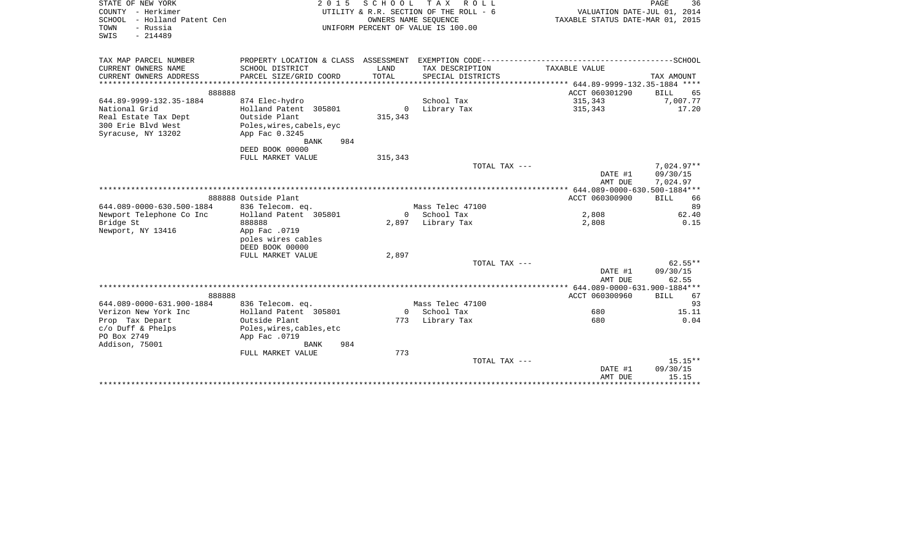| STATE OF NEW YORK<br>COUNTY - Herkimer | 2 0 1 5                   |                      | SCHOOL TAX ROLL<br>UTILITY & R.R. SECTION OF THE ROLL - 6 |                                     | PAGE<br>36<br>VALUATION DATE-JUL 01, 2014 |  |  |
|----------------------------------------|---------------------------|----------------------|-----------------------------------------------------------|-------------------------------------|-------------------------------------------|--|--|
| SCHOOL - Holland Patent Cen            |                           | OWNERS NAME SEQUENCE |                                                           | TAXABLE STATUS DATE-MAR 01, 2015    |                                           |  |  |
| - Russia<br>TOWN                       |                           |                      | UNIFORM PERCENT OF VALUE IS 100.00                        |                                     |                                           |  |  |
| $-214489$<br>SWIS                      |                           |                      |                                                           |                                     |                                           |  |  |
|                                        |                           |                      |                                                           |                                     |                                           |  |  |
|                                        |                           |                      |                                                           |                                     |                                           |  |  |
| TAX MAP PARCEL NUMBER                  |                           |                      |                                                           |                                     |                                           |  |  |
| CURRENT OWNERS NAME                    | SCHOOL DISTRICT           | LAND                 | TAX DESCRIPTION                                           | TAXABLE VALUE                       |                                           |  |  |
| CURRENT OWNERS ADDRESS                 | PARCEL SIZE/GRID COORD    | TOTAL                | SPECIAL DISTRICTS                                         |                                     | TAX AMOUNT                                |  |  |
|                                        |                           |                      |                                                           |                                     |                                           |  |  |
| 888888                                 |                           |                      |                                                           | ACCT 060301290                      | BILL<br>65                                |  |  |
| 644.89-9999-132.35-1884                | 874 Elec-hydro            |                      | School Tax                                                | 315,343                             | 7,007.77                                  |  |  |
| National Grid                          | Holland Patent 305801     | $\overline{0}$       | Library Tax                                               | 315,343                             | 17.20                                     |  |  |
| Real Estate Tax Dept                   | Outside Plant             | 315,343              |                                                           |                                     |                                           |  |  |
| 300 Erie Blyd West                     | Poles, wires, cabels, eyc |                      |                                                           |                                     |                                           |  |  |
| Syracuse, NY 13202                     | App Fac 0.3245            |                      |                                                           |                                     |                                           |  |  |
|                                        | 984<br>BANK               |                      |                                                           |                                     |                                           |  |  |
|                                        | DEED BOOK 00000           |                      |                                                           |                                     |                                           |  |  |
|                                        | FULL MARKET VALUE         | 315,343              | TOTAL TAX ---                                             |                                     | $7,024.97**$                              |  |  |
|                                        |                           |                      |                                                           | DATE #1                             | 09/30/15                                  |  |  |
|                                        |                           |                      |                                                           | AMT DUE                             | 7,024.97                                  |  |  |
|                                        |                           |                      |                                                           |                                     |                                           |  |  |
|                                        | 888888 Outside Plant      |                      |                                                           | ACCT 060300900                      | <b>BILL</b><br>66                         |  |  |
| 644.089-0000-630.500-1884              | 836 Telecom. eq.          |                      | Mass Telec 47100                                          |                                     | 89                                        |  |  |
| Newport Telephone Co Inc               | Holland Patent 305801     | $\Omega$             | School Tax                                                | 2,808                               | 62.40                                     |  |  |
| Bridge St                              | 888888                    |                      | 2,897 Library Tax                                         | 2,808                               | 0.15                                      |  |  |
| Newport, NY 13416                      | App Fac .0719             |                      |                                                           |                                     |                                           |  |  |
|                                        | poles wires cables        |                      |                                                           |                                     |                                           |  |  |
|                                        | DEED BOOK 00000           |                      |                                                           |                                     |                                           |  |  |
|                                        | FULL MARKET VALUE         | 2,897                |                                                           |                                     |                                           |  |  |
|                                        |                           |                      | TOTAL TAX ---                                             |                                     | $62.55**$                                 |  |  |
|                                        |                           |                      |                                                           | DATE #1                             | 09/30/15                                  |  |  |
|                                        |                           |                      |                                                           | AMT DUE                             | 62.55                                     |  |  |
|                                        |                           |                      |                                                           | ****** 644.089-0000-631.900-1884*** |                                           |  |  |
| 888888                                 |                           |                      |                                                           | ACCT 060300960                      | <b>BILL</b><br>67                         |  |  |
| 644.089-0000-631.900-1884              | 836 Telecom. eq.          |                      | Mass Telec 47100                                          |                                     | 93                                        |  |  |
| Verizon New York Inc                   | Holland Patent 305801     |                      | 0 School Tax                                              | 680                                 | 15.11                                     |  |  |
| Prop Tax Depart                        | Outside Plant             |                      | 773 Library Tax                                           | 680                                 | 0.04                                      |  |  |
| $c/O$ Duff & Phelps                    | Poles, wires, cables, etc |                      |                                                           |                                     |                                           |  |  |
| PO Box 2749                            | App Fac .0719             |                      |                                                           |                                     |                                           |  |  |
| Addison, 75001                         | 984<br>BANK               |                      |                                                           |                                     |                                           |  |  |
|                                        | FULL MARKET VALUE         | 773                  |                                                           |                                     |                                           |  |  |
|                                        |                           |                      | TOTAL TAX ---                                             |                                     | $15.15**$                                 |  |  |
|                                        |                           |                      |                                                           | DATE #1                             | 09/30/15                                  |  |  |
|                                        |                           |                      |                                                           | AMT DUE                             | 15.15                                     |  |  |
|                                        |                           |                      |                                                           |                                     |                                           |  |  |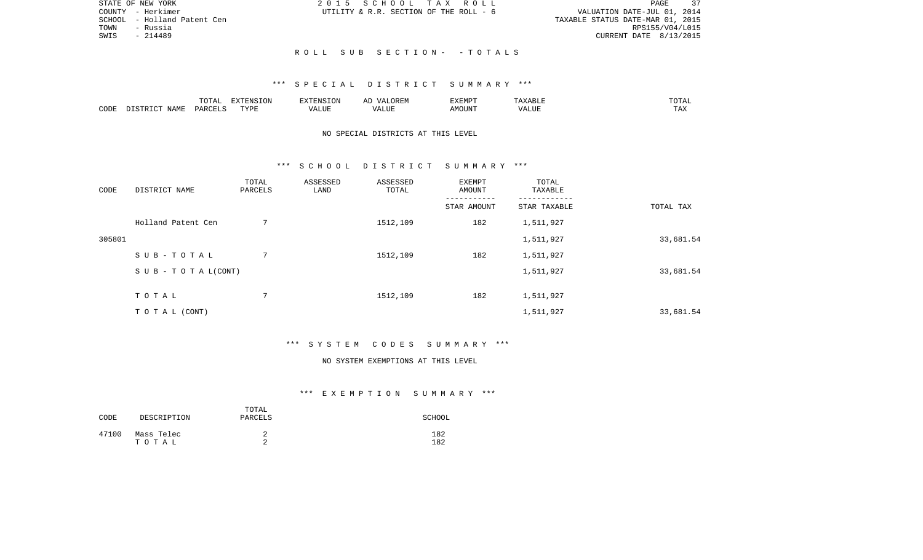| STATE OF NEW YORK           | 2015 SCHOOL TAX ROLL                   | -37<br>PAGE                      |
|-----------------------------|----------------------------------------|----------------------------------|
| COUNTY - Herkimer           | UTILITY & R.R. SECTION OF THE ROLL - 6 | VALUATION DATE-JUL 01, 2014      |
| SCHOOL - Holland Patent Cen |                                        | TAXABLE STATUS DATE-MAR 01, 2015 |
| TOWN<br>- Russia            |                                        | RPS155/V04/L015                  |
| SWIS<br>- 214489            |                                        | CURRENT DATE 8/13/2015           |
|                             |                                        |                                  |

R O L L S U B S E C T I O N - - T O T A L S

|      |                    | ----            | <b>FYTEMCTOM</b><br>ιn |       | T/TTMTD<br>YFMR | $\wedge$ $\sqcup$ |  |
|------|--------------------|-----------------|------------------------|-------|-----------------|-------------------|--|
| CODE | <b>NAME</b><br>. . | <b>DARCEL</b> C | PVDE                   | $-77$ | .)UN"           |                   |  |

# NO SPECIAL DISTRICTS AT THIS LEVEL

#### \*\*\* S C H O O L D I S T R I C T S U M M A R Y \*\*\*

| CODE   | DISTRICT NAME             | TOTAL<br>PARCELS | ASSESSED<br>LAND | ASSESSED<br>TOTAL | EXEMPT<br>AMOUNT | TOTAL<br>TAXABLE |           |
|--------|---------------------------|------------------|------------------|-------------------|------------------|------------------|-----------|
|        |                           |                  |                  |                   | STAR AMOUNT      | STAR TAXABLE     | TOTAL TAX |
|        | Holland Patent Cen        | $7\phantom{.0}$  |                  | 1512,109          | 182              | 1,511,927        |           |
| 305801 |                           |                  |                  |                   |                  | 1,511,927        | 33,681.54 |
|        | SUB-TOTAL                 | 7                |                  | 1512,109          | 182              | 1,511,927        |           |
|        | S U B - T O T A $L(CONT)$ |                  |                  |                   |                  | 1,511,927        | 33,681.54 |
|        | TOTAL                     | 7                |                  | 1512,109          | 182              | 1,511,927        |           |
|        |                           |                  |                  |                   |                  |                  |           |
|        | TO TAL (CONT)             |                  |                  |                   |                  | 1,511,927        | 33,681.54 |

### \*\*\* S Y S T E M C O D E S S U M M A R Y \*\*\*

#### NO SYSTEM EXEMPTIONS AT THIS LEVEL

### \*\*\* E X E M P T I O N S U M M A R Y \*\*\*

| CODE  | DESCRIPTION         | TOTAL<br>PARCELS | SCHOOL     |
|-------|---------------------|------------------|------------|
| 47100 | Mass Telec<br>тотаь | ▵                | 182<br>182 |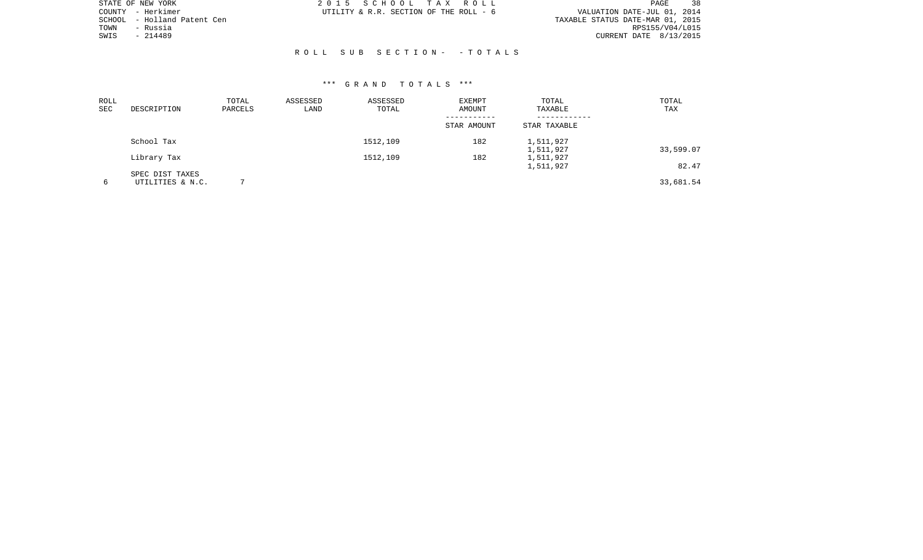| STATE OF NEW YORK              | 2015 SCHOOL TAX ROLL                   | 38<br>PAGE                       |
|--------------------------------|----------------------------------------|----------------------------------|
| COUNTY - Herkimer              | UTILITY & R.R. SECTION OF THE ROLL - 6 | VALUATION DATE-JUL 01, 2014      |
| - Holland Patent Cen<br>SCHOOL |                                        | TAXABLE STATUS DATE-MAR 01, 2015 |
| - Russia<br>TOWN               |                                        | RPS155/V04/L015                  |
| $-214489$<br>SWIS              |                                        | CURRENT DATE 8/13/2015           |
|                                |                                        |                                  |
|                                | ROLL SUB SECTION- -TOTALS              |                                  |

| ROLL<br>SEC | DESCRIPTION                         | TOTAL<br>PARCELS | ASSESSED<br>LAND | ASSESSED<br>TOTAL | EXEMPT<br>AMOUNT | TOTAL<br>TAXABLE       | TOTAL<br>TAX |
|-------------|-------------------------------------|------------------|------------------|-------------------|------------------|------------------------|--------------|
|             |                                     |                  |                  |                   | STAR AMOUNT      | STAR TAXABLE           |              |
|             | School Tax                          |                  |                  | 1512,109          | 182              | 1,511,927<br>1,511,927 | 33,599.07    |
|             | Library Tax                         |                  |                  | 1512,109          | 182              | 1,511,927<br>1,511,927 | 82.47        |
| 6           | SPEC DIST TAXES<br>UTILITIES & N.C. |                  |                  |                   |                  |                        | 33,681.54    |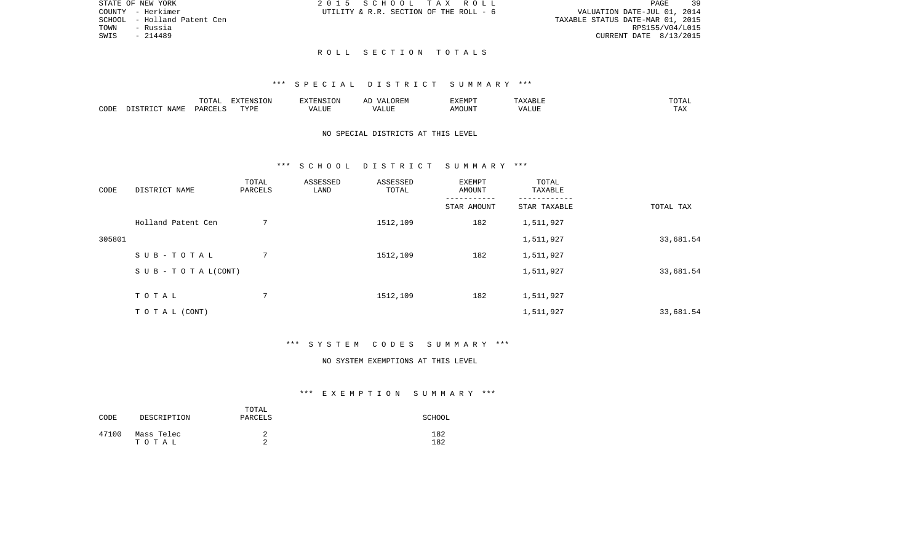|      | STATE OF NEW YORK           | 2015 SCHOOL TAX ROLL                   |  |  |                                  |                          | PAGE | 39 |
|------|-----------------------------|----------------------------------------|--|--|----------------------------------|--------------------------|------|----|
|      | COUNTY - Herkimer           | UTILITY & R.R. SECTION OF THE ROLL - 6 |  |  | VALUATION DATE-JUL 01, 2014      |                          |      |    |
|      | SCHOOL - Holland Patent Cen |                                        |  |  | TAXABLE STATUS DATE-MAR 01, 2015 |                          |      |    |
| TOWN | - Russia                    |                                        |  |  |                                  | RPS155/V04/L015          |      |    |
| SWIS | - 214489                    |                                        |  |  |                                  | CURRENT DATE $8/13/2015$ |      |    |
|      |                             |                                        |  |  |                                  |                          |      |    |

# R O L L S E C T I O N T O T A L S

#### \*\*\* S P E C I A L D I S T R I C T S U M M A R Y \*\*\*

|      |      | $m \wedge m \wedge n$<br>TATAT | <b>DENICE ONT</b><br>LUN | <b>GMC</b>               | 17 D<br>$\rightarrow$ | <b>EXEMPT</b>        | .                          | . סדעה                |
|------|------|--------------------------------|--------------------------|--------------------------|-----------------------|----------------------|----------------------------|-----------------------|
| CODE | NAME | ∩ ¤ ∆ ∪                        | TVDI<br>.                | $\sim$ $  -$<br>الماسلة. | ۳ تا سد.              | $0.56$ $0.75$ $0.75$ | ודד ה<br><u>уд</u><br>ALU! | m 7<br>L <i>L</i> 14. |

# NO SPECIAL DISTRICTS AT THIS LEVEL

#### \*\*\* S C H O O L D I S T R I C T S U M M A R Y \*\*\*

| CODE   | DISTRICT NAME             | TOTAL<br>PARCELS | ASSESSED<br>LAND | ASSESSED<br>TOTAL | EXEMPT<br>AMOUNT | TOTAL<br>TAXABLE |           |
|--------|---------------------------|------------------|------------------|-------------------|------------------|------------------|-----------|
|        |                           |                  |                  |                   | STAR AMOUNT      | STAR TAXABLE     | TOTAL TAX |
|        | Holland Patent Cen        | $7\phantom{.0}$  |                  | 1512,109          | 182              | 1,511,927        |           |
| 305801 |                           |                  |                  |                   |                  | 1,511,927        | 33,681.54 |
|        | SUB-TOTAL                 | 7                |                  | 1512,109          | 182              | 1,511,927        |           |
|        | S U B - T O T A $L(CONT)$ |                  |                  |                   |                  | 1,511,927        | 33,681.54 |
|        | TOTAL                     | 7                |                  | 1512,109          | 182              | 1,511,927        |           |
|        |                           |                  |                  |                   |                  |                  |           |
|        | T O T A L (CONT)          |                  |                  |                   |                  | 1,511,927        | 33,681.54 |

### \*\*\* S Y S T E M C O D E S S U M M A R Y \*\*\*

#### NO SYSTEM EXEMPTIONS AT THIS LEVEL

# \*\*\* E X E M P T I O N S U M M A R Y \*\*\*

| CODE  | DESCRIPTION         | TOTAL<br>PARCELS | SCHOOL     |
|-------|---------------------|------------------|------------|
| 47100 | Mass Telec<br>тотаь | ∠<br>◠<br>∼      | 182<br>182 |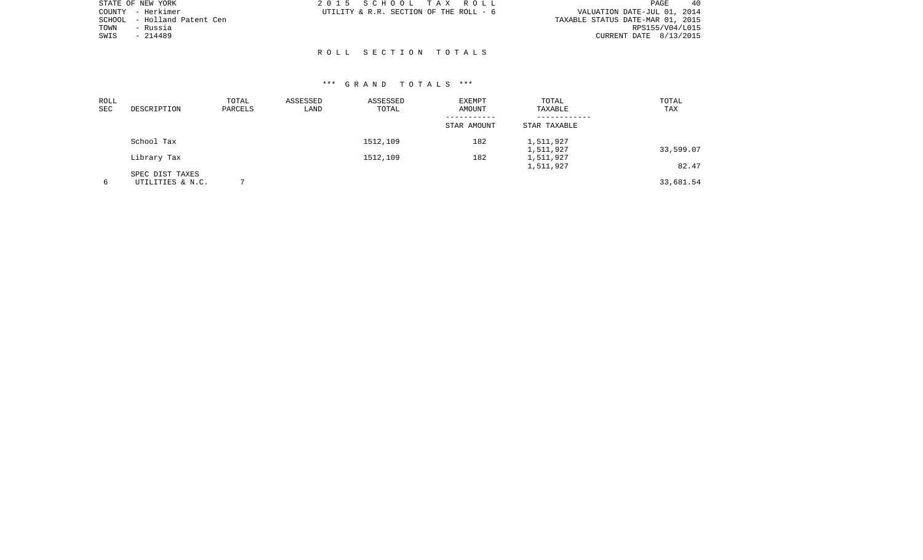| STATE OF NEW YORK              | 2015 SCHOOL TAX ROLL                   | 40<br>PAGE                       |
|--------------------------------|----------------------------------------|----------------------------------|
| COUNTY - Herkimer              | UTILITY & R.R. SECTION OF THE ROLL - 6 | VALUATION DATE-JUL 01, 2014      |
| - Holland Patent Cen<br>SCHOOL |                                        | TAXABLE STATUS DATE-MAR 01, 2015 |
| - Russia<br>TOWN               |                                        | RPS155/V04/L015                  |
| SWIS<br>$-214489$              |                                        | CURRENT DATE 8/13/2015           |
|                                |                                        |                                  |
|                                | ROLL SECTION TOTALS                    |                                  |

| ROLL<br>SEC | DESCRIPTION      | TOTAL<br>PARCELS | ASSESSED<br>LAND | ASSESSED<br>TOTAL | <b>EXEMPT</b><br>AMOUNT | TOTAL<br>TAXABLE       | TOTAL<br>TAX |
|-------------|------------------|------------------|------------------|-------------------|-------------------------|------------------------|--------------|
|             |                  |                  |                  |                   | STAR AMOUNT             | STAR TAXABLE           |              |
|             | School Tax       |                  |                  | 1512,109          | 182                     | 1,511,927<br>1,511,927 | 33,599.07    |
|             | Library Tax      |                  |                  | 1512,109          | 182                     | 1,511,927<br>1,511,927 | 82.47        |
|             | SPEC DIST TAXES  |                  |                  |                   |                         |                        |              |
| 6           | UTILITIES & N.C. |                  |                  |                   |                         |                        | 33,681.54    |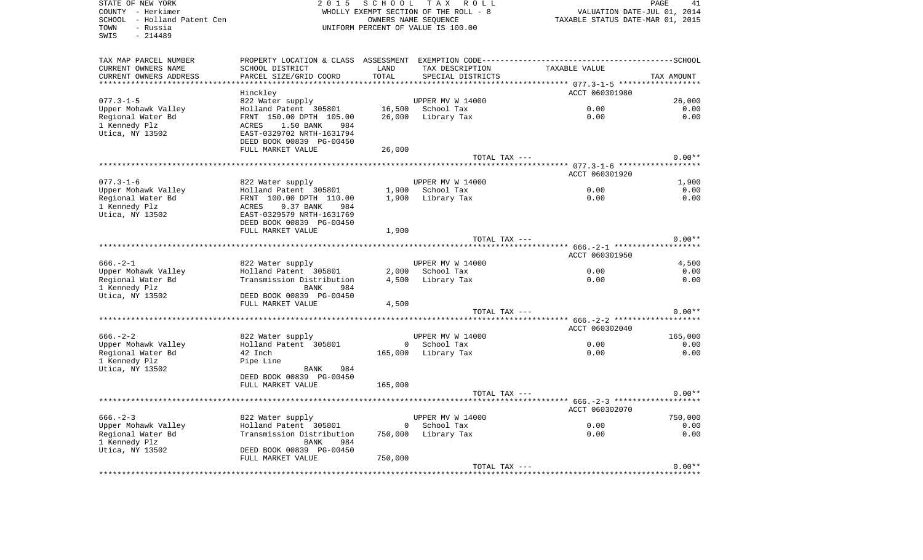SWIS - 214489

STATE OF NEW YORK 2 0 1 5 S C H O O L T A X R O L L PAGE 41COUNTY - Herkimer WHOLLY EXEMPT SECTION OF THE ROLL - 8 VALUATION DATE-JUL 01, 2014 SCHOOL - Holland Patent Cen Taxable Taxable States AME SEQUENCE TAXABLE STATUS DATE-MAR 01, 2015 TOWN - Russia UNIFORM PERCENT OF VALUE IS 100.00

41

| TAX MAP PARCEL NUMBER<br>CURRENT OWNERS NAME | PROPERTY LOCATION & CLASS ASSESSMENT<br>SCHOOL DISTRICT | LAND     | EXEMPTION CODE------------<br>TAX DESCRIPTION | TAXABLE VALUE  | ----------SCHOOL |
|----------------------------------------------|---------------------------------------------------------|----------|-----------------------------------------------|----------------|------------------|
| CURRENT OWNERS ADDRESS                       | PARCEL SIZE/GRID COORD                                  | TOTAL    | SPECIAL DISTRICTS                             |                | TAX AMOUNT       |
| **********************                       |                                                         |          |                                               | ACCT 060301980 |                  |
| $077.3 - 1 - 5$                              | Hinckley<br>822 Water supply                            |          | UPPER MV W 14000                              |                | 26,000           |
| Upper Mohawk Valley                          | Holland Patent 305801                                   | 16,500   | School Tax                                    | 0.00           | 0.00             |
| Regional Water Bd                            | FRNT 150.00 DPTH 105.00                                 | 26,000   | Library Tax                                   | 0.00           | 0.00             |
| 1 Kennedy Plz                                | ACRES<br>1.50 BANK<br>984                               |          |                                               |                |                  |
| Utica, NY 13502                              | EAST-0329702 NRTH-1631794                               |          |                                               |                |                  |
|                                              | DEED BOOK 00839 PG-00450                                |          |                                               |                |                  |
|                                              | FULL MARKET VALUE                                       | 26,000   |                                               |                |                  |
|                                              |                                                         |          | TOTAL TAX ---                                 |                | $0.00**$         |
|                                              |                                                         |          |                                               | ACCT 060301920 |                  |
| $077.3 - 1 - 6$                              | 822 Water supply                                        |          | UPPER MV W 14000                              |                | 1,900            |
| Upper Mohawk Valley                          | Holland Patent 305801                                   | 1,900    | School Tax                                    | 0.00           | 0.00             |
| Regional Water Bd                            | FRNT 100.00 DPTH 110.00                                 | 1,900    | Library Tax                                   | 0.00           | 0.00             |
| 1 Kennedy Plz                                | ACRES<br>0.37 BANK<br>984                               |          |                                               |                |                  |
| Utica, NY 13502                              | EAST-0329579 NRTH-1631769                               |          |                                               |                |                  |
|                                              | DEED BOOK 00839 PG-00450<br>FULL MARKET VALUE           |          |                                               |                |                  |
|                                              |                                                         | 1,900    | TOTAL TAX ---                                 |                | $0.00**$         |
|                                              |                                                         |          |                                               |                |                  |
|                                              |                                                         |          |                                               | ACCT 060301950 |                  |
| $666. - 2 - 1$                               | 822 Water supply                                        |          | UPPER MV W 14000                              |                | 4,500            |
| Upper Mohawk Valley                          | Holland Patent 305801                                   | 2,000    | School Tax                                    | 0.00           | 0.00             |
| Regional Water Bd                            | Transmission Distribution                               | 4,500    | Library Tax                                   | 0.00           | 0.00             |
| 1 Kennedy Plz                                | <b>BANK</b><br>984                                      |          |                                               |                |                  |
| Utica, NY 13502                              | DEED BOOK 00839 PG-00450<br>FULL MARKET VALUE           | 4,500    |                                               |                |                  |
|                                              |                                                         |          | TOTAL TAX ---                                 |                | $0.00**$         |
|                                              |                                                         |          |                                               |                |                  |
|                                              |                                                         |          |                                               | ACCT 060302040 |                  |
| $666. - 2 - 2$                               | 822 Water supply                                        |          | UPPER MV W 14000                              |                | 165,000          |
| Upper Mohawk Valley                          | Holland Patent 305801                                   | $\Omega$ | School Tax                                    | 0.00           | 0.00             |
| Regional Water Bd                            | 42 Inch                                                 | 165,000  | Library Tax                                   | 0.00           | 0.00             |
| 1 Kennedy Plz                                | Pipe Line<br>984<br><b>BANK</b>                         |          |                                               |                |                  |
| Utica, NY 13502                              | DEED BOOK 00839 PG-00450                                |          |                                               |                |                  |
|                                              | FULL MARKET VALUE                                       | 165,000  |                                               |                |                  |
|                                              |                                                         |          | TOTAL TAX ---                                 |                | $0.00**$         |
|                                              |                                                         |          |                                               |                |                  |
|                                              |                                                         |          |                                               | ACCT 060302070 |                  |
| $666. - 2 - 3$                               | 822 Water supply                                        |          | UPPER MV W 14000                              |                | 750,000          |
| Upper Mohawk Valley                          | Holland Patent 305801                                   | $\Omega$ | School Tax                                    | 0.00           | 0.00             |
| Regional Water Bd<br>1 Kennedy Plz           | Transmission Distribution<br><b>BANK</b><br>984         | 750,000  | Library Tax                                   | 0.00           | 0.00             |
| Utica, NY 13502                              | DEED BOOK 00839 PG-00450                                |          |                                               |                |                  |
|                                              | FULL MARKET VALUE                                       | 750,000  |                                               |                |                  |
|                                              |                                                         |          | TOTAL TAX ---                                 |                | $0.00**$         |
|                                              |                                                         |          | *********************************             |                |                  |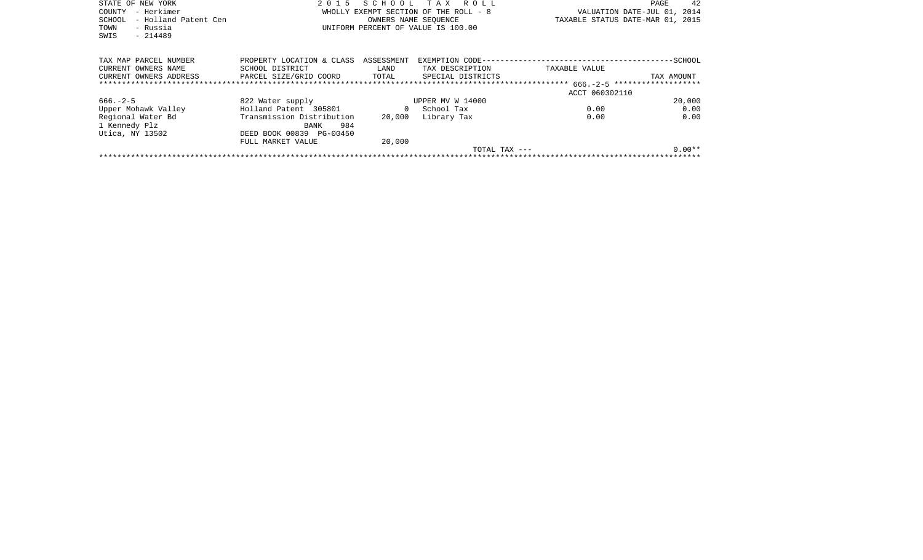| STATE OF NEW YORK     |                      | 2015 SCHOOL TAX ROLL                 |                                       |                                  | PAGE                        | 42      |
|-----------------------|----------------------|--------------------------------------|---------------------------------------|----------------------------------|-----------------------------|---------|
| – Herkimer<br>COUNTY  |                      |                                      | WHOLLY EXEMPT SECTION OF THE ROLL - 8 |                                  | VALUATION DATE-JUL 01, 2014 |         |
| SCHOOL                | - Holland Patent Cen |                                      | OWNERS NAME SEOUENCE                  | TAXABLE STATUS DATE-MAR 01, 2015 |                             |         |
| TOWN<br>- Russia      |                      | UNIFORM PERCENT OF VALUE IS 100.00   |                                       |                                  |                             |         |
| $-214489$<br>SWIS     |                      |                                      |                                       |                                  |                             |         |
|                       |                      |                                      |                                       |                                  |                             |         |
|                       |                      |                                      |                                       |                                  |                             |         |
| TAX MAP PARCEL NUMBER |                      | PROPERTY LOCATION & CLASS ASSESSMENT |                                       |                                  |                             | -SCHOOL |
| CURRENT OWNERS NAME   | SCHOOL DISTRICT      | LAND                                 | TAX DESCRIPTION                       | TAXABLE VALUE                    |                             |         |

| CURRENT OWNERS ADDRESS | PARCEL SIZE/GRID COORD    | TOTAL  | SPECIAL DISTRICTS |                | TAX AMOUNT |
|------------------------|---------------------------|--------|-------------------|----------------|------------|
|                        |                           |        |                   |                |            |
|                        |                           |        |                   | ACCT 060302110 |            |
| $666. - 2 - 5$         | 822 Water supply          |        | UPPER MV W 14000  |                | 20,000     |
| Upper Mohawk Valley    | Holland Patent 305801     |        | School Tax        | 0.00           | 0.00       |
| Regional Water Bd      | Transmission Distribution | 20,000 | Library Tax       | 0.00           | 0.00       |
| 1 Kennedy Plz          | 984<br><b>BANK</b>        |        |                   |                |            |
| Utica, NY 13502        | DEED BOOK 00839 PG-00450  |        |                   |                |            |
|                        | FULL MARKET VALUE         | 20,000 |                   |                |            |
|                        |                           |        | TOTAL TAX ---     |                | $0.00**$   |
|                        |                           |        |                   |                |            |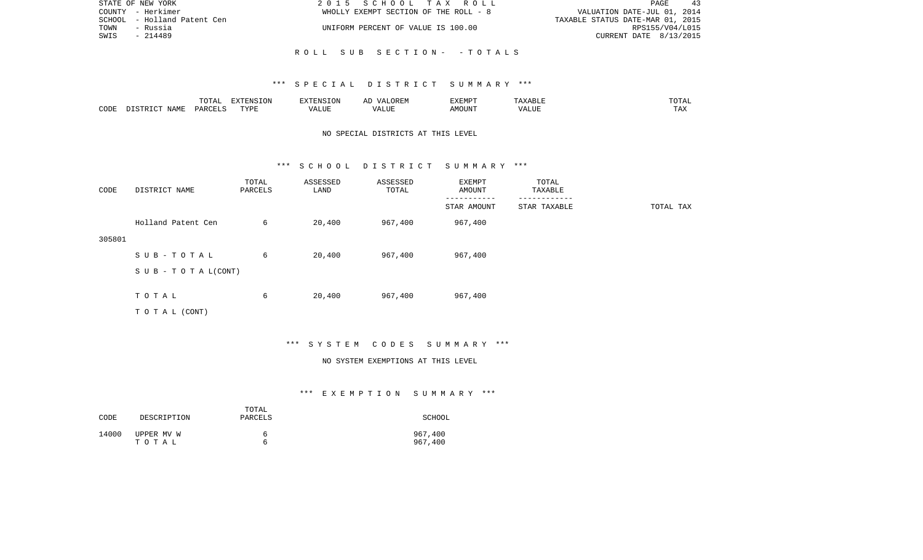| STATE OF NEW YORK           | 2015 SCHOOL TAX ROLL                  | PAGE<br>43                       |
|-----------------------------|---------------------------------------|----------------------------------|
| COUNTY - Herkimer           | WHOLLY EXEMPT SECTION OF THE ROLL - 8 | VALUATION DATE-JUL 01, 2014      |
| SCHOOL - Holland Patent Cen |                                       | TAXABLE STATUS DATE-MAR 01, 2015 |
| - Russia<br>TOWN            | UNIFORM PERCENT OF VALUE IS 100.00    | RPS155/V04/L015                  |
| SWIS<br>- 214489            |                                       | CURRENT DATE 8/13/2015           |
|                             |                                       |                                  |

# R O L L S U B S E C T I O N - - T O T A L S

#### \*\*\* S P E C I A L D I S T R I C T S U M M A R Y \*\*\*

|      |      | $m \wedge m \wedge n$<br>. U 171 | <b>FYTFNCT∩N</b><br>- 71 | ∴N.  | $\cdots$ | <b>DA 4 DI</b> |               | JIAL |
|------|------|----------------------------------|--------------------------|------|----------|----------------|---------------|------|
| CODE | NAMF | UAROTT                           | <b>TIZE</b>              | JU P |          | OUN            | .<br>$\cdots$ |      |

# NO SPECIAL DISTRICTS AT THIS LEVEL

#### \*\*\* S C H O O L D I S T R I C T S U M M A R Y \*\*\*

| CODE   | DISTRICT NAME                    | TOTAL<br>PARCELS | ASSESSED<br>LAND | ASSESSED<br>TOTAL | EXEMPT<br>AMOUNT | TOTAL<br>TAXABLE |           |
|--------|----------------------------------|------------------|------------------|-------------------|------------------|------------------|-----------|
|        |                                  |                  |                  |                   | STAR AMOUNT      | STAR TAXABLE     | TOTAL TAX |
|        | Holland Patent Cen               | 6                | 20,400           | 967,400           | 967,400          |                  |           |
| 305801 |                                  |                  |                  |                   |                  |                  |           |
|        | SUB-TOTAL                        | 6                | 20,400           | 967,400           | 967,400          |                  |           |
|        | $S \cup B - T \cup T A L (CONT)$ |                  |                  |                   |                  |                  |           |
|        |                                  |                  |                  |                   |                  |                  |           |
|        | TOTAL                            | 6                | 20,400           | 967,400           | 967,400          |                  |           |
|        | TOTAL (CONT)                     |                  |                  |                   |                  |                  |           |

# \*\*\* S Y S T E M C O D E S S U M M A R Y \*\*\*

#### NO SYSTEM EXEMPTIONS AT THIS LEVEL

# \*\*\* E X E M P T I O N S U M M A R Y \*\*\*

| CODE  | DESCRIPTION | TOTAL<br>PARCELS | SCHOOL  |
|-------|-------------|------------------|---------|
| 14000 | UPPER MV W  | h                | 967,400 |
|       | тотаь       | ี                | 967,400 |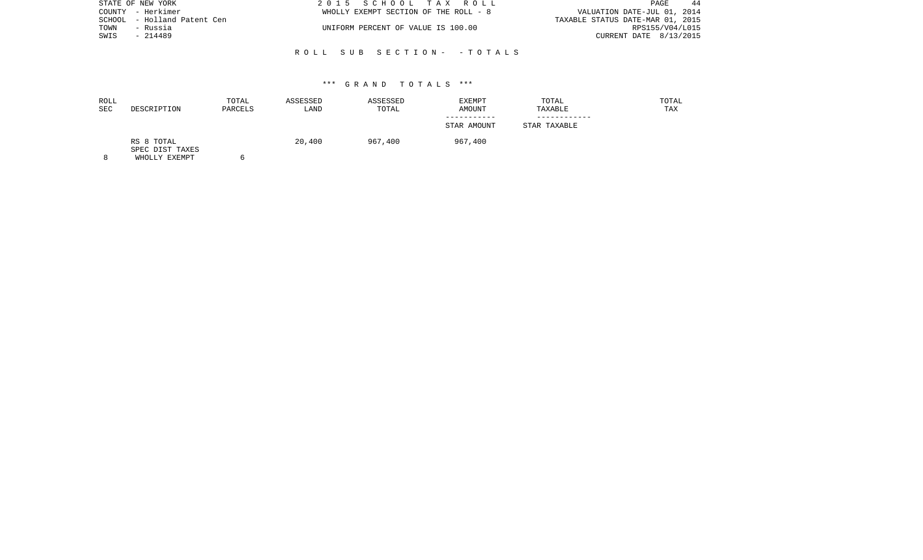| STATE OF NEW YORK           | 2015 SCHOOL TAX ROLL                  | PAGE<br>-44                      |
|-----------------------------|---------------------------------------|----------------------------------|
| COUNTY - Herkimer           | WHOLLY EXEMPT SECTION OF THE ROLL - 8 | VALUATION DATE-JUL 01, 2014      |
| SCHOOL - Holland Patent Cen |                                       | TAXABLE STATUS DATE-MAR 01, 2015 |
| TOWN<br>- Russia            | UNIFORM PERCENT OF VALUE IS 100.00    | RPS155/V04/L015                  |
| SWIS<br>- 214489            |                                       | CURRENT DATE 8/13/2015           |
|                             |                                       |                                  |

### R O L L S U B S E C T I O N - - T O T A L S

#### \*\*\* G R A N D T O T A L S \*\*\*

| DESCRIPTION                   | TOTAL<br>PARCELS | ASSESSED<br>LAND | ASSESSED<br>TOTAL | EXEMPT<br>AMOUNT | TOTAL<br>TAXABLE | TOTAL<br>TAX |
|-------------------------------|------------------|------------------|-------------------|------------------|------------------|--------------|
|                               |                  |                  |                   |                  |                  |              |
|                               |                  |                  |                   | STAR AMOUNT      | STAR TAXABLE     |              |
| RS 8 TOTAL<br>SPEC DIST TAXES |                  | 20,400           | 967,400           | 967,400          |                  |              |
|                               |                  |                  |                   |                  |                  |              |

8 WHOLLY EXEMPT 6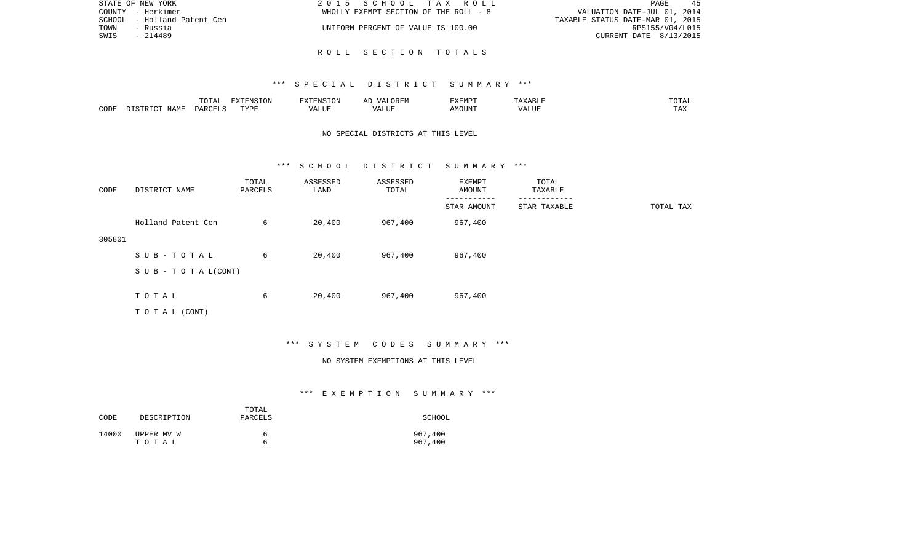| STATE OF NEW YORK              | 2015 SCHOOL TAX ROLL                  | 45<br>PAGE                       |
|--------------------------------|---------------------------------------|----------------------------------|
| COUNTY - Herkimer              | WHOLLY EXEMPT SECTION OF THE ROLL - 8 | VALUATION DATE-JUL 01, 2014      |
| - Holland Patent Cen<br>SCHOOL |                                       | TAXABLE STATUS DATE-MAR 01, 2015 |
| TOWN<br>- Russia               | UNIFORM PERCENT OF VALUE IS 100.00    | RPS155/V04/L015                  |
| SWIS<br>- 214489               |                                       | CURRENT DATE 8/13/2015           |
|                                |                                       |                                  |

R O L L S E C T I O N T O T A L S

|      |                 | TOTAL                        | <b>XTENSION</b> | $\cdots$ FNC TO $\cdots$  |                                            | EXEMPT       | $\cdot$ 4511.           | $m \wedge m \wedge n$<br>'UIAL |
|------|-----------------|------------------------------|-----------------|---------------------------|--------------------------------------------|--------------|-------------------------|--------------------------------|
| CODE | JAMF<br>$ \sim$ | $\cap$ T T (<br><b>DAR</b> C | TVDF<br>.       | .<br>$^{\prime}$<br>ם שבר | $- - - - -$<br>$\prime\prime$<br>بالالتلذذ | IOUN?<br>ΔMC | . <del>.</del><br>A LUI |                                |

# NO SPECIAL DISTRICTS AT THIS LEVEL

#### \*\*\* S C H O O L D I S T R I C T S U M M A R Y \*\*\*

| CODE   | DISTRICT NAME                    | TOTAL<br>PARCELS | ASSESSED<br>LAND | ASSESSED<br>TOTAL | EXEMPT<br>AMOUNT | TOTAL<br>TAXABLE |           |
|--------|----------------------------------|------------------|------------------|-------------------|------------------|------------------|-----------|
|        |                                  |                  |                  |                   | STAR AMOUNT      | STAR TAXABLE     | TOTAL TAX |
|        | Holland Patent Cen               | 6                | 20,400           | 967,400           | 967,400          |                  |           |
| 305801 |                                  |                  |                  |                   |                  |                  |           |
|        | SUB-TOTAL                        | 6                | 20,400           | 967,400           | 967,400          |                  |           |
|        | $S \cup B - T \cup T A L (CONT)$ |                  |                  |                   |                  |                  |           |
|        |                                  |                  |                  |                   |                  |                  |           |
|        | TOTAL                            | 6                | 20,400           | 967,400           | 967,400          |                  |           |
|        | TOTAL (CONT)                     |                  |                  |                   |                  |                  |           |

# \*\*\* S Y S T E M C O D E S S U M M A R Y \*\*\*

#### NO SYSTEM EXEMPTIONS AT THIS LEVEL

# \*\*\* E X E M P T I O N S U M M A R Y \*\*\*

| CODE  | DESCRIPTION | TOTAL<br>PARCELS | SCHOOL  |
|-------|-------------|------------------|---------|
| 14000 | UPPER MV W  | b                | 967,400 |
|       | тотаь       | h                | 967,400 |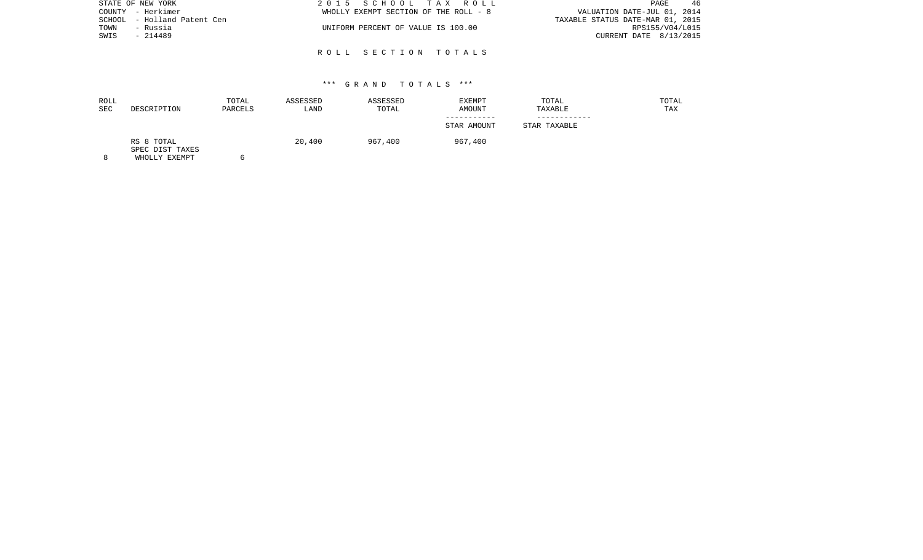| STATE OF NEW YORK           | 2015 SCHOOL TAX ROLL                  | -46<br>PAGE                      |
|-----------------------------|---------------------------------------|----------------------------------|
| COUNTY - Herkimer           | WHOLLY EXEMPT SECTION OF THE ROLL - 8 | VALUATION DATE-JUL 01, 2014      |
| SCHOOL - Holland Patent Cen |                                       | TAXABLE STATUS DATE-MAR 01, 2015 |
| TOWN<br>- Russia            | UNIFORM PERCENT OF VALUE IS 100.00    | RPS155/V04/L015                  |
| SWIS<br>- 214489            |                                       | CURRENT DATE 8/13/2015           |
|                             |                                       |                                  |

R O L L S E C T I O N T O T A L S

| ROLL<br>SEC | DESCRIPTION                   | TOTAL<br>PARCELS | ASSESSED<br>LAND | ASSESSED<br>TOTAL | <b>EXEMPT</b><br>AMOUNT | TOTAL<br>TAXABLE | TOTAL<br>TAX |
|-------------|-------------------------------|------------------|------------------|-------------------|-------------------------|------------------|--------------|
|             |                               |                  |                  |                   |                         |                  |              |
|             |                               |                  |                  |                   | STAR AMOUNT             | STAR TAXABLE     |              |
|             | RS 8 TOTAL<br>SPEC DIST TAXES |                  | 20,400           | 967,400           | 967,400                 |                  |              |

8 WHOLLY EXEMPT 6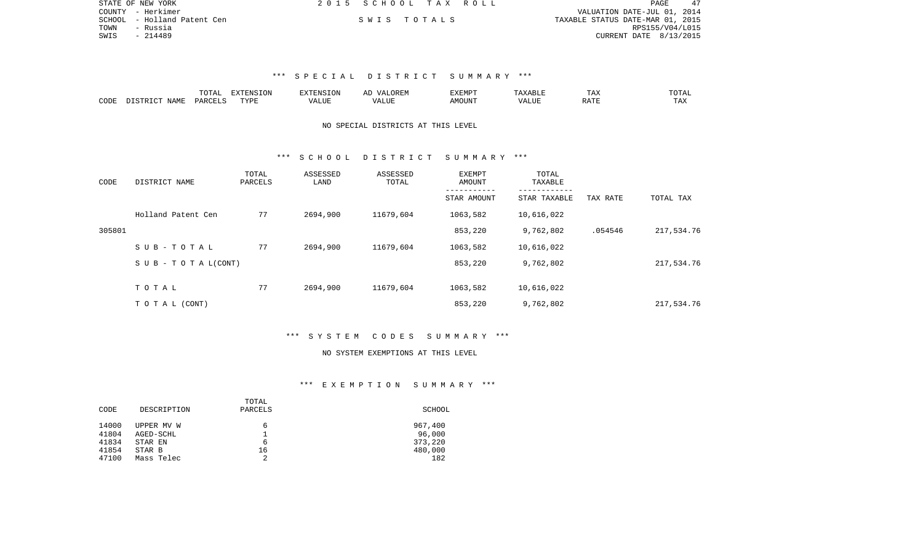| STATE OF NEW YORK           | 2015 SCHOOL TAX ROLL |             | PAGE                             |  |
|-----------------------------|----------------------|-------------|----------------------------------|--|
| COUNTY - Herkimer           |                      |             | VALUATION DATE-JUL 01, 2014      |  |
| SCHOOL - Holland Patent Cen |                      | SWIS TOTALS | TAXABLE STATUS DATE-MAR 01, 2015 |  |
| TOWN<br>- Russia            |                      |             | RPS155/V04/L015                  |  |
| SWIS<br>- 214489            |                      |             | CURRENT DATE 8/13/2015           |  |

|      |             | ----     | -------<br>---<br>$\lambda$ |         | AL | . U | ∸⊷⊷      | $m \wedge m$        |
|------|-------------|----------|-----------------------------|---------|----|-----|----------|---------------------|
| CODE | $ \sim$ $-$ | <u>.</u> | TVDI                        | $- - -$ |    |     | $\cdots$ | <b>TAY</b><br>- ∠∡∡ |

# NO SPECIAL DISTRICTS AT THIS LEVEL

### \*\*\* S C H O O L D I S T R I C T S U M M A R Y \*\*\*

| CODE   | DISTRICT NAME                    | TOTAL<br>PARCELS | ASSESSED<br>LAND | ASSESSED<br>TOTAL | EXEMPT<br>AMOUNT | TOTAL<br>TAXABLE |          |            |
|--------|----------------------------------|------------------|------------------|-------------------|------------------|------------------|----------|------------|
|        |                                  |                  |                  |                   | STAR AMOUNT      | STAR TAXABLE     | TAX RATE | TOTAL TAX  |
|        | Holland Patent Cen               | 77               | 2694,900         | 11679,604         | 1063,582         | 10,616,022       |          |            |
| 305801 |                                  |                  |                  |                   | 853,220          | 9,762,802        | .054546  | 217,534.76 |
|        | SUB-TOTAL                        | 77               | 2694,900         | 11679,604         | 1063,582         | 10,616,022       |          |            |
|        | $S \cup B - T \cup T A L (CONT)$ |                  |                  |                   | 853,220          | 9,762,802        |          | 217,534.76 |
|        | TOTAL                            | 77               | 2694,900         | 11679,604         | 1063,582         | 10,616,022       |          |            |
|        |                                  |                  |                  |                   |                  |                  |          |            |
|        | TO TAL (CONT)                    |                  |                  |                   | 853,220          | 9,762,802        |          | 217,534.76 |

### \*\*\* S Y S T E M C O D E S S U M M A R Y \*\*\*

#### NO SYSTEM EXEMPTIONS AT THIS LEVEL

### \*\*\* E X E M P T I O N S U M M A R Y \*\*\*

|       |             | TOTAL   |         |
|-------|-------------|---------|---------|
| CODE  | DESCRIPTION | PARCELS | SCHOOL  |
|       |             |         |         |
| 14000 | UPPER MV W  | 6       | 967,400 |
| 41804 | AGED-SCHL   |         | 96,000  |
| 41834 | STAR EN     | 6       | 373,220 |
| 41854 | STAR B      | 16      | 480,000 |
| 47100 | Mass Telec  | 2       | 182     |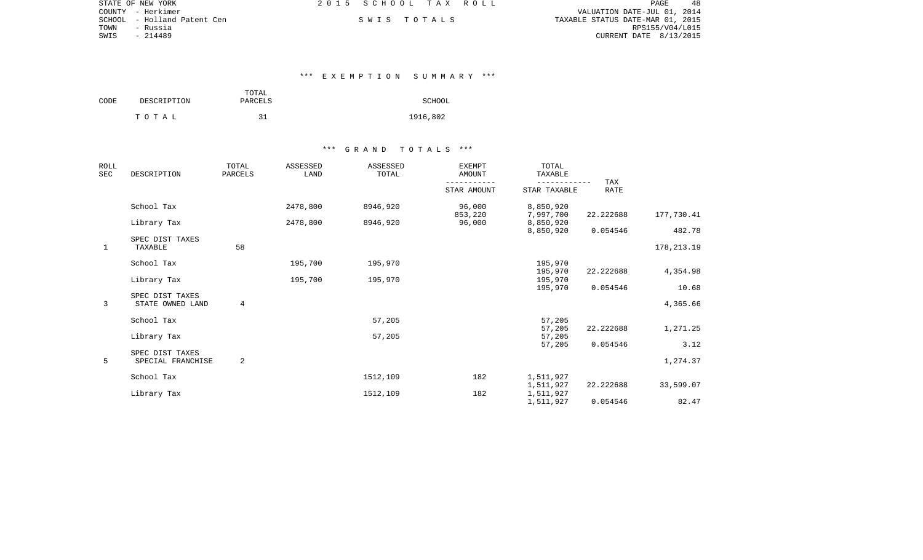| STATE OF NEW YORK           | 2015 SCHOOL TAX ROLL | PAGE                             |  |
|-----------------------------|----------------------|----------------------------------|--|
| COUNTY - Herkimer           |                      | VALUATION DATE-JUL 01, 2014      |  |
| SCHOOL - Holland Patent Cen | SWIS TOTALS          | TAXABLE STATUS DATE-MAR 01, 2015 |  |
| TOWN<br>- Russia            |                      | RPS155/V04/L015                  |  |
| - 214489<br>SWIS            |                      | CURRENT DATE 8/13/2015           |  |

### \*\*\* E X E M P T I O N S U M M A R Y \*\*\*

| CODE | DESCRIPTION | TOTAL<br>PARCELS | SCHOOL   |
|------|-------------|------------------|----------|
|      | тотаь       | ٦1               | 1916,802 |

| <b>ROLL</b><br><b>SEC</b> | DESCRIPTION                          | TOTAL<br>PARCELS | ASSESSED<br>LAND | <b>ASSESSED</b><br>TOTAL | <b>EXEMPT</b><br>AMOUNT    | TOTAL<br>TAXABLE             |                    |              |
|---------------------------|--------------------------------------|------------------|------------------|--------------------------|----------------------------|------------------------------|--------------------|--------------|
|                           |                                      |                  |                  |                          | -----------<br>STAR AMOUNT | ------------<br>STAR TAXABLE | TAX<br><b>RATE</b> |              |
|                           | School Tax                           |                  | 2478,800         | 8946,920                 | 96,000<br>853,220          | 8,850,920<br>7,997,700       | 22.222688          | 177,730.41   |
|                           | Library Tax                          |                  | 2478,800         | 8946,920                 | 96,000                     | 8,850,920                    |                    |              |
|                           | SPEC DIST TAXES                      |                  |                  |                          |                            | 8,850,920                    | 0.054546           | 482.78       |
| 1                         | TAXABLE                              | 58               |                  |                          |                            |                              |                    | 178, 213. 19 |
|                           | School Tax                           |                  | 195,700          | 195,970                  |                            | 195,970                      |                    |              |
|                           | Library Tax                          |                  | 195,700          | 195,970                  |                            | 195,970<br>195,970           | 22.222688          | 4,354.98     |
|                           |                                      |                  |                  |                          |                            | 195,970                      | 0.054546           | 10.68        |
| 3                         | SPEC DIST TAXES<br>STATE OWNED LAND  | 4                |                  |                          |                            |                              |                    | 4,365.66     |
|                           | School Tax                           |                  |                  | 57,205                   |                            | 57,205                       |                    |              |
|                           | Library Tax                          |                  |                  | 57,205                   |                            | 57,205<br>57,205             | 22.222688          | 1,271.25     |
|                           |                                      |                  |                  |                          |                            | 57,205                       | 0.054546           | 3.12         |
| 5                         | SPEC DIST TAXES<br>SPECIAL FRANCHISE | 2                |                  |                          |                            |                              |                    | 1,274.37     |
|                           | School Tax                           |                  |                  | 1512,109                 | 182                        | 1,511,927<br>1,511,927       | 22.222688          | 33,599.07    |
|                           | Library Tax                          |                  |                  | 1512,109                 | 182                        | 1,511,927                    |                    |              |
|                           |                                      |                  |                  |                          |                            | 1,511,927                    | 0.054546           | 82.47        |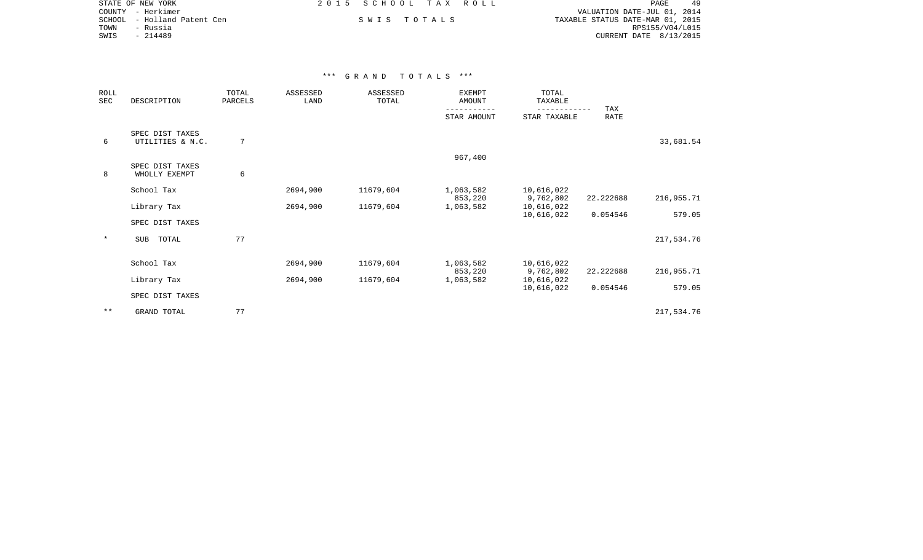| STATE OF NEW YORK           | 2015 SCHOOL TAX ROLL | PAGE<br>49                       |
|-----------------------------|----------------------|----------------------------------|
| COUNTY - Herkimer           |                      | VALUATION DATE-JUL 01, 2014      |
| SCHOOL - Holland Patent Cen | SWIS TOTALS          | TAXABLE STATUS DATE-MAR 01, 2015 |
| TOWN<br>- Russia            |                      | RPS155/V04/L015                  |
| SWIS<br>- 214489            |                      | CURRENT DATE 8/13/2015           |

| ROLL<br>SEC | DESCRIPTION                         | TOTAL<br>PARCELS | ASSESSED<br>LAND | ASSESSED<br>TOTAL | <b>EXEMPT</b><br>AMOUNT | TOTAL<br>TAXABLE           |             |            |  |
|-------------|-------------------------------------|------------------|------------------|-------------------|-------------------------|----------------------------|-------------|------------|--|
|             |                                     |                  |                  |                   | STAR AMOUNT             | ----------<br>STAR TAXABLE | TAX<br>RATE |            |  |
| 6           | SPEC DIST TAXES<br>UTILITIES & N.C. | $7\phantom{.0}$  |                  |                   |                         |                            |             | 33,681.54  |  |
|             | SPEC DIST TAXES                     |                  |                  |                   | 967,400                 |                            |             |            |  |
| 8           | WHOLLY EXEMPT                       | 6                |                  |                   |                         |                            |             |            |  |
|             | School Tax                          |                  | 2694,900         | 11679,604         | 1,063,582<br>853,220    | 10,616,022<br>9,762,802    | 22.222688   | 216,955.71 |  |
|             | Library Tax                         |                  | 2694,900         | 11679,604         | 1,063,582               | 10,616,022<br>10,616,022   | 0.054546    | 579.05     |  |
|             | SPEC DIST TAXES                     |                  |                  |                   |                         |                            |             |            |  |
| $\star$     | SUB<br>TOTAL                        | 77               |                  |                   |                         |                            |             | 217,534.76 |  |
|             |                                     |                  |                  |                   |                         |                            |             |            |  |
|             | School Tax                          |                  | 2694,900         | 11679,604         | 1,063,582<br>853,220    | 10,616,022<br>9,762,802    | 22.222688   | 216,955.71 |  |
|             | Library Tax                         |                  | 2694,900         | 11679,604         | 1,063,582               | 10,616,022                 |             |            |  |
|             | SPEC DIST TAXES                     |                  |                  |                   |                         | 10,616,022                 | 0.054546    | 579.05     |  |
| $***$       | GRAND TOTAL                         | 77               |                  |                   |                         |                            |             | 217,534.76 |  |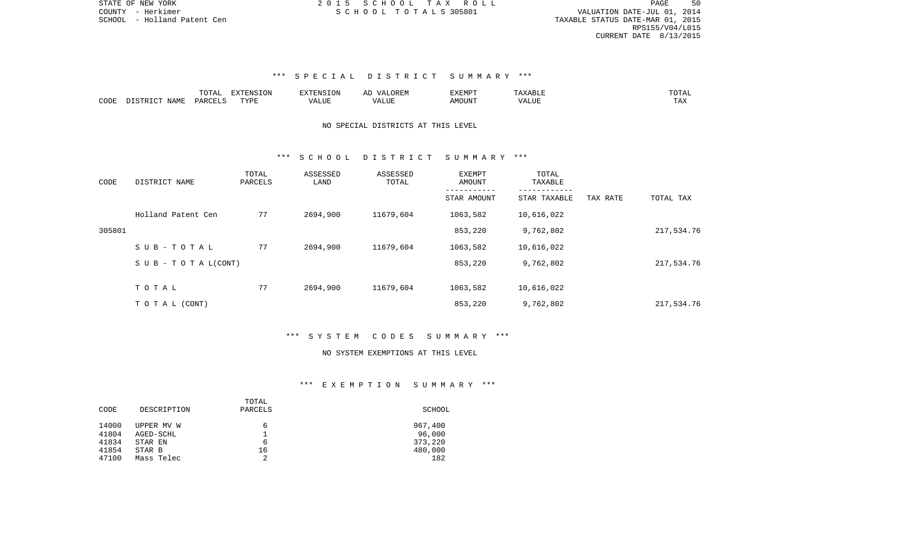PAGE 50 SCHOOL - Holland Patent Cen TAXABLE STATUS DATE-MAR 01, 2015 RPS155/V04/L015 CURRENT DATE 8/13/2015

# \*\*\* S P E C I A L D I S T R I C T S U M M A R Y \*\*\*

|      |                              | ™∩m⊼                | $\Box$<br>אד∩ די | TENSION     | OREN<br><u>ма</u><br>$\cdots$ | 1177715777<br>⊣מדעל | متر المالات المنافسة المتواصل | $m \wedge m \wedge r$<br>'UIAL |
|------|------------------------------|---------------------|------------------|-------------|-------------------------------|---------------------|-------------------------------|--------------------------------|
| CODE | NAME.<br>T Am<br>ד פידי אירה | PARCEL <sup>*</sup> | TVDF             | ۰Δ۱<br>人工门户 | ∖ ∟ ∪                         | MOUN".              |                               | LAZ                            |

# NO SPECIAL DISTRICTS AT THIS LEVEL

### \*\*\* S C H O O L D I S T R I C T S U M M A R Y \*\*\*

| CODE   | DISTRICT NAME                    | TOTAL<br>PARCELS | ASSESSED<br>LAND | ASSESSED<br>TOTAL | <b>EXEMPT</b><br>AMOUNT | TOTAL<br>TAXABLE |          |            |
|--------|----------------------------------|------------------|------------------|-------------------|-------------------------|------------------|----------|------------|
|        |                                  |                  |                  |                   | STAR AMOUNT             | STAR TAXABLE     | TAX RATE | TOTAL TAX  |
|        | Holland Patent Cen               | 77               | 2694,900         | 11679,604         | 1063,582                | 10,616,022       |          |            |
| 305801 |                                  |                  |                  |                   | 853,220                 | 9,762,802        |          | 217,534.76 |
|        | SUB-TOTAL                        | 77               | 2694,900         | 11679,604         | 1063,582                | 10,616,022       |          |            |
|        | $S \cup B - T \cup T A L (CONT)$ |                  |                  |                   | 853,220                 | 9,762,802        |          | 217,534.76 |
|        | TOTAL                            | 77               | 2694,900         | 11679,604         | 1063,582                | 10,616,022       |          |            |
|        |                                  |                  |                  |                   |                         |                  |          |            |
|        | T O T A L (CONT)                 |                  |                  |                   | 853,220                 | 9,762,802        |          | 217,534.76 |

### \*\*\* S Y S T E M C O D E S S U M M A R Y \*\*\*

#### NO SYSTEM EXEMPTIONS AT THIS LEVEL

### \*\*\* E X E M P T I O N S U M M A R Y \*\*\*

|       |             | TOTAL   |         |
|-------|-------------|---------|---------|
| CODE  | DESCRIPTION | PARCELS | SCHOOL  |
|       |             |         |         |
| 14000 | UPPER MV W  | 6       | 967,400 |
| 41804 | AGED-SCHL   |         | 96,000  |
| 41834 | STAR EN     | 6       | 373,220 |
| 41854 | STAR B      | 16      | 480,000 |
| 47100 | Mass Telec  | 2       | 182     |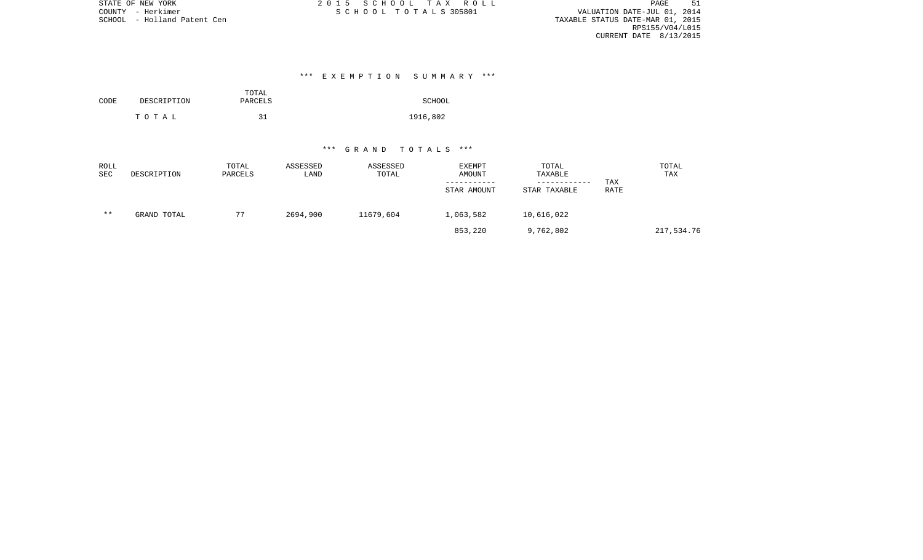PAGE 51 TAXABLE STATUS DATE-MAR 01, 2015 RPS155/V04/L015 CURRENT DATE 8/13/2015

# \*\*\* E X E M P T I O N S U M M A R Y \*\*\*

| CODE | DESCRIPTION | TOTAL<br>PARCELS | SCHOOL   |
|------|-------------|------------------|----------|
|      | тотаь       | 31               | 1916,802 |

| ROLL<br>SEC | DESCRIPTION | TOTAL<br>PARCELS | ASSESSED<br>LAND | ASSESSED<br>TOTAL | EXEMPT<br>AMOUNT<br>STAR AMOUNT | TOTAL<br>TAXABLE<br>------------<br>STAR TAXABLE | TAX<br>RATE | TOTAL<br>TAX |
|-------------|-------------|------------------|------------------|-------------------|---------------------------------|--------------------------------------------------|-------------|--------------|
| $* *$       | GRAND TOTAL | 77               | 2694,900         | 11679,604         | 1,063,582                       | 10,616,022                                       |             |              |
|             |             |                  |                  |                   | 853,220                         | 9,762,802                                        |             | 217,534.76   |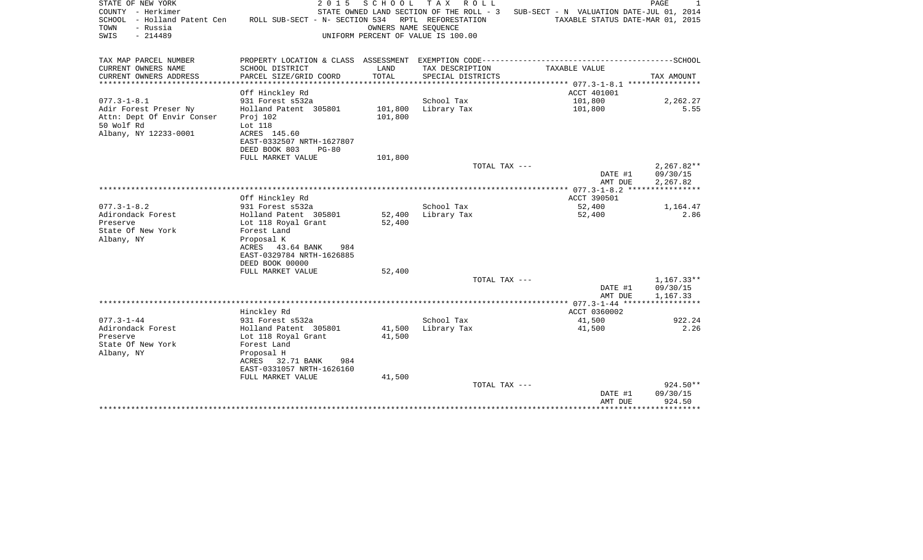| STATE OF NEW YORK<br>COUNTY - Herkimer<br>SCHOOL - Holland Patent Cen<br>- Russia<br>TOWN<br>SWIS<br>$-214489$ | 2 0 1 5<br>ROLL SUB-SECT - N- SECTION 534               | SCHOOL<br>OWNERS NAME SEOUENCE | T A X<br>ROLL<br>STATE OWNED LAND SECTION OF THE ROLL - 3<br>RPTL REFORESTATION<br>UNIFORM PERCENT OF VALUE IS 100.00 | SUB-SECT - N VALUATION DATE-JUL 01, 2014<br>TAXABLE STATUS DATE-MAR 01, 2015 | PAGE<br>1            |
|----------------------------------------------------------------------------------------------------------------|---------------------------------------------------------|--------------------------------|-----------------------------------------------------------------------------------------------------------------------|------------------------------------------------------------------------------|----------------------|
| TAX MAP PARCEL NUMBER                                                                                          |                                                         |                                |                                                                                                                       |                                                                              |                      |
| CURRENT OWNERS NAME<br>CURRENT OWNERS ADDRESS                                                                  | SCHOOL DISTRICT<br>PARCEL SIZE/GRID COORD               | LAND<br>TOTAL                  | TAX DESCRIPTION<br>SPECIAL DISTRICTS                                                                                  | TAXABLE VALUE                                                                | TAX AMOUNT           |
| ************************                                                                                       |                                                         |                                |                                                                                                                       |                                                                              |                      |
| $077.3 - 1 - 8.1$                                                                                              | Off Hinckley Rd<br>931 Forest s532a                     |                                | School Tax                                                                                                            | ACCT 401001<br>101,800                                                       | 2,262.27             |
| Adir Forest Preser Ny                                                                                          | Holland Patent 305801                                   | 101,800                        | Library Tax                                                                                                           | 101,800                                                                      | 5.55                 |
| Attn: Dept Of Envir Conser                                                                                     | Proj 102                                                | 101,800                        |                                                                                                                       |                                                                              |                      |
| 50 Wolf Rd                                                                                                     | Lot 118                                                 |                                |                                                                                                                       |                                                                              |                      |
| Albany, NY 12233-0001                                                                                          | ACRES 145.60                                            |                                |                                                                                                                       |                                                                              |                      |
|                                                                                                                | EAST-0332507 NRTH-1627807                               |                                |                                                                                                                       |                                                                              |                      |
|                                                                                                                | DEED BOOK 803<br>$PG-80$                                |                                |                                                                                                                       |                                                                              |                      |
|                                                                                                                | FULL MARKET VALUE                                       | 101,800                        | TOTAL TAX ---                                                                                                         |                                                                              | $2,267.82**$         |
|                                                                                                                |                                                         |                                |                                                                                                                       | DATE #1                                                                      | 09/30/15             |
|                                                                                                                |                                                         |                                |                                                                                                                       | AMT DUE                                                                      | 2,267.82             |
|                                                                                                                |                                                         |                                |                                                                                                                       |                                                                              |                      |
|                                                                                                                | Off Hinckley Rd                                         |                                |                                                                                                                       | ACCT 390501                                                                  |                      |
| $077.3 - 1 - 8.2$                                                                                              | 931 Forest s532a                                        |                                | School Tax                                                                                                            | 52,400                                                                       | 1,164.47             |
| Adirondack Forest<br>Preserve                                                                                  | Holland Patent 305801                                   | 52,400<br>52,400               | Library Tax                                                                                                           | 52,400                                                                       | 2.86                 |
| State Of New York                                                                                              | Lot 118 Royal Grant<br>Forest Land                      |                                |                                                                                                                       |                                                                              |                      |
| Albany, NY                                                                                                     | Proposal K                                              |                                |                                                                                                                       |                                                                              |                      |
|                                                                                                                | ACRES 43.64 BANK<br>984                                 |                                |                                                                                                                       |                                                                              |                      |
|                                                                                                                | EAST-0329784 NRTH-1626885                               |                                |                                                                                                                       |                                                                              |                      |
|                                                                                                                | DEED BOOK 00000                                         |                                |                                                                                                                       |                                                                              |                      |
|                                                                                                                | FULL MARKET VALUE                                       | 52,400                         |                                                                                                                       |                                                                              |                      |
|                                                                                                                |                                                         |                                | TOTAL TAX ---                                                                                                         |                                                                              | $1,167.33**$         |
|                                                                                                                |                                                         |                                |                                                                                                                       | DATE #1<br>AMT DUE                                                           | 09/30/15<br>1,167.33 |
|                                                                                                                |                                                         |                                |                                                                                                                       | ******** 077.3-1-44 ******************                                       |                      |
|                                                                                                                | Hinckley Rd                                             |                                |                                                                                                                       | ACCT 0360002                                                                 |                      |
| $077.3 - 1 - 44$                                                                                               | 931 Forest s532a                                        |                                | School Tax                                                                                                            | 41,500                                                                       | 922.24               |
| Adirondack Forest                                                                                              | Holland Patent 305801                                   | 41,500                         | Library Tax                                                                                                           | 41,500                                                                       | 2.26                 |
| Preserve                                                                                                       | Lot 118 Royal Grant                                     | 41,500                         |                                                                                                                       |                                                                              |                      |
| State Of New York                                                                                              | Forest Land                                             |                                |                                                                                                                       |                                                                              |                      |
| Albany, NY                                                                                                     | Proposal H                                              |                                |                                                                                                                       |                                                                              |                      |
|                                                                                                                | ACRES<br>32.71 BANK<br>984<br>EAST-0331057 NRTH-1626160 |                                |                                                                                                                       |                                                                              |                      |
|                                                                                                                | FULL MARKET VALUE                                       | 41,500                         |                                                                                                                       |                                                                              |                      |
|                                                                                                                |                                                         |                                | TOTAL TAX ---                                                                                                         |                                                                              | 924.50**             |
|                                                                                                                |                                                         |                                |                                                                                                                       | DATE #1                                                                      | 09/30/15             |
|                                                                                                                |                                                         |                                |                                                                                                                       | AMT DUE                                                                      | 924.50               |
|                                                                                                                |                                                         |                                |                                                                                                                       | ******************************                                               |                      |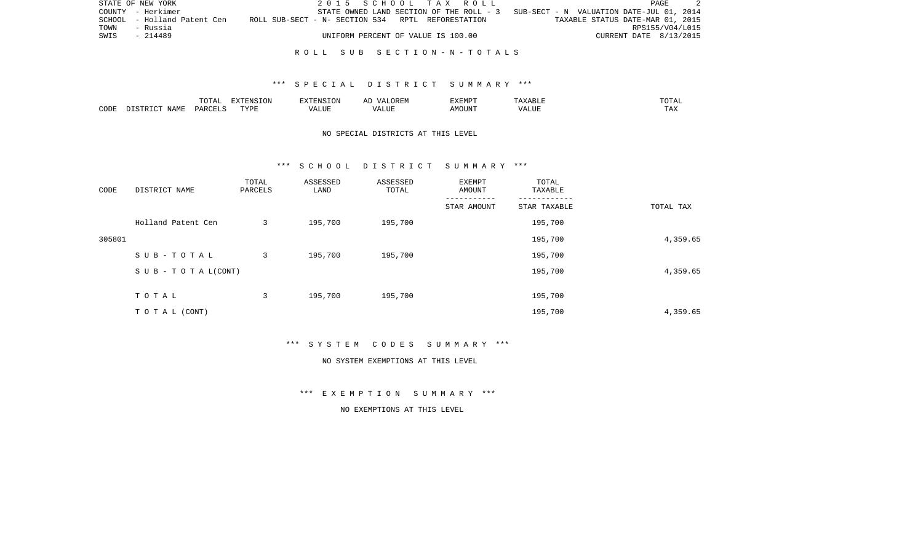|      | STATE OF NEW YORK           | 2015 SCHOOL TAX ROLL                              |  |                                                                                   | PAGE                   | - 2             |
|------|-----------------------------|---------------------------------------------------|--|-----------------------------------------------------------------------------------|------------------------|-----------------|
|      | COUNTY - Herkimer           |                                                   |  | STATE OWNED LAND SECTION OF THE ROLL - 3 SUB-SECT - N VALUATION DATE-JUL 01, 2014 |                        |                 |
|      | SCHOOL - Holland Patent Cen | ROLL SUB-SECT - N- SECTION 534 RPTL REFORESTATION |  | TAXABLE STATUS DATE-MAR 01, 2015                                                  |                        |                 |
| TOWN | - Russia                    |                                                   |  |                                                                                   |                        | RPS155/V04/L015 |
| SWIS | - 214489                    | UNIFORM PERCENT OF VALUE IS 100.00                |  |                                                                                   | CURRENT DATE 8/13/2015 |                 |
|      |                             |                                                   |  |                                                                                   |                        |                 |

#### R O L L S U B S E C T I O N - N - T O T A L S

### \*\*\* S P E C I A L D I S T R I C T S U M M A R Y \*\*\*

|      |       | ----  | --------<br>$\overline{1}$ | $\lambda$       | 1177717777<br>ALMP' |      |           |
|------|-------|-------|----------------------------|-----------------|---------------------|------|-----------|
| CODE | NAME. | PARTT | TVDE                       | $-77$<br>" שבב- | 1UUN.               | $-1$ | ጥ∆™<br>∸⊷ |

# NO SPECIAL DISTRICTS AT THIS LEVEL

#### \*\*\* S C H O O L D I S T R I C T S U M M A R Y \*\*\*

| CODE   | DISTRICT NAME                    | TOTAL<br>PARCELS | ASSESSED<br>LAND | ASSESSED<br>TOTAL | EXEMPT<br>AMOUNT | TOTAL<br>TAXABLE |           |
|--------|----------------------------------|------------------|------------------|-------------------|------------------|------------------|-----------|
|        |                                  |                  |                  |                   | STAR AMOUNT      | STAR TAXABLE     | TOTAL TAX |
|        | Holland Patent Cen               | 3                | 195,700          | 195,700           |                  | 195,700          |           |
| 305801 |                                  |                  |                  |                   |                  | 195,700          | 4,359.65  |
|        | SUB-TOTAL                        | 3                | 195,700          | 195,700           |                  | 195,700          |           |
|        | $S \cup B - T \cup T A L (CONT)$ |                  |                  |                   |                  | 195,700          | 4,359.65  |
|        | TOTAL                            | 3                | 195,700          | 195,700           |                  | 195,700          |           |
|        |                                  |                  |                  |                   |                  |                  |           |
|        | TO TAL (CONT)                    |                  |                  |                   |                  | 195,700          | 4,359.65  |

\*\*\* S Y S T E M C O D E S S U M M A R Y \*\*\*

#### NO SYSTEM EXEMPTIONS AT THIS LEVEL

\*\*\* E X E M P T I O N S U M M A R Y \*\*\*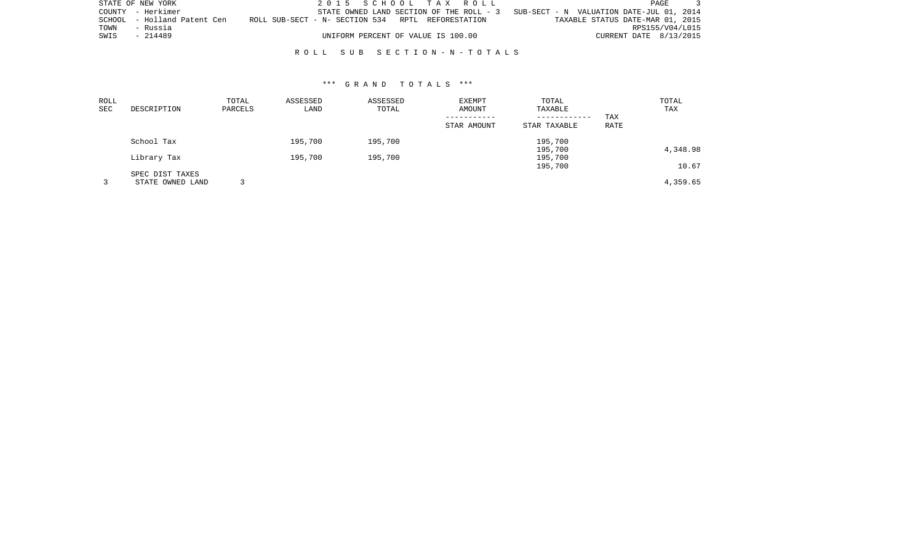|      | STATE OF NEW YORK           | 2015 SCHOOL TAX ROLL                              |  |                                                                                   | <b>PAGE</b>            |  |
|------|-----------------------------|---------------------------------------------------|--|-----------------------------------------------------------------------------------|------------------------|--|
|      | COUNTY - Herkimer           |                                                   |  | STATE OWNED LAND SECTION OF THE ROLL - 3 SUB-SECT - N VALUATION DATE-JUL 01, 2014 |                        |  |
|      | SCHOOL - Holland Patent Cen | ROLL SUB-SECT - N- SECTION 534 RPTL REFORESTATION |  | TAXABLE STATUS DATE-MAR 01, 2015                                                  |                        |  |
| TOWN | - Russia                    |                                                   |  |                                                                                   | RPS155/V04/L015        |  |
| SWIS | - 214489                    | UNIFORM PERCENT OF VALUE IS 100.00                |  |                                                                                   | CURRENT DATE 8/13/2015 |  |
|      |                             |                                                   |  |                                                                                   |                        |  |

R O L L S U B S E C T I O N - N - T O T A L S

| ROLL<br>SEC | DESCRIPTION                         | TOTAL<br>PARCELS | ASSESSED<br>LAND | ASSESSED<br>TOTAL | EXEMPT<br>AMOUNT | TOTAL<br>TAXABLE<br>------------ | TAX  | TOTAL<br>TAX |
|-------------|-------------------------------------|------------------|------------------|-------------------|------------------|----------------------------------|------|--------------|
|             |                                     |                  |                  |                   | STAR AMOUNT      | STAR TAXABLE                     | RATE |              |
|             | School Tax                          |                  | 195,700          | 195,700           |                  | 195,700<br>195,700               |      | 4,348.98     |
|             | Library Tax                         |                  | 195,700          | 195,700           |                  | 195,700<br>195,700               |      | 10.67        |
|             | SPEC DIST TAXES<br>STATE OWNED LAND |                  |                  |                   |                  |                                  |      | 4,359.65     |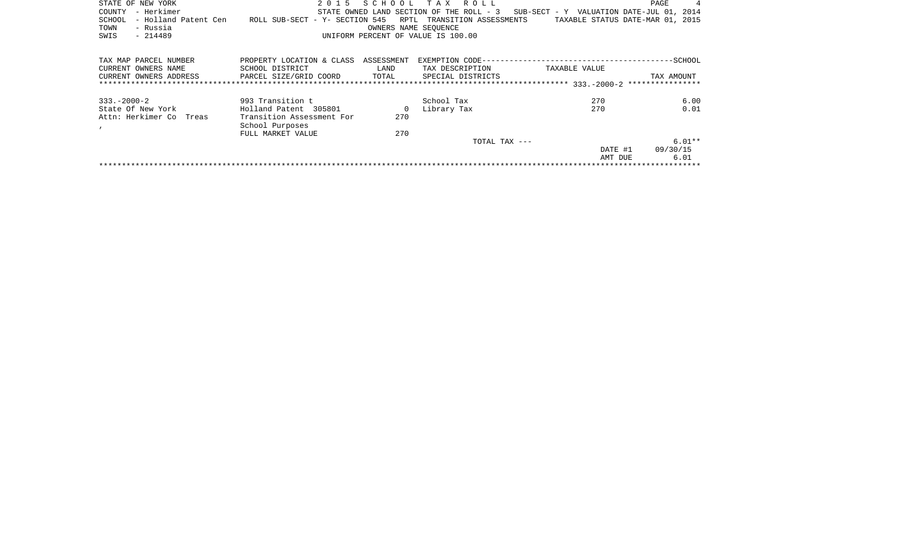| STATE OF NEW YORK              | 2 0 1 5                             |            | SCHOOL TAX ROLL                          |                                          | PAGE       | 4       |
|--------------------------------|-------------------------------------|------------|------------------------------------------|------------------------------------------|------------|---------|
| – Herkimer<br>COUNTY           |                                     |            | STATE OWNED LAND SECTION OF THE ROLL - 3 | SUB-SECT - Y VALUATION DATE-JUL 01, 2014 |            |         |
| - Holland Patent Cen<br>SCHOOL | ROLL SUB-SECT - Y- SECTION 545 RPTL |            | TRANSITION ASSESSMENTS                   | TAXABLE STATUS DATE-MAR 01, 2015         |            |         |
| - Russia<br>TOWN               |                                     |            | OWNERS NAME SEOUENCE                     |                                          |            |         |
| SWIS<br>$-214489$              |                                     |            | UNIFORM PERCENT OF VALUE IS 100.00       |                                          |            |         |
|                                |                                     |            |                                          |                                          |            |         |
| TAX MAP PARCEL NUMBER          | PROPERTY LOCATION & CLASS           | ASSESSMENT |                                          |                                          |            | -SCHOOL |
| CURRENT OWNERS NAME            | SCHOOL DISTRICT                     | LAND       | TAX DESCRIPTION                          | TAXABLE VALUE                            |            |         |
| CURRENT OWNERS ADDRESS         | PARCEL SIZE/GRID COORD              | TOTAL      | SPECIAL DISTRICTS                        |                                          | TAX AMOUNT |         |
|                                |                                     |            |                                          |                                          |            |         |
|                                |                                     |            |                                          |                                          |            |         |

| $333 - 2000 - 2$        | 993 Transition t                     |     | School Tax    | 270     | 6.00     |
|-------------------------|--------------------------------------|-----|---------------|---------|----------|
| State Of New York       | Holland Patent 305801                |     | Library Tax   | 270     | 0.01     |
| Attn: Herkimer Co Treas | Transition Assessment For            | 270 |               |         |          |
|                         | School Purposes<br>FULL MARKET VALUE | 270 |               |         |          |
|                         |                                      |     | TOTAL TAX --- |         | $6.01**$ |
|                         |                                      |     |               | DATE #1 | 09/30/15 |
|                         |                                      |     |               | AMT DUE | 6.01     |
|                         |                                      |     |               |         |          |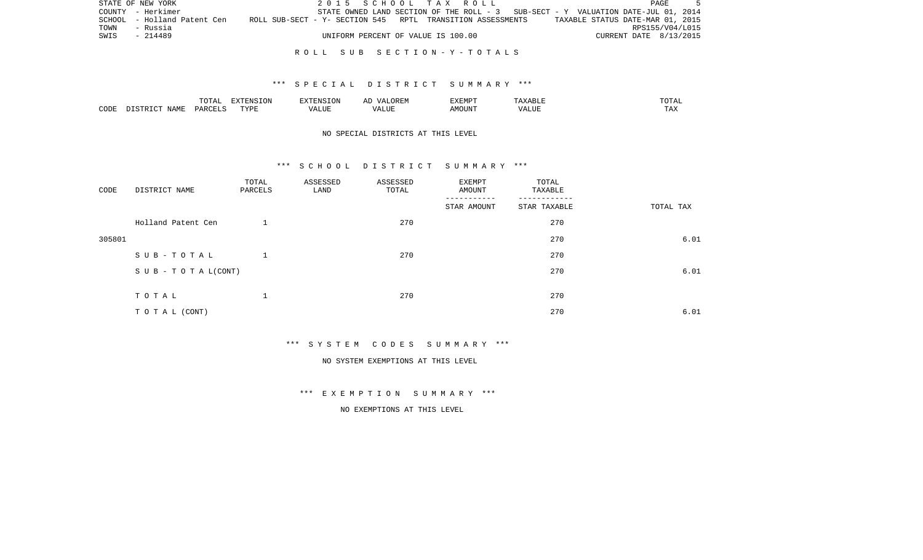|      | STATE OF NEW YORK           |                                                            | 2015 SCHOOL TAX ROLL                                                              |                                    |  |  |                                  | PAGE |  |
|------|-----------------------------|------------------------------------------------------------|-----------------------------------------------------------------------------------|------------------------------------|--|--|----------------------------------|------|--|
|      | COUNTY - Herkimer           |                                                            | STATE OWNED LAND SECTION OF THE ROLL - 3 SUB-SECT - Y VALUATION DATE-JUL 01, 2014 |                                    |  |  |                                  |      |  |
|      | SCHOOL - Holland Patent Cen | ROLL SUB-SECT - Y- SECTION 545 RPTL TRANSITION ASSESSMENTS |                                                                                   |                                    |  |  | TAXABLE STATUS DATE-MAR 01, 2015 |      |  |
| TOWN | - Russia                    |                                                            |                                                                                   |                                    |  |  | RPS155/V04/L015                  |      |  |
| SWIS | - 214489                    |                                                            |                                                                                   | UNIFORM PERCENT OF VALUE IS 100.00 |  |  | CURRENT DATE 8/13/2015           |      |  |
|      |                             |                                                            |                                                                                   |                                    |  |  |                                  |      |  |

#### R O L L S U B S E C T I O N - Y - T O T A L S

### \*\*\* S P E C I A L D I S T R I C T S U M M A R Y \*\*\*

|      |       | $m \wedge m$ | <b>FNC T∩N</b><br>$\overline{ }$<br>$\sim$<br>$\overline{1}$ | 1.1V | $\cdot$<br>- | 117778507<br>'YEML | 500 J J J                 | --  |
|------|-------|--------------|--------------------------------------------------------------|------|--------------|--------------------|---------------------------|-----|
| CODE | NAME. | UARCET T     | TVDF                                                         | .    |              | ב אנטריי<br>ועו ב  | $  -$<br>$\sqrt{ }$<br>பப | TAX |

# NO SPECIAL DISTRICTS AT THIS LEVEL

### \*\*\* S C H O O L D I S T R I C T S U M M A R Y \*\*\*

| CODE   | DISTRICT NAME                    | TOTAL<br>PARCELS | ASSESSED<br>LAND | ASSESSED<br>TOTAL | EXEMPT<br>AMOUNT | TOTAL<br>TAXABLE |           |
|--------|----------------------------------|------------------|------------------|-------------------|------------------|------------------|-----------|
|        |                                  |                  |                  |                   | STAR AMOUNT      | STAR TAXABLE     | TOTAL TAX |
|        | Holland Patent Cen               |                  |                  | 270               |                  | 270              |           |
| 305801 |                                  |                  |                  |                   |                  | 270              | 6.01      |
|        | SUB-TOTAL                        |                  |                  | 270               |                  | 270              |           |
|        | $S \cup B - T \cup T A L (CONT)$ |                  |                  |                   |                  | 270              | 6.01      |
|        |                                  |                  |                  |                   |                  |                  |           |
|        | TOTAL                            |                  |                  | 270               |                  | 270              |           |
|        | TO TAL (CONT)                    |                  |                  |                   |                  | 270              | 6.01      |

\*\*\* S Y S T E M C O D E S S U M M A R Y \*\*\*

NO SYSTEM EXEMPTIONS AT THIS LEVEL

\*\*\* E X E M P T I O N S U M M A R Y \*\*\*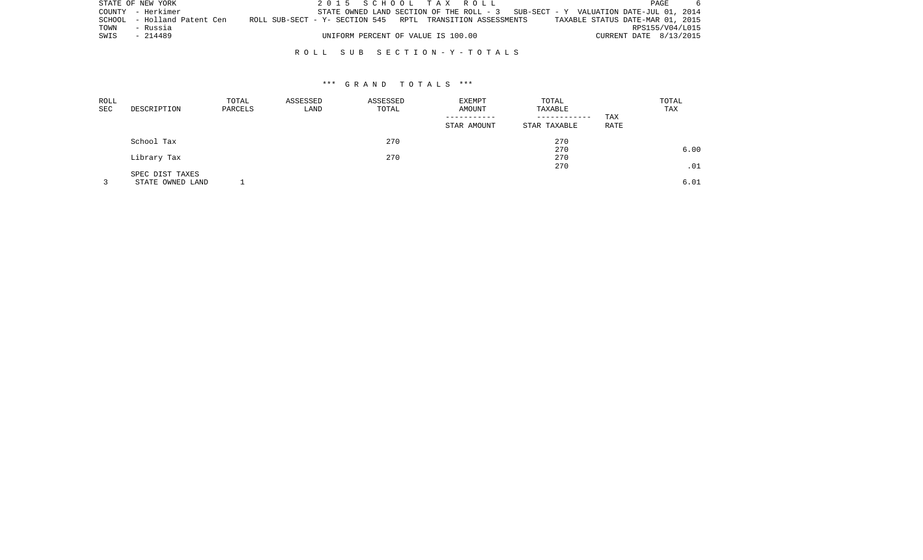|      | STATE OF NEW YORK           |  |                                    | 2015 SCHOOL TAX ROLL                                                              | PAGE                             |  |
|------|-----------------------------|--|------------------------------------|-----------------------------------------------------------------------------------|----------------------------------|--|
|      | COUNTY - Herkimer           |  |                                    | STATE OWNED LAND SECTION OF THE ROLL - 3 SUB-SECT - Y VALUATION DATE-JUL 01, 2014 |                                  |  |
|      | SCHOOL - Holland Patent Cen |  |                                    | ROLL SUB-SECT - Y- SECTION 545 RPTL TRANSITION ASSESSMENTS                        | TAXABLE STATUS DATE-MAR 01, 2015 |  |
| TOWN | - Russia                    |  |                                    |                                                                                   | RPS155/V04/L015                  |  |
| SWIS | - 214489                    |  | UNIFORM PERCENT OF VALUE IS 100.00 |                                                                                   | CURRENT DATE 8/13/2015           |  |
|      |                             |  |                                    |                                                                                   |                                  |  |

### R O L L S U B S E C T I O N - Y - T O T A L S

| ROLL<br>SEC | DESCRIPTION                         | TOTAL<br>PARCELS | ASSESSED<br>LAND | ASSESSED<br>TOTAL | <b>EXEMPT</b><br>AMOUNT | TOTAL<br>TAXABLE<br>------------ | <b>TAX</b>  | TOTAL<br>TAX |
|-------------|-------------------------------------|------------------|------------------|-------------------|-------------------------|----------------------------------|-------------|--------------|
|             |                                     |                  |                  |                   | STAR AMOUNT             | STAR TAXABLE                     | <b>RATE</b> |              |
|             | School Tax                          |                  |                  | 270               |                         | 270                              |             |              |
|             | Library Tax                         |                  |                  | 270               |                         | 270<br>270                       |             | 6.00         |
|             |                                     |                  |                  |                   |                         | 270                              |             | .01          |
|             | SPEC DIST TAXES<br>STATE OWNED LAND |                  |                  |                   |                         |                                  |             | 6.01         |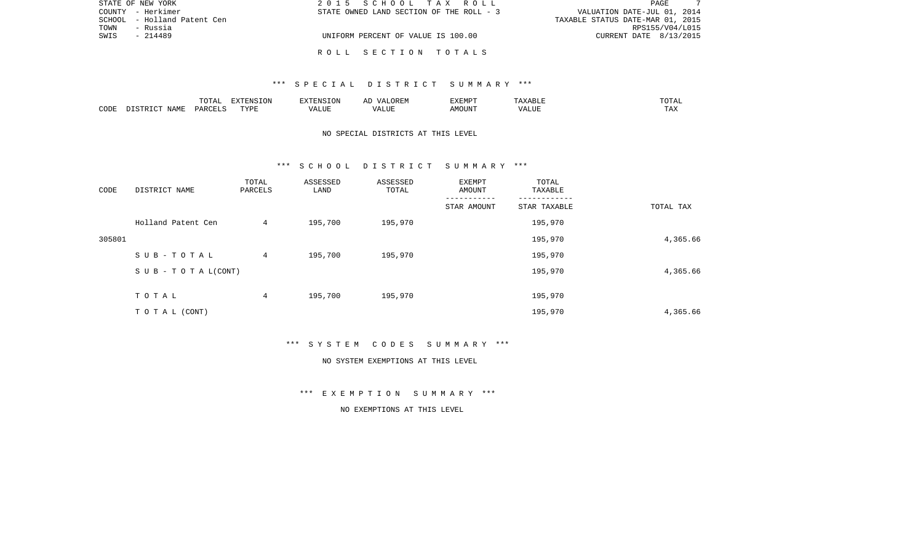| STATE OF NEW YORK           | 2015 SCHOOL TAX ROLL                     | PAGE                             |
|-----------------------------|------------------------------------------|----------------------------------|
| COUNTY - Herkimer           | STATE OWNED LAND SECTION OF THE ROLL - 3 | VALUATION DATE-JUL 01, 2014      |
| SCHOOL - Holland Patent Cen |                                          | TAXABLE STATUS DATE-MAR 01, 2015 |
| - Russia<br>TOWN            |                                          | RPS155/V04/L015                  |
| SWIS<br>- 214489            | UNIFORM PERCENT OF VALUE IS 100.00       | CURRENT DATE 8/13/2015           |
|                             | ROLL SECTION TOTALS                      |                                  |

|      |      | ----<br>$\Delta$<br><u>U 151</u> | $\Box$<br>`⊥ ب | ־ סזוים             | AD | EXEMPT | $\cdots$ | $\cdots$ |
|------|------|----------------------------------|----------------|---------------------|----|--------|----------|----------|
| CODE | N∆MF | DTT<br>◡▵                        | TVDF           | 'ALUE<br>$\sqrt{4}$ |    | \MOUN' | ALUL     | TAX      |

# NO SPECIAL DISTRICTS AT THIS LEVEL

#### \*\*\* S C H O O L D I S T R I C T S U M M A R Y \*\*\*

| CODE   | DISTRICT NAME                    | TOTAL<br>PARCELS | ASSESSED<br>LAND | ASSESSED<br>TOTAL | EXEMPT<br>AMOUNT | TOTAL<br>TAXABLE |           |
|--------|----------------------------------|------------------|------------------|-------------------|------------------|------------------|-----------|
|        |                                  |                  |                  |                   | STAR AMOUNT      | STAR TAXABLE     | TOTAL TAX |
|        | Holland Patent Cen               | 4                | 195,700          | 195,970           |                  | 195,970          |           |
| 305801 |                                  |                  |                  |                   |                  | 195,970          | 4,365.66  |
|        | SUB-TOTAL                        | $4\overline{ }$  | 195,700          | 195,970           |                  | 195,970          |           |
|        | $S \cup B - T \cup T A L (CONT)$ |                  |                  |                   |                  | 195,970          | 4,365.66  |
|        | TOTAL                            | 4                | 195,700          | 195,970           |                  | 195,970          |           |
|        |                                  |                  |                  |                   |                  |                  |           |
|        | TO TAL (CONT)                    |                  |                  |                   |                  | 195,970          | 4,365.66  |

\*\*\* S Y S T E M C O D E S S U M M A R Y \*\*\*

#### NO SYSTEM EXEMPTIONS AT THIS LEVEL

\*\*\* E X E M P T I O N S U M M A R Y \*\*\*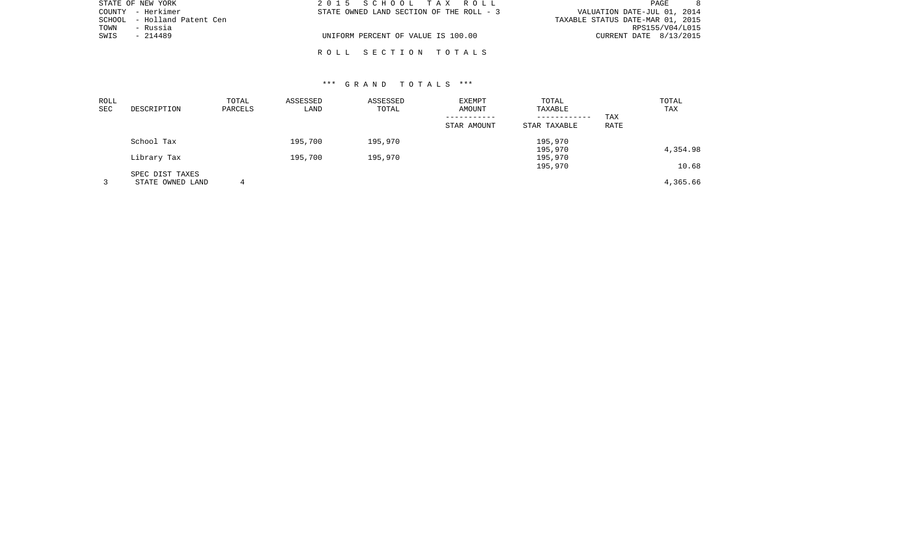| STATE OF NEW YORK           | 2015 SCHOOL TAX ROLL                     | PAGE                             |
|-----------------------------|------------------------------------------|----------------------------------|
| COUNTY - Herkimer           | STATE OWNED LAND SECTION OF THE ROLL - 3 | VALUATION DATE-JUL 01, 2014      |
| SCHOOL - Holland Patent Cen |                                          | TAXABLE STATUS DATE-MAR 01, 2015 |
| TOWN<br>- Russia            |                                          | RPS155/V04/L015                  |
| SWIS<br>- 214489            | UNIFORM PERCENT OF VALUE IS 100.00       | CURRENT DATE 8/13/2015           |
|                             |                                          |                                  |

R O L L S E C T I O N T O T A L S

| DESCRIPTION     | TOTAL<br>PARCELS | ASSESSED<br>LAND | ASSESSED<br>TOTAL | <b>EXEMPT</b><br>AMOUNT | TOTAL<br>TAXABLE |                                    | TOTAL<br>TAX      |
|-----------------|------------------|------------------|-------------------|-------------------------|------------------|------------------------------------|-------------------|
|                 |                  |                  |                   | STAR AMOUNT             | STAR TAXABLE     | RATE                               |                   |
| School Tax      |                  | 195,700          | 195,970           |                         | 195,970          |                                    |                   |
| Library Tax     |                  | 195,700          | 195,970           |                         | 195,970          |                                    | 4,354.98          |
| SPEC DIST TAXES |                  |                  |                   |                         |                  |                                    | 10.68<br>4,365.66 |
|                 | STATE OWNED LAND | 4                |                   |                         |                  | ------------<br>195,970<br>195,970 | TAX               |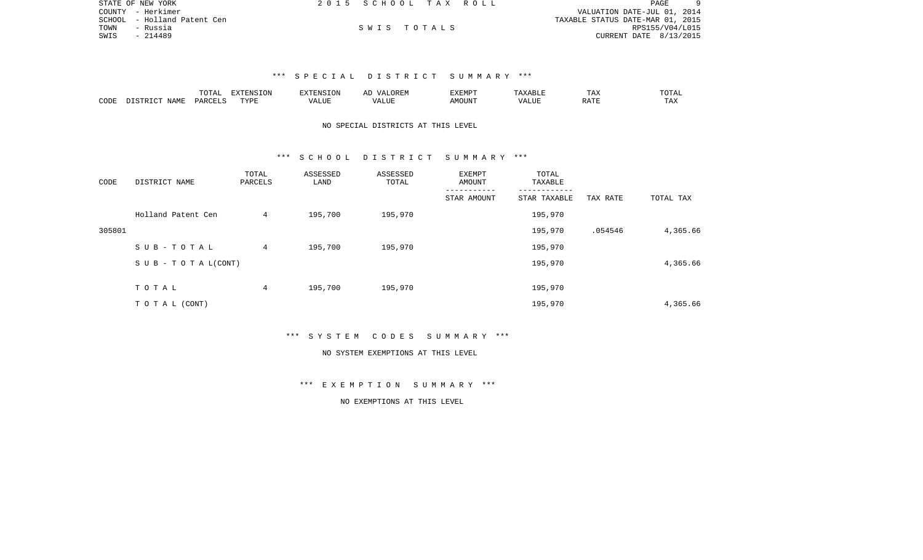| STATE OF NEW YORK           | 2015 SCHOOL TAX ROLL |  | PAGE                             |
|-----------------------------|----------------------|--|----------------------------------|
| COUNTY - Herkimer           |                      |  | VALUATION DATE-JUL 01, 2014      |
| SCHOOL - Holland Patent Cen |                      |  | TAXABLE STATUS DATE-MAR 01, 2015 |
| TOWN<br>- Russia            | SWIS TOTALS          |  | RPS155/V04/L015                  |
| SWIS<br>- 214489            |                      |  | CURRENT DATE 8/13/2015           |

|      |             | $T0$ $T0$ $T0$<br>' Δ<br>--- | $\n  z$     | EXTENSION    | AĽ<br>$1/\sqrt{2}$ | EXEMPT |                  | TAX | TOTAT |
|------|-------------|------------------------------|-------------|--------------|--------------------|--------|------------------|-----|-------|
| CODE | <b>NAME</b> | PARTCFT                      | <b>TVDL</b> | ALUE<br>/ △∣ | ∟UF                | )TIN   | $\cdots$<br>ALUE |     | - ∠⊿  |

# NO SPECIAL DISTRICTS AT THIS LEVEL

### \*\*\* S C H O O L D I S T R I C T S U M M A R Y \*\*\*

| CODE   | DISTRICT NAME                    | TOTAL<br>PARCELS | ASSESSED<br>LAND | ASSESSED<br>TOTAL | EXEMPT<br>AMOUNT | TOTAL<br>TAXABLE |          |           |
|--------|----------------------------------|------------------|------------------|-------------------|------------------|------------------|----------|-----------|
|        |                                  |                  |                  |                   | STAR AMOUNT      | STAR TAXABLE     | TAX RATE | TOTAL TAX |
|        | Holland Patent Cen               | 4                | 195,700          | 195,970           |                  | 195,970          |          |           |
| 305801 |                                  |                  |                  |                   |                  | 195,970          | .054546  | 4,365.66  |
|        | SUB-TOTAL                        | 4                | 195,700          | 195,970           |                  | 195,970          |          |           |
|        | $S \cup B - T \cup T A L (CONT)$ |                  |                  |                   |                  | 195,970          |          | 4,365.66  |
|        | TOTAL                            | 4                | 195,700          | 195,970           |                  | 195,970          |          |           |
|        | TO TAL (CONT)                    |                  |                  |                   |                  | 195,970          |          | 4,365.66  |

### \*\*\* S Y S T E M C O D E S S U M M A R Y \*\*\*

#### NO SYSTEM EXEMPTIONS AT THIS LEVEL

# \*\*\* E X E M P T I O N S U M M A R Y \*\*\*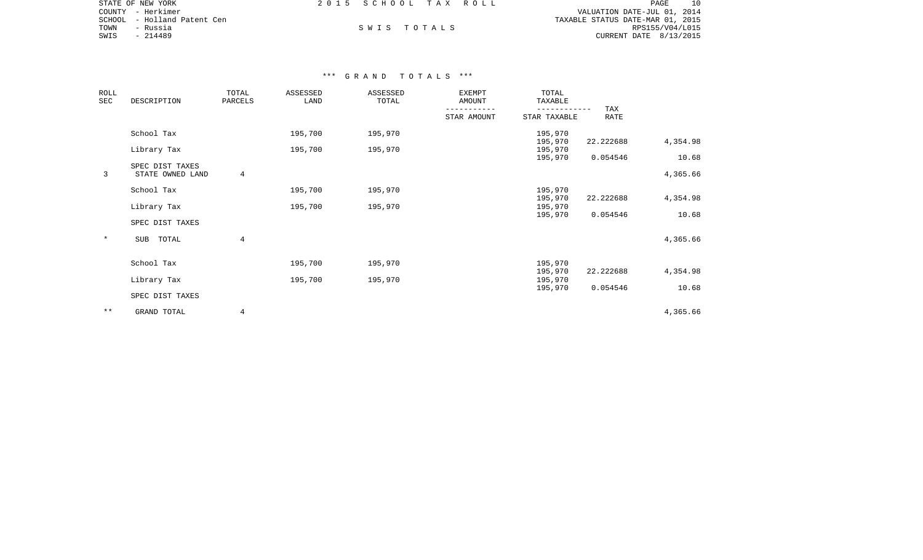|      | STATE OF NEW YORK            |  | 2015 SCHOOL TAX ROLL |                                  | <b>PAGE</b>            | 10 |
|------|------------------------------|--|----------------------|----------------------------------|------------------------|----|
|      | COUNTY - Herkimer            |  |                      | VALUATION DATE-JUL 01, 2014      |                        |    |
|      | SCHOOL  – Holland Patent Cen |  |                      | TAXABLE STATUS DATE-MAR 01, 2015 |                        |    |
| TOWN | - Russia                     |  | SWIS TOTALS          |                                  | RPS155/V04/L015        |    |
| SWIS | - 214489                     |  |                      |                                  | CURRENT DATE 8/13/2015 |    |

| ROLL<br>SEC  | DESCRIPTION                         | TOTAL<br>PARCELS | ASSESSED<br>LAND | ASSESSED<br>TOTAL | <b>EXEMPT</b><br>AMOUNT | TOTAL<br>TAXABLE   |             |                   |
|--------------|-------------------------------------|------------------|------------------|-------------------|-------------------------|--------------------|-------------|-------------------|
|              |                                     |                  |                  |                   | STAR AMOUNT             | STAR TAXABLE       | TAX<br>RATE |                   |
|              | School Tax                          |                  | 195,700          | 195,970           |                         | 195,970            |             |                   |
|              | Library Tax                         |                  | 195,700          | 195,970           |                         | 195,970<br>195,970 | 22.222688   | 4,354.98          |
| 3            | SPEC DIST TAXES<br>STATE OWNED LAND | 4                |                  |                   |                         | 195,970            | 0.054546    | 10.68<br>4,365.66 |
|              | School Tax                          |                  | 195,700          | 195,970           |                         | 195,970<br>195,970 | 22.222688   | 4,354.98          |
|              | Library Tax                         |                  | 195,700          | 195,970           |                         | 195,970            |             |                   |
|              | SPEC DIST TAXES                     |                  |                  |                   |                         | 195,970            | 0.054546    | 10.68             |
| $\ast$       | SUB TOTAL                           | 4                |                  |                   |                         |                    |             | 4,365.66          |
|              | School Tax                          |                  | 195,700          | 195,970           |                         | 195,970            |             |                   |
|              | Library Tax                         |                  | 195,700          | 195,970           |                         | 195,970<br>195,970 | 22.222688   | 4,354.98          |
|              | SPEC DIST TAXES                     |                  |                  |                   |                         | 195,970            | 0.054546    | 10.68             |
| $\star\star$ | GRAND TOTAL                         | 4                |                  |                   |                         |                    |             | 4,365.66          |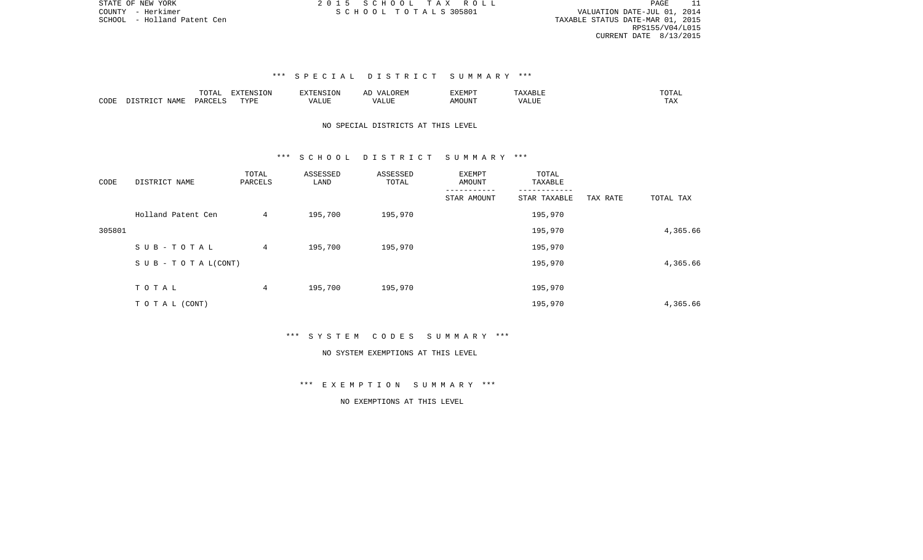PAGE 11 SCHOOL - Holland Patent Cen TAXABLE STATUS DATE-MAR 01, 2015 RPS155/V04/L015 CURRENT DATE 8/13/2015

# \*\*\* S P E C I A L D I S T R I C T S U M M A R Y \*\*\*

|      |       | TOTAL                      | <b>DVEDITO TOM</b> | EXTENSION     | ΑL<br>$\sqrt{11}$ | יסואיד אי<br>. | $\wedge$ $\overline{\phantom{0}}$ | -----<br>◡⊥▱   |
|------|-------|----------------------------|--------------------|---------------|-------------------|----------------|-----------------------------------|----------------|
| CODE | NAME. | $\therefore$ PARCET $\sim$ | <b>TVDL</b>        | $\Delta$<br>. | LUE               | UN             |                                   | ΉД.<br>- - - - |

# NO SPECIAL DISTRICTS AT THIS LEVEL

### \*\*\* S C H O O L D I S T R I C T S U M M A R Y \*\*\*

| CODE   | DISTRICT NAME                    | TOTAL<br>PARCELS | ASSESSED<br>LAND | ASSESSED<br>TOTAL | <b>EXEMPT</b><br>AMOUNT | TOTAL<br>TAXABLE |          |           |
|--------|----------------------------------|------------------|------------------|-------------------|-------------------------|------------------|----------|-----------|
|        |                                  |                  |                  |                   | STAR AMOUNT             | STAR TAXABLE     | TAX RATE | TOTAL TAX |
|        | Holland Patent Cen               | 4                | 195,700          | 195,970           |                         | 195,970          |          |           |
| 305801 |                                  |                  |                  |                   |                         | 195,970          |          | 4,365.66  |
|        | SUB-TOTAL                        | $\overline{4}$   | 195,700          | 195,970           |                         | 195,970          |          |           |
|        | $S \cup B - T \cup T A L (CONT)$ |                  |                  |                   |                         | 195,970          |          | 4,365.66  |
|        | TOTAL                            | 4                | 195,700          | 195,970           |                         | 195,970          |          |           |
|        | T O T A L (CONT)                 |                  |                  |                   |                         | 195,970          |          | 4,365.66  |

\*\*\* S Y S T E M C O D E S S U M M A R Y \*\*\*

#### NO SYSTEM EXEMPTIONS AT THIS LEVEL

\*\*\* E X E M P T I O N S U M M A R Y \*\*\*